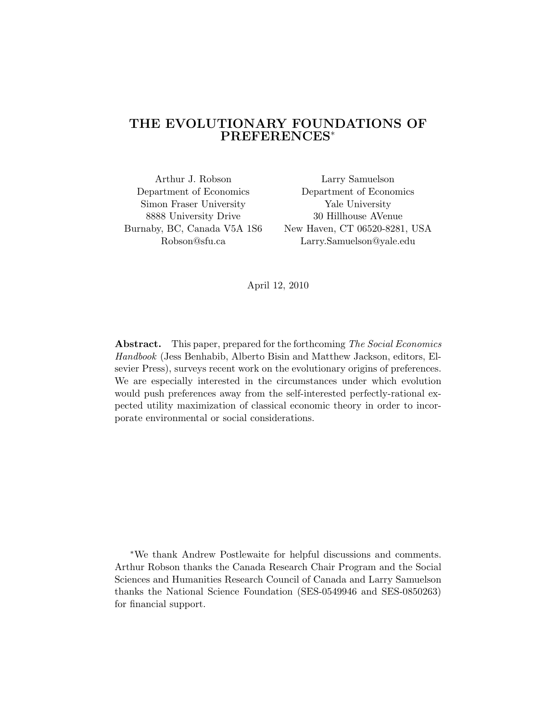## THE EVOLUTIONARY FOUNDATIONS OF PREFERENCES<sup>∗</sup>

Simon Fraser University Yale University

Arthur J. Robson Larry Samuelson Department of Economics Department of Economics 8888 University Drive 30 Hillhouse AVenue Burnaby, BC, Canada V5A 1S6 New Haven, CT 06520-8281, USA Robson@sfu.ca Larry.Samuelson@yale.edu

April 12, 2010

Abstract. This paper, prepared for the forthcoming The Social Economics Handbook (Jess Benhabib, Alberto Bisin and Matthew Jackson, editors, Elsevier Press), surveys recent work on the evolutionary origins of preferences. We are especially interested in the circumstances under which evolution would push preferences away from the self-interested perfectly-rational expected utility maximization of classical economic theory in order to incorporate environmental or social considerations.

<sup>∗</sup>We thank Andrew Postlewaite for helpful discussions and comments. Arthur Robson thanks the Canada Research Chair Program and the Social Sciences and Humanities Research Council of Canada and Larry Samuelson thanks the National Science Foundation (SES-0549946 and SES-0850263) for financial support.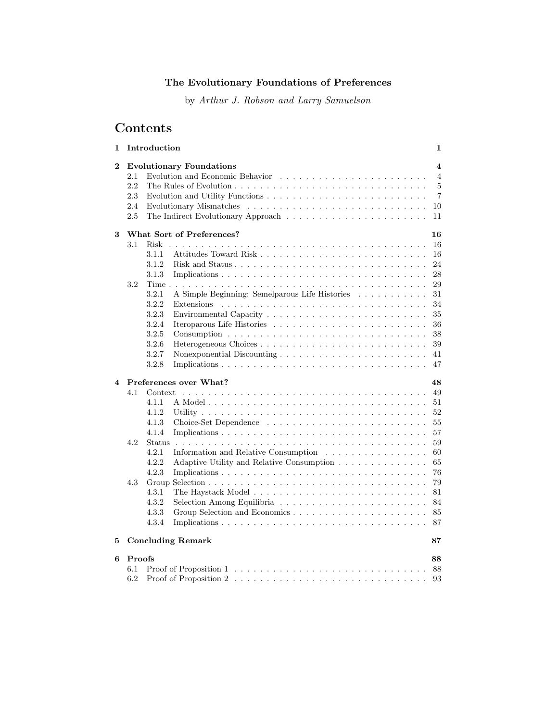# The Evolutionary Foundations of Preferences

by Arthur J. Robson and Larry Samuelson

# Contents

| $\mathbf 1$ | Introduction                                                                                                               | $\mathbf{1}$                                                                 |
|-------------|----------------------------------------------------------------------------------------------------------------------------|------------------------------------------------------------------------------|
| 2           | <b>Evolutionary Foundations</b><br>Evolution and Economic Behavior $\ldots$ , , , , , ,<br>2.1<br>2.2<br>2.3<br>2.4<br>2.5 | $\overline{\mathbf{4}}$<br>$\overline{4}$<br>5<br>$\overline{7}$<br>10<br>11 |
| 3           | What Sort of Preferences?                                                                                                  | 16                                                                           |
|             | Risk<br>3.1                                                                                                                | 16                                                                           |
|             | 3.1.1                                                                                                                      | 16                                                                           |
|             | 3.1.2                                                                                                                      | 24                                                                           |
|             | $3.1.3\,$                                                                                                                  | 28                                                                           |
|             | 3.2                                                                                                                        | 29                                                                           |
|             | 3.2.1<br>A Simple Beginning: Semelparous Life Histories                                                                    | 31                                                                           |
|             | 3.2.2                                                                                                                      | 34                                                                           |
|             | 3.2.3                                                                                                                      | 35                                                                           |
|             | 3.2.4                                                                                                                      | 36                                                                           |
|             | 3.2.5                                                                                                                      | 38                                                                           |
|             | 3.2.6                                                                                                                      | 39                                                                           |
|             | 3.2.7                                                                                                                      | 41                                                                           |
|             | 3.2.8                                                                                                                      | 47                                                                           |
|             |                                                                                                                            |                                                                              |
| 4           | Preferences over What?                                                                                                     | 48                                                                           |
|             | 4.1                                                                                                                        | 49                                                                           |
|             | 4.1.1                                                                                                                      | 51                                                                           |
|             | 4.1.2                                                                                                                      | 52                                                                           |
|             | 4.1.3                                                                                                                      | 55                                                                           |
|             | 4.1.4                                                                                                                      | 57                                                                           |
|             | 4.2<br><b>Status</b>                                                                                                       | 59                                                                           |
|             | 4.2.1<br>Information and Relative Consumption                                                                              | 60                                                                           |
|             | 4.2.2<br>Adaptive Utility and Relative Consumption                                                                         | 65                                                                           |
|             | 4.2.3                                                                                                                      | 76                                                                           |
|             | 4.3                                                                                                                        | 79                                                                           |
|             | 4.3.1                                                                                                                      | 81                                                                           |
|             | 4.3.2                                                                                                                      | 84                                                                           |
|             | 4.3.3                                                                                                                      | 85                                                                           |
|             | 4.3.4                                                                                                                      | 87                                                                           |
| 5           | <b>Concluding Remark</b>                                                                                                   | 87                                                                           |
| 6           | Proofs                                                                                                                     | 88                                                                           |
|             | 6.1                                                                                                                        | 88                                                                           |
|             | 6.2                                                                                                                        | 93                                                                           |
|             |                                                                                                                            |                                                                              |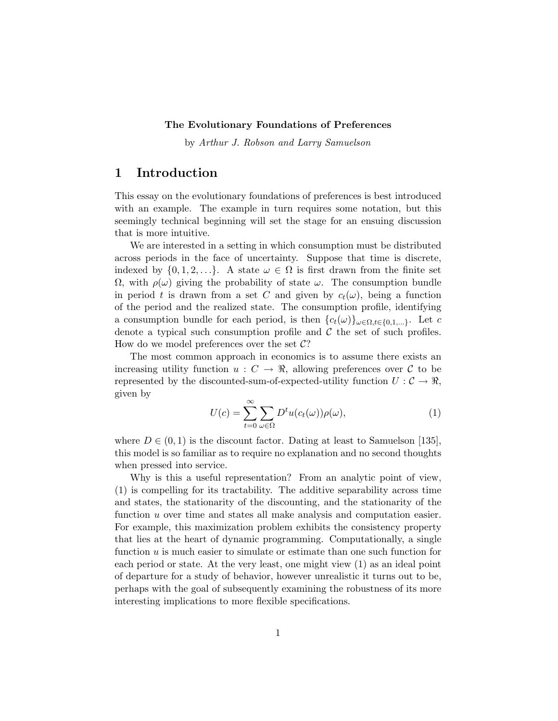#### The Evolutionary Foundations of Preferences

by Arthur J. Robson and Larry Samuelson

## 1 Introduction

This essay on the evolutionary foundations of preferences is best introduced with an example. The example in turn requires some notation, but this seemingly technical beginning will set the stage for an ensuing discussion that is more intuitive.

We are interested in a setting in which consumption must be distributed across periods in the face of uncertainty. Suppose that time is discrete, indexed by  $\{0, 1, 2, \ldots\}$ . A state  $\omega \in \Omega$  is first drawn from the finite set  $\Omega$ , with  $\rho(\omega)$  giving the probability of state  $\omega$ . The consumption bundle in period t is drawn from a set C and given by  $c_t(\omega)$ , being a function of the period and the realized state. The consumption profile, identifying a consumption bundle for each period, is then  ${c_t(\omega)}_{\omega \in \Omega, t \in \{0,1,...\}}$ . Let c denote a typical such consumption profile and  $\mathcal C$  the set of such profiles. How do we model preferences over the set  $C$ ?

The most common approach in economics is to assume there exists an increasing utility function  $u: C \to \mathbb{R}$ , allowing preferences over C to be represented by the discounted-sum-of-expected-utility function  $U: \mathcal{C} \to \mathbb{R}$ , given by

$$
U(c) = \sum_{t=0}^{\infty} \sum_{\omega \in \Omega} D^t u(c_t(\omega)) \rho(\omega), \qquad (1)
$$

where  $D \in (0, 1)$  is the discount factor. Dating at least to Samuelson [135], this model is so familiar as to require no explanation and no second thoughts when pressed into service.

Why is this a useful representation? From an analytic point of view, (1) is compelling for its tractability. The additive separability across time and states, the stationarity of the discounting, and the stationarity of the function u over time and states all make analysis and computation easier. For example, this maximization problem exhibits the consistency property that lies at the heart of dynamic programming. Computationally, a single function u is much easier to simulate or estimate than one such function for each period or state. At the very least, one might view (1) as an ideal point of departure for a study of behavior, however unrealistic it turns out to be, perhaps with the goal of subsequently examining the robustness of its more interesting implications to more flexible specifications.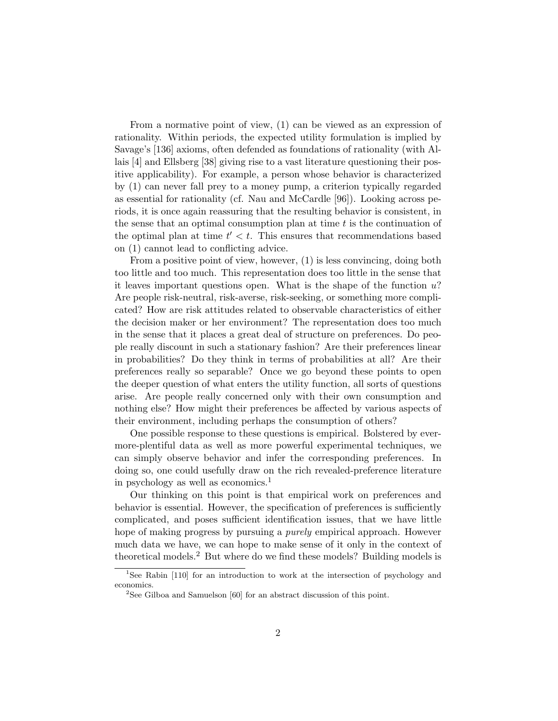From a normative point of view, (1) can be viewed as an expression of rationality. Within periods, the expected utility formulation is implied by Savage's [136] axioms, often defended as foundations of rationality (with Allais [4] and Ellsberg [38] giving rise to a vast literature questioning their positive applicability). For example, a person whose behavior is characterized by (1) can never fall prey to a money pump, a criterion typically regarded as essential for rationality (cf. Nau and McCardle [96]). Looking across periods, it is once again reassuring that the resulting behavior is consistent, in the sense that an optimal consumption plan at time  $t$  is the continuation of the optimal plan at time  $t' < t$ . This ensures that recommendations based on (1) cannot lead to conflicting advice.

From a positive point of view, however, (1) is less convincing, doing both too little and too much. This representation does too little in the sense that it leaves important questions open. What is the shape of the function u? Are people risk-neutral, risk-averse, risk-seeking, or something more complicated? How are risk attitudes related to observable characteristics of either the decision maker or her environment? The representation does too much in the sense that it places a great deal of structure on preferences. Do people really discount in such a stationary fashion? Are their preferences linear in probabilities? Do they think in terms of probabilities at all? Are their preferences really so separable? Once we go beyond these points to open the deeper question of what enters the utility function, all sorts of questions arise. Are people really concerned only with their own consumption and nothing else? How might their preferences be affected by various aspects of their environment, including perhaps the consumption of others?

One possible response to these questions is empirical. Bolstered by evermore-plentiful data as well as more powerful experimental techniques, we can simply observe behavior and infer the corresponding preferences. In doing so, one could usefully draw on the rich revealed-preference literature in psychology as well as economics.<sup>1</sup>

Our thinking on this point is that empirical work on preferences and behavior is essential. However, the specification of preferences is sufficiently complicated, and poses sufficient identification issues, that we have little hope of making progress by pursuing a *purely* empirical approach. However much data we have, we can hope to make sense of it only in the context of theoretical models.<sup>2</sup> But where do we find these models? Building models is

<sup>&</sup>lt;sup>1</sup>See Rabin [110] for an introduction to work at the intersection of psychology and economics.

<sup>&</sup>lt;sup>2</sup>See Gilboa and Samuelson [60] for an abstract discussion of this point.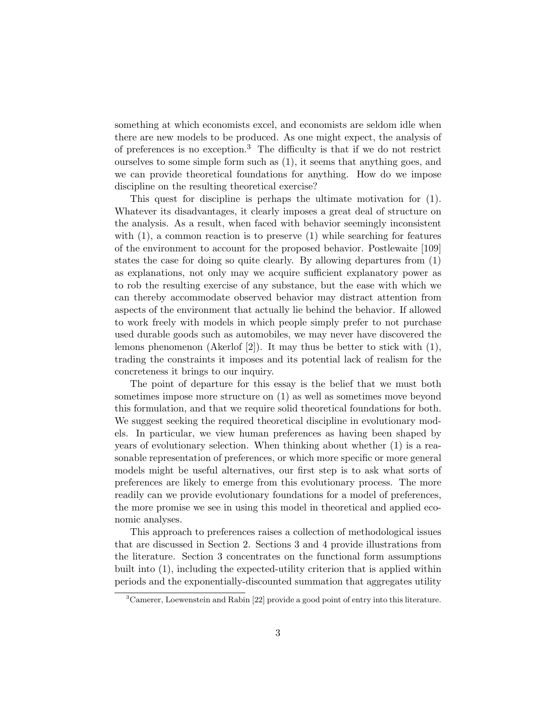something at which economists excel, and economists are seldom idle when there are new models to be produced. As one might expect, the analysis of of preferences is no exception.<sup>3</sup> The difficulty is that if we do not restrict ourselves to some simple form such as (1), it seems that anything goes, and we can provide theoretical foundations for anything. How do we impose discipline on the resulting theoretical exercise?

This quest for discipline is perhaps the ultimate motivation for (1). Whatever its disadvantages, it clearly imposes a great deal of structure on the analysis. As a result, when faced with behavior seemingly inconsistent with  $(1)$ , a common reaction is to preserve  $(1)$  while searching for features of the environment to account for the proposed behavior. Postlewaite [109] states the case for doing so quite clearly. By allowing departures from (1) as explanations, not only may we acquire sufficient explanatory power as to rob the resulting exercise of any substance, but the ease with which we can thereby accommodate observed behavior may distract attention from aspects of the environment that actually lie behind the behavior. If allowed to work freely with models in which people simply prefer to not purchase used durable goods such as automobiles, we may never have discovered the lemons phenomenon (Akerlof [2]). It may thus be better to stick with (1), trading the constraints it imposes and its potential lack of realism for the concreteness it brings to our inquiry.

The point of departure for this essay is the belief that we must both sometimes impose more structure on (1) as well as sometimes move beyond this formulation, and that we require solid theoretical foundations for both. We suggest seeking the required theoretical discipline in evolutionary models. In particular, we view human preferences as having been shaped by years of evolutionary selection. When thinking about whether (1) is a reasonable representation of preferences, or which more specific or more general models might be useful alternatives, our first step is to ask what sorts of preferences are likely to emerge from this evolutionary process. The more readily can we provide evolutionary foundations for a model of preferences, the more promise we see in using this model in theoretical and applied economic analyses.

This approach to preferences raises a collection of methodological issues that are discussed in Section 2. Sections 3 and 4 provide illustrations from the literature. Section 3 concentrates on the functional form assumptions built into (1), including the expected-utility criterion that is applied within periods and the exponentially-discounted summation that aggregates utility

<sup>3</sup>Camerer, Loewenstein and Rabin [22] provide a good point of entry into this literature.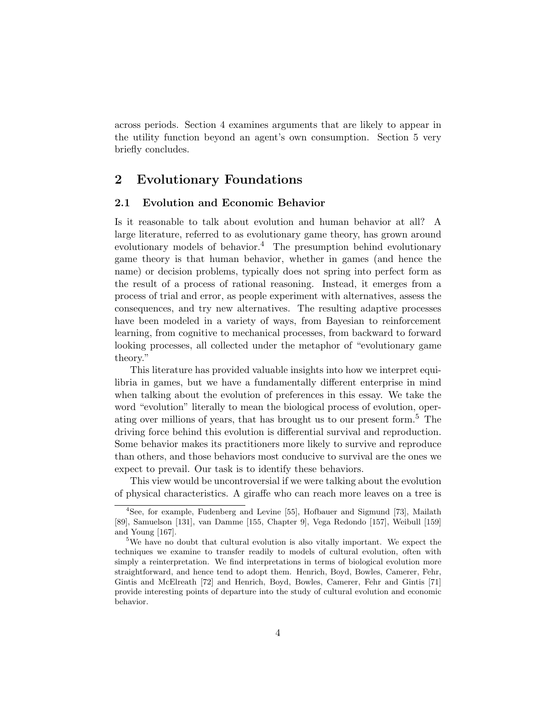across periods. Section 4 examines arguments that are likely to appear in the utility function beyond an agent's own consumption. Section 5 very briefly concludes.

# 2 Evolutionary Foundations

#### 2.1 Evolution and Economic Behavior

Is it reasonable to talk about evolution and human behavior at all? A large literature, referred to as evolutionary game theory, has grown around evolutionary models of behavior.<sup>4</sup> The presumption behind evolutionary game theory is that human behavior, whether in games (and hence the name) or decision problems, typically does not spring into perfect form as the result of a process of rational reasoning. Instead, it emerges from a process of trial and error, as people experiment with alternatives, assess the consequences, and try new alternatives. The resulting adaptive processes have been modeled in a variety of ways, from Bayesian to reinforcement learning, from cognitive to mechanical processes, from backward to forward looking processes, all collected under the metaphor of "evolutionary game theory."

This literature has provided valuable insights into how we interpret equilibria in games, but we have a fundamentally different enterprise in mind when talking about the evolution of preferences in this essay. We take the word "evolution" literally to mean the biological process of evolution, operating over millions of years, that has brought us to our present form.<sup>5</sup> The driving force behind this evolution is differential survival and reproduction. Some behavior makes its practitioners more likely to survive and reproduce than others, and those behaviors most conducive to survival are the ones we expect to prevail. Our task is to identify these behaviors.

This view would be uncontroversial if we were talking about the evolution of physical characteristics. A giraffe who can reach more leaves on a tree is

<sup>4</sup>See, for example, Fudenberg and Levine [55], Hofbauer and Sigmund [73], Mailath [89], Samuelson [131], van Damme [155, Chapter 9], Vega Redondo [157], Weibull [159] and Young [167].

<sup>&</sup>lt;sup>5</sup>We have no doubt that cultural evolution is also vitally important. We expect the techniques we examine to transfer readily to models of cultural evolution, often with simply a reinterpretation. We find interpretations in terms of biological evolution more straightforward, and hence tend to adopt them. Henrich, Boyd, Bowles, Camerer, Fehr, Gintis and McElreath [72] and Henrich, Boyd, Bowles, Camerer, Fehr and Gintis [71] provide interesting points of departure into the study of cultural evolution and economic behavior.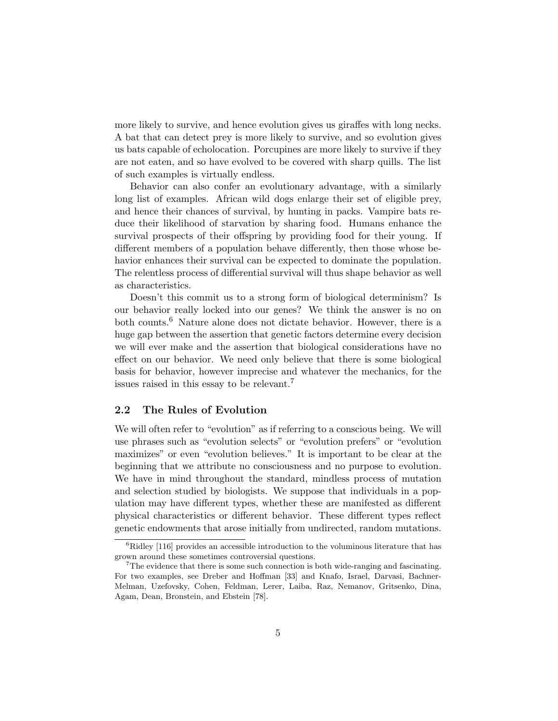more likely to survive, and hence evolution gives us giraffes with long necks. A bat that can detect prey is more likely to survive, and so evolution gives us bats capable of echolocation. Porcupines are more likely to survive if they are not eaten, and so have evolved to be covered with sharp quills. The list of such examples is virtually endless.

Behavior can also confer an evolutionary advantage, with a similarly long list of examples. African wild dogs enlarge their set of eligible prey, and hence their chances of survival, by hunting in packs. Vampire bats reduce their likelihood of starvation by sharing food. Humans enhance the survival prospects of their offspring by providing food for their young. If different members of a population behave differently, then those whose behavior enhances their survival can be expected to dominate the population. The relentless process of differential survival will thus shape behavior as well as characteristics.

Doesn't this commit us to a strong form of biological determinism? Is our behavior really locked into our genes? We think the answer is no on both counts.<sup>6</sup> Nature alone does not dictate behavior. However, there is a huge gap between the assertion that genetic factors determine every decision we will ever make and the assertion that biological considerations have no effect on our behavior. We need only believe that there is some biological basis for behavior, however imprecise and whatever the mechanics, for the issues raised in this essay to be relevant.<sup>7</sup>

### 2.2 The Rules of Evolution

We will often refer to "evolution" as if referring to a conscious being. We will use phrases such as "evolution selects" or "evolution prefers" or "evolution maximizes" or even "evolution believes." It is important to be clear at the beginning that we attribute no consciousness and no purpose to evolution. We have in mind throughout the standard, mindless process of mutation and selection studied by biologists. We suppose that individuals in a population may have different types, whether these are manifested as different physical characteristics or different behavior. These different types reflect genetic endowments that arose initially from undirected, random mutations.

 ${}^{6}$ Ridley [116] provides an accessible introduction to the voluminous literature that has grown around these sometimes controversial questions.

 $7$ The evidence that there is some such connection is both wide-ranging and fascinating. For two examples, see Dreber and Hoffman [33] and Knafo, Israel, Darvasi, Bachner-Melman, Uzefovsky, Cohen, Feldman, Lerer, Laiba, Raz, Nemanov, Gritsenko, Dina, Agam, Dean, Bronstein, and Ebstein [78].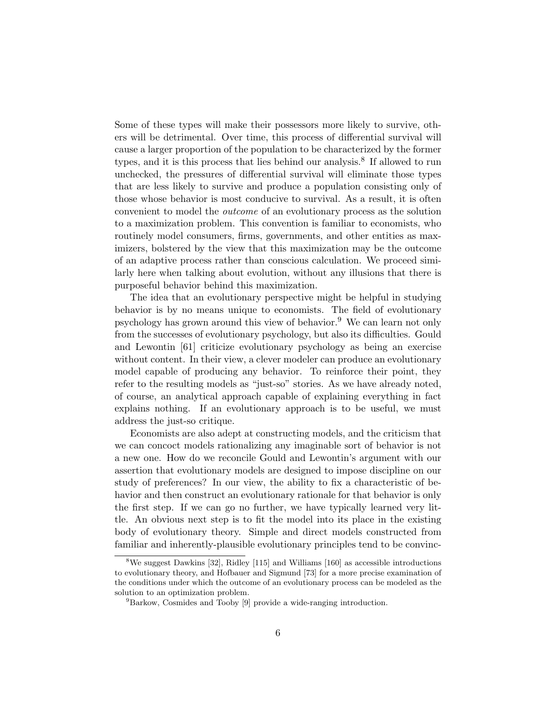Some of these types will make their possessors more likely to survive, others will be detrimental. Over time, this process of differential survival will cause a larger proportion of the population to be characterized by the former types, and it is this process that lies behind our analysis.<sup>8</sup> If allowed to run unchecked, the pressures of differential survival will eliminate those types that are less likely to survive and produce a population consisting only of those whose behavior is most conducive to survival. As a result, it is often convenient to model the outcome of an evolutionary process as the solution to a maximization problem. This convention is familiar to economists, who routinely model consumers, firms, governments, and other entities as maximizers, bolstered by the view that this maximization may be the outcome of an adaptive process rather than conscious calculation. We proceed similarly here when talking about evolution, without any illusions that there is purposeful behavior behind this maximization.

The idea that an evolutionary perspective might be helpful in studying behavior is by no means unique to economists. The field of evolutionary psychology has grown around this view of behavior.<sup>9</sup> We can learn not only from the successes of evolutionary psychology, but also its difficulties. Gould and Lewontin [61] criticize evolutionary psychology as being an exercise without content. In their view, a clever modeler can produce an evolutionary model capable of producing any behavior. To reinforce their point, they refer to the resulting models as "just-so" stories. As we have already noted, of course, an analytical approach capable of explaining everything in fact explains nothing. If an evolutionary approach is to be useful, we must address the just-so critique.

Economists are also adept at constructing models, and the criticism that we can concoct models rationalizing any imaginable sort of behavior is not a new one. How do we reconcile Gould and Lewontin's argument with our assertion that evolutionary models are designed to impose discipline on our study of preferences? In our view, the ability to fix a characteristic of behavior and then construct an evolutionary rationale for that behavior is only the first step. If we can go no further, we have typically learned very little. An obvious next step is to fit the model into its place in the existing body of evolutionary theory. Simple and direct models constructed from familiar and inherently-plausible evolutionary principles tend to be convinc-

<sup>8</sup>We suggest Dawkins [32], Ridley [115] and Williams [160] as accessible introductions to evolutionary theory, and Hofbauer and Sigmund [73] for a more precise examination of the conditions under which the outcome of an evolutionary process can be modeled as the solution to an optimization problem.

<sup>&</sup>lt;sup>9</sup>Barkow, Cosmides and Tooby [9] provide a wide-ranging introduction.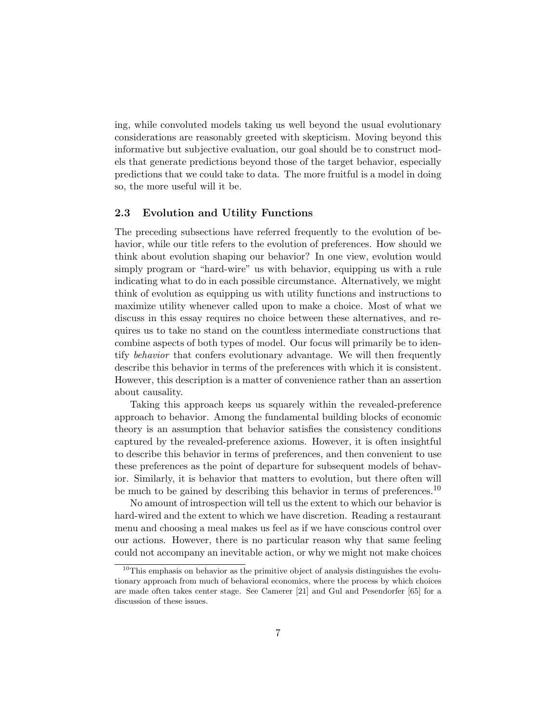ing, while convoluted models taking us well beyond the usual evolutionary considerations are reasonably greeted with skepticism. Moving beyond this informative but subjective evaluation, our goal should be to construct models that generate predictions beyond those of the target behavior, especially predictions that we could take to data. The more fruitful is a model in doing so, the more useful will it be.

#### 2.3 Evolution and Utility Functions

The preceding subsections have referred frequently to the evolution of behavior, while our title refers to the evolution of preferences. How should we think about evolution shaping our behavior? In one view, evolution would simply program or "hard-wire" us with behavior, equipping us with a rule indicating what to do in each possible circumstance. Alternatively, we might think of evolution as equipping us with utility functions and instructions to maximize utility whenever called upon to make a choice. Most of what we discuss in this essay requires no choice between these alternatives, and requires us to take no stand on the countless intermediate constructions that combine aspects of both types of model. Our focus will primarily be to identify behavior that confers evolutionary advantage. We will then frequently describe this behavior in terms of the preferences with which it is consistent. However, this description is a matter of convenience rather than an assertion about causality.

Taking this approach keeps us squarely within the revealed-preference approach to behavior. Among the fundamental building blocks of economic theory is an assumption that behavior satisfies the consistency conditions captured by the revealed-preference axioms. However, it is often insightful to describe this behavior in terms of preferences, and then convenient to use these preferences as the point of departure for subsequent models of behavior. Similarly, it is behavior that matters to evolution, but there often will be much to be gained by describing this behavior in terms of preferences.<sup>10</sup>

No amount of introspection will tell us the extent to which our behavior is hard-wired and the extent to which we have discretion. Reading a restaurant menu and choosing a meal makes us feel as if we have conscious control over our actions. However, there is no particular reason why that same feeling could not accompany an inevitable action, or why we might not make choices

 $10$ This emphasis on behavior as the primitive object of analysis distinguishes the evolutionary approach from much of behavioral economics, where the process by which choices are made often takes center stage. See Camerer [21] and Gul and Pesendorfer [65] for a discussion of these issues.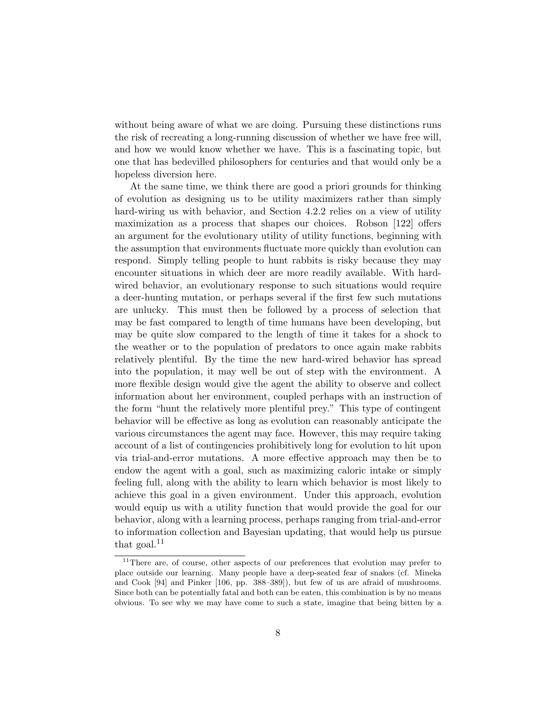without being aware of what we are doing. Pursuing these distinctions runs the risk of recreating a long-running discussion of whether we have free will, and how we would know whether we have. This is a fascinating topic, but one that has bedevilled philosophers for centuries and that would only be a hopeless diversion here.

At the same time, we think there are good a priori grounds for thinking of evolution as designing us to be utility maximizers rather than simply hard-wiring us with behavior, and Section 4.2.2 relies on a view of utility maximization as a process that shapes our choices. Robson [122] offers an argument for the evolutionary utility of utility functions, beginning with the assumption that environments fluctuate more quickly than evolution can respond. Simply telling people to hunt rabbits is risky because they may encounter situations in which deer are more readily available. With hardwired behavior, an evolutionary response to such situations would require a deer-hunting mutation, or perhaps several if the first few such mutations are unlucky. This must then be followed by a process of selection that may be fast compared to length of time humans have been developing, but may be quite slow compared to the length of time it takes for a shock to the weather or to the population of predators to once again make rabbits relatively plentiful. By the time the new hard-wired behavior has spread into the population, it may well be out of step with the environment. A more flexible design would give the agent the ability to observe and collect information about her environment, coupled perhaps with an instruction of the form "hunt the relatively more plentiful prey." This type of contingent behavior will be effective as long as evolution can reasonably anticipate the various circumstances the agent may face. However, this may require taking account of a list of contingencies prohibitively long for evolution to hit upon via trial-and-error mutations. A more effective approach may then be to endow the agent with a goal, such as maximizing caloric intake or simply feeling full, along with the ability to learn which behavior is most likely to achieve this goal in a given environment. Under this approach, evolution would equip us with a utility function that would provide the goal for our behavior, along with a learning process, perhaps ranging from trial-and-error to information collection and Bayesian updating, that would help us pursue that goal. $^{11}$ 

<sup>&</sup>lt;sup>11</sup>There are, of course, other aspects of our preferences that evolution may prefer to place outside our learning. Many people have a deep-seated fear of snakes (cf. Mineka and Cook [94] and Pinker [106, pp. 388–389]), but few of us are afraid of mushrooms. Since both can be potentially fatal and both can be eaten, this combination is by no means obvious. To see why we may have come to such a state, imagine that being bitten by a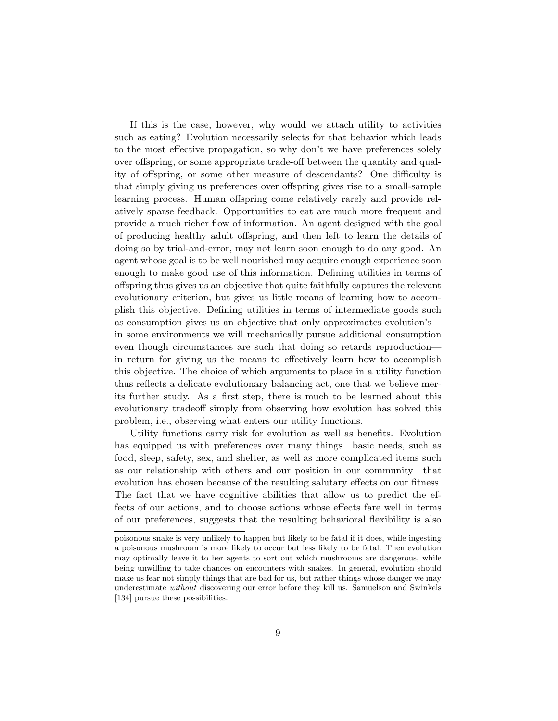If this is the case, however, why would we attach utility to activities such as eating? Evolution necessarily selects for that behavior which leads to the most effective propagation, so why don't we have preferences solely over offspring, or some appropriate trade-off between the quantity and quality of offspring, or some other measure of descendants? One difficulty is that simply giving us preferences over offspring gives rise to a small-sample learning process. Human offspring come relatively rarely and provide relatively sparse feedback. Opportunities to eat are much more frequent and provide a much richer flow of information. An agent designed with the goal of producing healthy adult offspring, and then left to learn the details of doing so by trial-and-error, may not learn soon enough to do any good. An agent whose goal is to be well nourished may acquire enough experience soon enough to make good use of this information. Defining utilities in terms of offspring thus gives us an objective that quite faithfully captures the relevant evolutionary criterion, but gives us little means of learning how to accomplish this objective. Defining utilities in terms of intermediate goods such as consumption gives us an objective that only approximates evolution's in some environments we will mechanically pursue additional consumption even though circumstances are such that doing so retards reproduction in return for giving us the means to effectively learn how to accomplish this objective. The choice of which arguments to place in a utility function thus reflects a delicate evolutionary balancing act, one that we believe merits further study. As a first step, there is much to be learned about this evolutionary tradeoff simply from observing how evolution has solved this problem, i.e., observing what enters our utility functions.

Utility functions carry risk for evolution as well as benefits. Evolution has equipped us with preferences over many things—basic needs, such as food, sleep, safety, sex, and shelter, as well as more complicated items such as our relationship with others and our position in our community—that evolution has chosen because of the resulting salutary effects on our fitness. The fact that we have cognitive abilities that allow us to predict the effects of our actions, and to choose actions whose effects fare well in terms of our preferences, suggests that the resulting behavioral flexibility is also

poisonous snake is very unlikely to happen but likely to be fatal if it does, while ingesting a poisonous mushroom is more likely to occur but less likely to be fatal. Then evolution may optimally leave it to her agents to sort out which mushrooms are dangerous, while being unwilling to take chances on encounters with snakes. In general, evolution should make us fear not simply things that are bad for us, but rather things whose danger we may underestimate *without* discovering our error before they kill us. Samuelson and Swinkels [134] pursue these possibilities.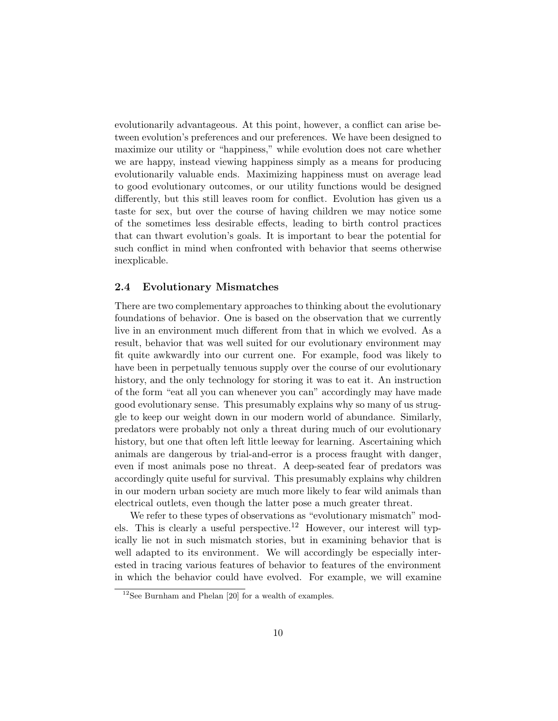evolutionarily advantageous. At this point, however, a conflict can arise between evolution's preferences and our preferences. We have been designed to maximize our utility or "happiness," while evolution does not care whether we are happy, instead viewing happiness simply as a means for producing evolutionarily valuable ends. Maximizing happiness must on average lead to good evolutionary outcomes, or our utility functions would be designed differently, but this still leaves room for conflict. Evolution has given us a taste for sex, but over the course of having children we may notice some of the sometimes less desirable effects, leading to birth control practices that can thwart evolution's goals. It is important to bear the potential for such conflict in mind when confronted with behavior that seems otherwise inexplicable.

#### 2.4 Evolutionary Mismatches

There are two complementary approaches to thinking about the evolutionary foundations of behavior. One is based on the observation that we currently live in an environment much different from that in which we evolved. As a result, behavior that was well suited for our evolutionary environment may fit quite awkwardly into our current one. For example, food was likely to have been in perpetually tenuous supply over the course of our evolutionary history, and the only technology for storing it was to eat it. An instruction of the form "eat all you can whenever you can" accordingly may have made good evolutionary sense. This presumably explains why so many of us struggle to keep our weight down in our modern world of abundance. Similarly, predators were probably not only a threat during much of our evolutionary history, but one that often left little leeway for learning. Ascertaining which animals are dangerous by trial-and-error is a process fraught with danger, even if most animals pose no threat. A deep-seated fear of predators was accordingly quite useful for survival. This presumably explains why children in our modern urban society are much more likely to fear wild animals than electrical outlets, even though the latter pose a much greater threat.

We refer to these types of observations as "evolutionary mismatch" models. This is clearly a useful perspective.<sup>12</sup> However, our interest will typically lie not in such mismatch stories, but in examining behavior that is well adapted to its environment. We will accordingly be especially interested in tracing various features of behavior to features of the environment in which the behavior could have evolved. For example, we will examine

<sup>12</sup>See Burnham and Phelan [20] for a wealth of examples.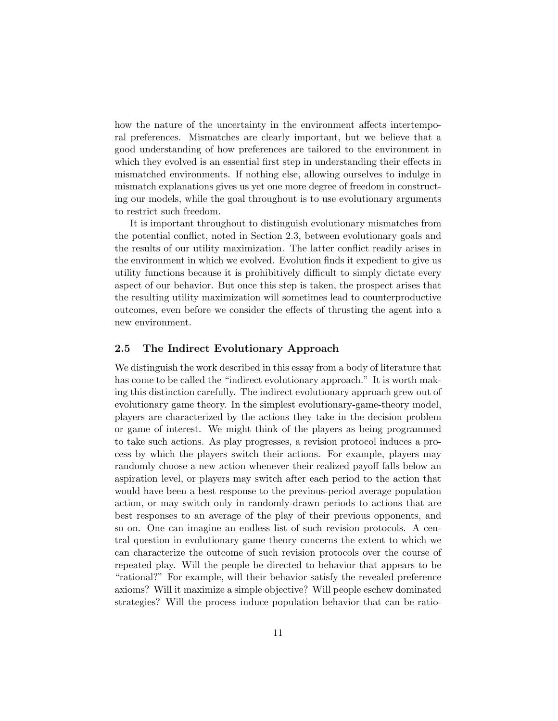how the nature of the uncertainty in the environment affects intertemporal preferences. Mismatches are clearly important, but we believe that a good understanding of how preferences are tailored to the environment in which they evolved is an essential first step in understanding their effects in mismatched environments. If nothing else, allowing ourselves to indulge in mismatch explanations gives us yet one more degree of freedom in constructing our models, while the goal throughout is to use evolutionary arguments to restrict such freedom.

It is important throughout to distinguish evolutionary mismatches from the potential conflict, noted in Section 2.3, between evolutionary goals and the results of our utility maximization. The latter conflict readily arises in the environment in which we evolved. Evolution finds it expedient to give us utility functions because it is prohibitively difficult to simply dictate every aspect of our behavior. But once this step is taken, the prospect arises that the resulting utility maximization will sometimes lead to counterproductive outcomes, even before we consider the effects of thrusting the agent into a new environment.

#### 2.5 The Indirect Evolutionary Approach

We distinguish the work described in this essay from a body of literature that has come to be called the "indirect evolutionary approach." It is worth making this distinction carefully. The indirect evolutionary approach grew out of evolutionary game theory. In the simplest evolutionary-game-theory model, players are characterized by the actions they take in the decision problem or game of interest. We might think of the players as being programmed to take such actions. As play progresses, a revision protocol induces a process by which the players switch their actions. For example, players may randomly choose a new action whenever their realized payoff falls below an aspiration level, or players may switch after each period to the action that would have been a best response to the previous-period average population action, or may switch only in randomly-drawn periods to actions that are best responses to an average of the play of their previous opponents, and so on. One can imagine an endless list of such revision protocols. A central question in evolutionary game theory concerns the extent to which we can characterize the outcome of such revision protocols over the course of repeated play. Will the people be directed to behavior that appears to be "rational?" For example, will their behavior satisfy the revealed preference axioms? Will it maximize a simple objective? Will people eschew dominated strategies? Will the process induce population behavior that can be ratio-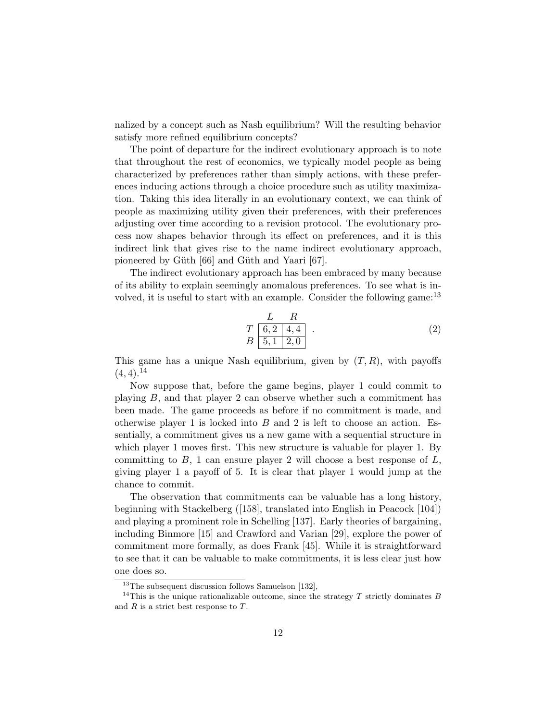nalized by a concept such as Nash equilibrium? Will the resulting behavior satisfy more refined equilibrium concepts?

The point of departure for the indirect evolutionary approach is to note that throughout the rest of economics, we typically model people as being characterized by preferences rather than simply actions, with these preferences inducing actions through a choice procedure such as utility maximization. Taking this idea literally in an evolutionary context, we can think of people as maximizing utility given their preferences, with their preferences adjusting over time according to a revision protocol. The evolutionary process now shapes behavior through its effect on preferences, and it is this indirect link that gives rise to the name indirect evolutionary approach, pioneered by Güth [66] and Güth and Yaari [67].

The indirect evolutionary approach has been embraced by many because of its ability to explain seemingly anomalous preferences. To see what is involved, it is useful to start with an example. Consider the following game:  $13$ 

$$
\begin{array}{c|c}\n & L & R \\
T & 6,2 & 4,4 \\
B & 5,1 & 2,0\n\end{array}.
$$
\n(2)

This game has a unique Nash equilibrium, given by  $(T, R)$ , with payoffs  $(4, 4).^{14}$ 

Now suppose that, before the game begins, player 1 could commit to playing B, and that player 2 can observe whether such a commitment has been made. The game proceeds as before if no commitment is made, and otherwise player 1 is locked into  $B$  and 2 is left to choose an action. Essentially, a commitment gives us a new game with a sequential structure in which player 1 moves first. This new structure is valuable for player 1. By committing to  $B$ , 1 can ensure player 2 will choose a best response of  $L$ , giving player 1 a payoff of 5. It is clear that player 1 would jump at the chance to commit.

The observation that commitments can be valuable has a long history, beginning with Stackelberg ([158], translated into English in Peacock [104]) and playing a prominent role in Schelling [137]. Early theories of bargaining, including Binmore [15] and Crawford and Varian [29], explore the power of commitment more formally, as does Frank [45]. While it is straightforward to see that it can be valuable to make commitments, it is less clear just how one does so.

<sup>&</sup>lt;sup>13</sup>The subsequent discussion follows Samuelson [132],

<sup>&</sup>lt;sup>14</sup>This is the unique rationalizable outcome, since the strategy  $T$  strictly dominates  $B$ and  $R$  is a strict best response to  $T$ .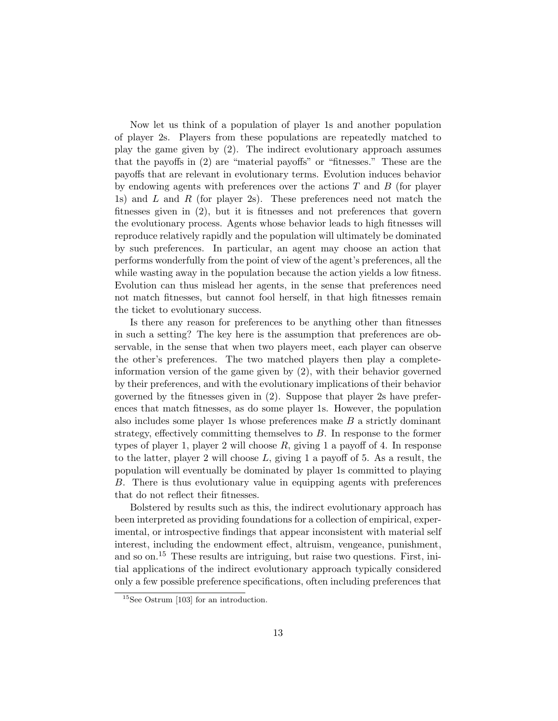Now let us think of a population of player 1s and another population of player 2s. Players from these populations are repeatedly matched to play the game given by (2). The indirect evolutionary approach assumes that the payoffs in (2) are "material payoffs" or "fitnesses." These are the payoffs that are relevant in evolutionary terms. Evolution induces behavior by endowing agents with preferences over the actions  $T$  and  $B$  (for player 1s) and  $L$  and  $R$  (for player 2s). These preferences need not match the fitnesses given in (2), but it is fitnesses and not preferences that govern the evolutionary process. Agents whose behavior leads to high fitnesses will reproduce relatively rapidly and the population will ultimately be dominated by such preferences. In particular, an agent may choose an action that performs wonderfully from the point of view of the agent's preferences, all the while wasting away in the population because the action yields a low fitness. Evolution can thus mislead her agents, in the sense that preferences need not match fitnesses, but cannot fool herself, in that high fitnesses remain the ticket to evolutionary success.

Is there any reason for preferences to be anything other than fitnesses in such a setting? The key here is the assumption that preferences are observable, in the sense that when two players meet, each player can observe the other's preferences. The two matched players then play a completeinformation version of the game given by (2), with their behavior governed by their preferences, and with the evolutionary implications of their behavior governed by the fitnesses given in (2). Suppose that player 2s have preferences that match fitnesses, as do some player 1s. However, the population also includes some player 1s whose preferences make B a strictly dominant strategy, effectively committing themselves to B. In response to the former types of player 1, player 2 will choose  $R$ , giving 1 a payoff of 4. In response to the latter, player 2 will choose  $L$ , giving 1 a payoff of 5. As a result, the population will eventually be dominated by player 1s committed to playing B. There is thus evolutionary value in equipping agents with preferences that do not reflect their fitnesses.

Bolstered by results such as this, the indirect evolutionary approach has been interpreted as providing foundations for a collection of empirical, experimental, or introspective findings that appear inconsistent with material self interest, including the endowment effect, altruism, vengeance, punishment, and so on.<sup>15</sup> These results are intriguing, but raise two questions. First, initial applications of the indirect evolutionary approach typically considered only a few possible preference specifications, often including preferences that

<sup>&</sup>lt;sup>15</sup>See Ostrum [103] for an introduction.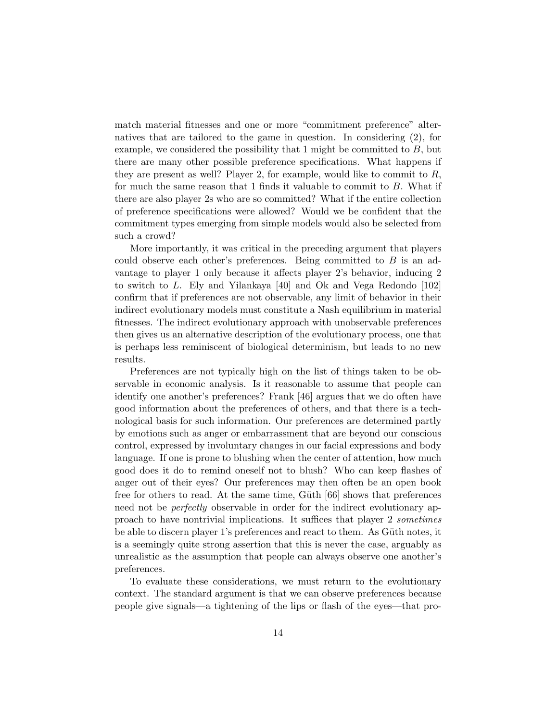match material fitnesses and one or more "commitment preference" alternatives that are tailored to the game in question. In considering (2), for example, we considered the possibility that  $1$  might be committed to  $B$ , but there are many other possible preference specifications. What happens if they are present as well? Player 2, for example, would like to commit to  $R$ , for much the same reason that 1 finds it valuable to commit to  $B$ . What if there are also player 2s who are so committed? What if the entire collection of preference specifications were allowed? Would we be confident that the commitment types emerging from simple models would also be selected from such a crowd?

More importantly, it was critical in the preceding argument that players could observe each other's preferences. Being committed to  $B$  is an advantage to player 1 only because it affects player 2's behavior, inducing 2 to switch to L. Ely and Yilankaya [40] and Ok and Vega Redondo [102] confirm that if preferences are not observable, any limit of behavior in their indirect evolutionary models must constitute a Nash equilibrium in material fitnesses. The indirect evolutionary approach with unobservable preferences then gives us an alternative description of the evolutionary process, one that is perhaps less reminiscent of biological determinism, but leads to no new results.

Preferences are not typically high on the list of things taken to be observable in economic analysis. Is it reasonable to assume that people can identify one another's preferences? Frank [46] argues that we do often have good information about the preferences of others, and that there is a technological basis for such information. Our preferences are determined partly by emotions such as anger or embarrassment that are beyond our conscious control, expressed by involuntary changes in our facial expressions and body language. If one is prone to blushing when the center of attention, how much good does it do to remind oneself not to blush? Who can keep flashes of anger out of their eyes? Our preferences may then often be an open book free for others to read. At the same time, Güth [66] shows that preferences need not be *perfectly* observable in order for the indirect evolutionary approach to have nontrivial implications. It suffices that player 2 sometimes be able to discern player 1's preferences and react to them. As Güth notes, it is a seemingly quite strong assertion that this is never the case, arguably as unrealistic as the assumption that people can always observe one another's preferences.

To evaluate these considerations, we must return to the evolutionary context. The standard argument is that we can observe preferences because people give signals—a tightening of the lips or flash of the eyes—that pro-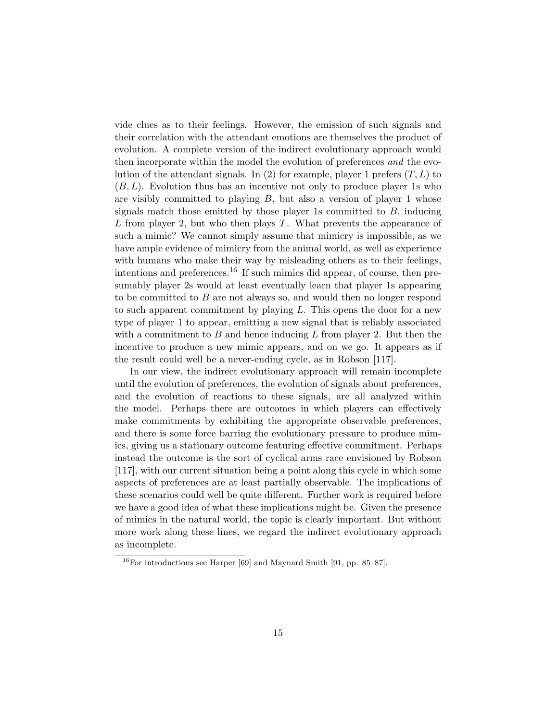vide clues as to their feelings. However, the emission of such signals and their correlation with the attendant emotions are themselves the product of evolution. A complete version of the indirect evolutionary approach would then incorporate within the model the evolution of preferences and the evolution of the attendant signals. In (2) for example, player 1 prefers  $(T, L)$  to  $(B, L)$ . Evolution thus has an incentive not only to produce player 1s who are visibly committed to playing  $B$ , but also a version of player 1 whose signals match those emitted by those player 1s committed to  $B$ , inducing L from player 2, but who then plays  $T$ . What prevents the appearance of such a mimic? We cannot simply assume that mimicry is impossible, as we have ample evidence of mimicry from the animal world, as well as experience with humans who make their way by misleading others as to their feelings, intentions and preferences.<sup>16</sup> If such mimics did appear, of course, then presumably player 2s would at least eventually learn that player 1s appearing to be committed to B are not always so, and would then no longer respond to such apparent commitment by playing  $L$ . This opens the door for a new type of player 1 to appear, emitting a new signal that is reliably associated with a commitment to  $B$  and hence inducing  $L$  from player 2. But then the incentive to produce a new mimic appears, and on we go. It appears as if the result could well be a never-ending cycle, as in Robson [117].

In our view, the indirect evolutionary approach will remain incomplete until the evolution of preferences, the evolution of signals about preferences, and the evolution of reactions to these signals, are all analyzed within the model. Perhaps there are outcomes in which players can effectively make commitments by exhibiting the appropriate observable preferences, and there is some force barring the evolutionary pressure to produce mimics, giving us a stationary outcome featuring effective commitment. Perhaps instead the outcome is the sort of cyclical arms race envisioned by Robson [117], with our current situation being a point along this cycle in which some aspects of preferences are at least partially observable. The implications of these scenarios could well be quite different. Further work is required before we have a good idea of what these implications might be. Given the presence of mimics in the natural world, the topic is clearly important. But without more work along these lines, we regard the indirect evolutionary approach as incomplete.

 $16$ For introductions see Harper [69] and Maynard Smith [91, pp. 85–87].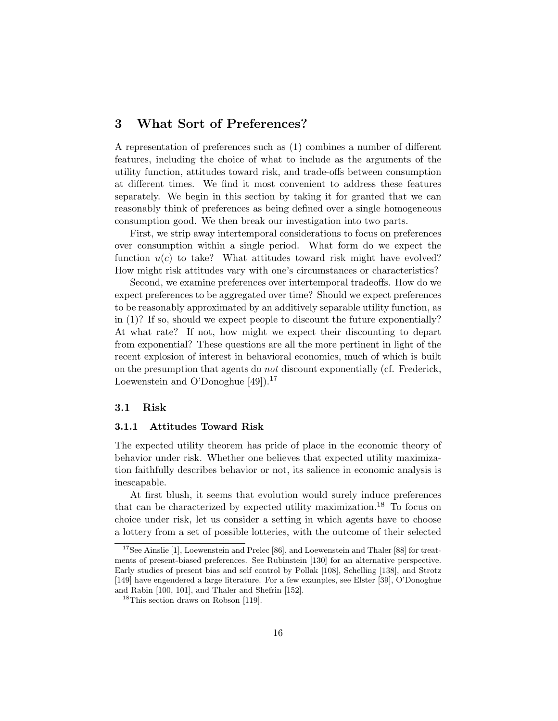## 3 What Sort of Preferences?

A representation of preferences such as (1) combines a number of different features, including the choice of what to include as the arguments of the utility function, attitudes toward risk, and trade-offs between consumption at different times. We find it most convenient to address these features separately. We begin in this section by taking it for granted that we can reasonably think of preferences as being defined over a single homogeneous consumption good. We then break our investigation into two parts.

First, we strip away intertemporal considerations to focus on preferences over consumption within a single period. What form do we expect the function  $u(c)$  to take? What attitudes toward risk might have evolved? How might risk attitudes vary with one's circumstances or characteristics?

Second, we examine preferences over intertemporal tradeoffs. How do we expect preferences to be aggregated over time? Should we expect preferences to be reasonably approximated by an additively separable utility function, as in (1)? If so, should we expect people to discount the future exponentially? At what rate? If not, how might we expect their discounting to depart from exponential? These questions are all the more pertinent in light of the recent explosion of interest in behavioral economics, much of which is built on the presumption that agents do not discount exponentially (cf. Frederick, Loewenstein and O'Donoghue  $[49]$ .<sup>17</sup>

#### 3.1 Risk

#### 3.1.1 Attitudes Toward Risk

The expected utility theorem has pride of place in the economic theory of behavior under risk. Whether one believes that expected utility maximization faithfully describes behavior or not, its salience in economic analysis is inescapable.

At first blush, it seems that evolution would surely induce preferences that can be characterized by expected utility maximization.<sup>18</sup> To focus on choice under risk, let us consider a setting in which agents have to choose a lottery from a set of possible lotteries, with the outcome of their selected

<sup>&</sup>lt;sup>17</sup>See Ainslie [1], Loewenstein and Prelec [86], and Loewenstein and Thaler [88] for treatments of present-biased preferences. See Rubinstein [130] for an alternative perspective. Early studies of present bias and self control by Pollak [108], Schelling [138], and Strotz [149] have engendered a large literature. For a few examples, see Elster [39], O'Donoghue and Rabin [100, 101], and Thaler and Shefrin [152].

 $18$ This section draws on Robson [119].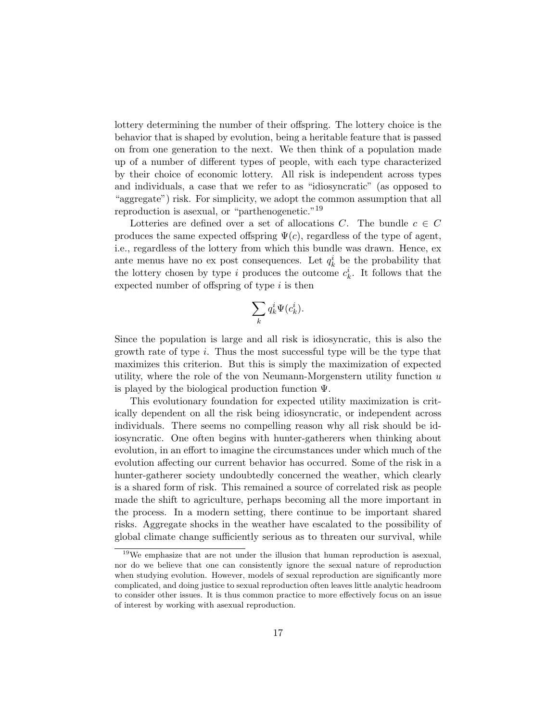lottery determining the number of their offspring. The lottery choice is the behavior that is shaped by evolution, being a heritable feature that is passed on from one generation to the next. We then think of a population made up of a number of different types of people, with each type characterized by their choice of economic lottery. All risk is independent across types and individuals, a case that we refer to as "idiosyncratic" (as opposed to "aggregate") risk. For simplicity, we adopt the common assumption that all reproduction is asexual, or "parthenogenetic."<sup>19</sup>

Lotteries are defined over a set of allocations C. The bundle  $c \in C$ produces the same expected offspring  $\Psi(c)$ , regardless of the type of agent, i.e., regardless of the lottery from which this bundle was drawn. Hence, ex ante menus have no ex post consequences. Let  $q_k^i$  be the probability that the lottery chosen by type i produces the outcome  $c_k^i$ . It follows that the expected number of offspring of type  $i$  is then

$$
\sum_k q_k^i \Psi(c_k^i).
$$

Since the population is large and all risk is idiosyncratic, this is also the growth rate of type  $i$ . Thus the most successful type will be the type that maximizes this criterion. But this is simply the maximization of expected utility, where the role of the von Neumann-Morgenstern utility function  $u$ is played by the biological production function  $\Psi$ .

This evolutionary foundation for expected utility maximization is critically dependent on all the risk being idiosyncratic, or independent across individuals. There seems no compelling reason why all risk should be idiosyncratic. One often begins with hunter-gatherers when thinking about evolution, in an effort to imagine the circumstances under which much of the evolution affecting our current behavior has occurred. Some of the risk in a hunter-gatherer society undoubtedly concerned the weather, which clearly is a shared form of risk. This remained a source of correlated risk as people made the shift to agriculture, perhaps becoming all the more important in the process. In a modern setting, there continue to be important shared risks. Aggregate shocks in the weather have escalated to the possibility of global climate change sufficiently serious as to threaten our survival, while

<sup>19</sup>We emphasize that are not under the illusion that human reproduction is asexual, nor do we believe that one can consistently ignore the sexual nature of reproduction when studying evolution. However, models of sexual reproduction are significantly more complicated, and doing justice to sexual reproduction often leaves little analytic headroom to consider other issues. It is thus common practice to more effectively focus on an issue of interest by working with asexual reproduction.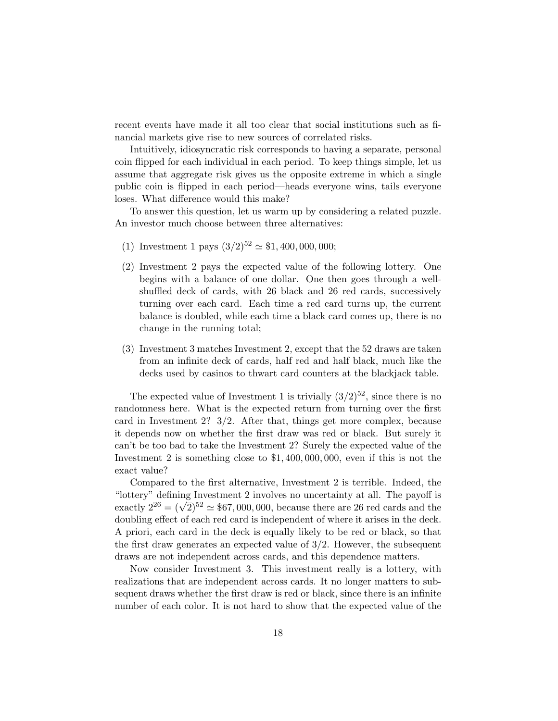recent events have made it all too clear that social institutions such as financial markets give rise to new sources of correlated risks.

Intuitively, idiosyncratic risk corresponds to having a separate, personal coin flipped for each individual in each period. To keep things simple, let us assume that aggregate risk gives us the opposite extreme in which a single public coin is flipped in each period—heads everyone wins, tails everyone loses. What difference would this make?

To answer this question, let us warm up by considering a related puzzle. An investor much choose between three alternatives:

- (1) Investment 1 pays  $(3/2)^{52} \approx $1,400,000,000;$
- (2) Investment 2 pays the expected value of the following lottery. One begins with a balance of one dollar. One then goes through a wellshuffled deck of cards, with 26 black and 26 red cards, successively turning over each card. Each time a red card turns up, the current balance is doubled, while each time a black card comes up, there is no change in the running total;
- (3) Investment 3 matches Investment 2, except that the 52 draws are taken from an infinite deck of cards, half red and half black, much like the decks used by casinos to thwart card counters at the blackjack table.

The expected value of Investment 1 is trivially  $(3/2)^{52}$ , since there is no randomness here. What is the expected return from turning over the first card in Investment 2? 3/2. After that, things get more complex, because it depends now on whether the first draw was red or black. But surely it can't be too bad to take the Investment 2? Surely the expected value of the Investment 2 is something close to \$1, 400, 000, 000, even if this is not the exact value?

Compared to the first alternative, Investment 2 is terrible. Indeed, the "lottery" defining Investment 2 involves no uncertainty at all. The payoff is Following the same are 20 red cards and the exactly  $2^{26} = (\sqrt{2})^{52} \approx $67,000,000$ , because there are 26 red cards and the doubling effect of each red card is independent of where it arises in the deck. A priori, each card in the deck is equally likely to be red or black, so that the first draw generates an expected value of 3/2. However, the subsequent draws are not independent across cards, and this dependence matters.

Now consider Investment 3. This investment really is a lottery, with realizations that are independent across cards. It no longer matters to subsequent draws whether the first draw is red or black, since there is an infinite number of each color. It is not hard to show that the expected value of the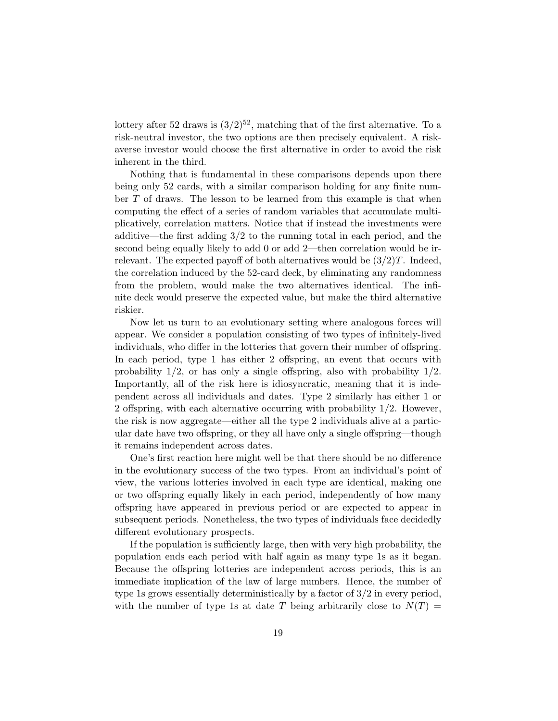lottery after 52 draws is  $(3/2)^{52}$ , matching that of the first alternative. To a risk-neutral investor, the two options are then precisely equivalent. A riskaverse investor would choose the first alternative in order to avoid the risk inherent in the third.

Nothing that is fundamental in these comparisons depends upon there being only 52 cards, with a similar comparison holding for any finite number  $T$  of draws. The lesson to be learned from this example is that when computing the effect of a series of random variables that accumulate multiplicatively, correlation matters. Notice that if instead the investments were additive—the first adding 3/2 to the running total in each period, and the second being equally likely to add 0 or add 2—then correlation would be irrelevant. The expected payoff of both alternatives would be  $(3/2)T$ . Indeed, the correlation induced by the 52-card deck, by eliminating any randomness from the problem, would make the two alternatives identical. The infinite deck would preserve the expected value, but make the third alternative riskier.

Now let us turn to an evolutionary setting where analogous forces will appear. We consider a population consisting of two types of infinitely-lived individuals, who differ in the lotteries that govern their number of offspring. In each period, type 1 has either 2 offspring, an event that occurs with probability  $1/2$ , or has only a single offspring, also with probability  $1/2$ . Importantly, all of the risk here is idiosyncratic, meaning that it is independent across all individuals and dates. Type 2 similarly has either 1 or 2 offspring, with each alternative occurring with probability 1/2. However, the risk is now aggregate—either all the type 2 individuals alive at a particular date have two offspring, or they all have only a single offspring—though it remains independent across dates.

One's first reaction here might well be that there should be no difference in the evolutionary success of the two types. From an individual's point of view, the various lotteries involved in each type are identical, making one or two offspring equally likely in each period, independently of how many offspring have appeared in previous period or are expected to appear in subsequent periods. Nonetheless, the two types of individuals face decidedly different evolutionary prospects.

If the population is sufficiently large, then with very high probability, the population ends each period with half again as many type 1s as it began. Because the offspring lotteries are independent across periods, this is an immediate implication of the law of large numbers. Hence, the number of type 1s grows essentially deterministically by a factor of 3/2 in every period, with the number of type 1s at date T being arbitrarily close to  $N(T)$  =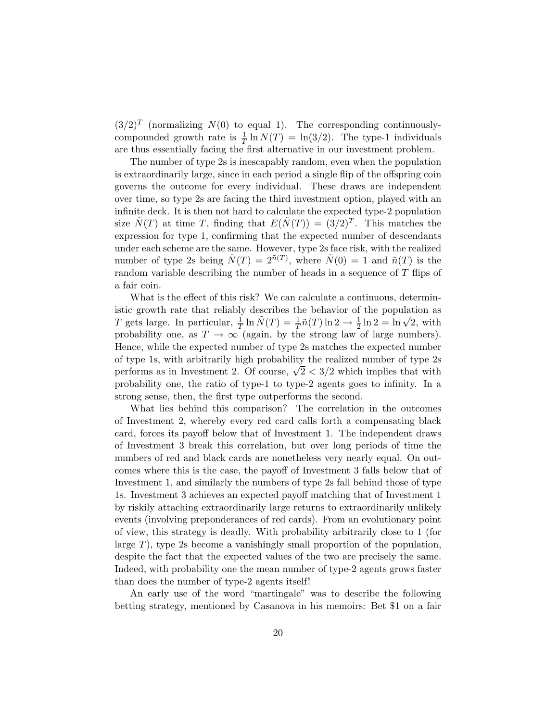$(3/2)^T$  (normalizing  $N(0)$  to equal 1). The corresponding continuouslycompounded growth rate is  $\frac{1}{T} \ln N(T) = \ln(3/2)$ . The type-1 individuals are thus essentially facing the first alternative in our investment problem.

The number of type 2s is inescapably random, even when the population is extraordinarily large, since in each period a single flip of the offspring coin governs the outcome for every individual. These draws are independent over time, so type 2s are facing the third investment option, played with an infinite deck. It is then not hard to calculate the expected type-2 population size  $\tilde{N}(T)$  at time T, finding that  $E(\tilde{N}(T)) = (3/2)^T$ . This matches the expression for type 1, confirming that the expected number of descendants under each scheme are the same. However, type 2s face risk, with the realized number of type 2s being  $\tilde{N}(T) = 2^{\tilde{n}(T)}$ , where  $\tilde{N}(0) = 1$  and  $\tilde{n}(T)$  is the random variable describing the number of heads in a sequence of T flips of a fair coin.

What is the effect of this risk? We can calculate a continuous, deterministic growth rate that reliably describes the behavior of the population as Exerc growth rate that renably describes the behavior of the population as <br>T gets large. In particular,  $\frac{1}{T} \ln \tilde{N}(T) = \frac{1}{T} \tilde{n}(T) \ln 2 \to \frac{1}{2} \ln 2 = \ln \sqrt{2}$ , with probability one, as  $T \to \infty$  (again, by the strong law of large numbers). Hence, while the expected number of type 2s matches the expected number of type 1s, with arbitrarily high probability the realized number of type 2s or type is, with arbitrarily high probability the realized number of type 2s<br>performs as in Investment 2. Of course,  $\sqrt{2}$  < 3/2 which implies that with probability one, the ratio of type-1 to type-2 agents goes to infinity. In a strong sense, then, the first type outperforms the second.

What lies behind this comparison? The correlation in the outcomes of Investment 2, whereby every red card calls forth a compensating black card, forces its payoff below that of Investment 1. The independent draws of Investment 3 break this correlation, but over long periods of time the numbers of red and black cards are nonetheless very nearly equal. On outcomes where this is the case, the payoff of Investment 3 falls below that of Investment 1, and similarly the numbers of type 2s fall behind those of type 1s. Investment 3 achieves an expected payoff matching that of Investment 1 by riskily attaching extraordinarily large returns to extraordinarily unlikely events (involving preponderances of red cards). From an evolutionary point of view, this strategy is deadly. With probability arbitrarily close to 1 (for large  $T$ ), type 2s become a vanishingly small proportion of the population, despite the fact that the expected values of the two are precisely the same. Indeed, with probability one the mean number of type-2 agents grows faster than does the number of type-2 agents itself!

An early use of the word "martingale" was to describe the following betting strategy, mentioned by Casanova in his memoirs: Bet \$1 on a fair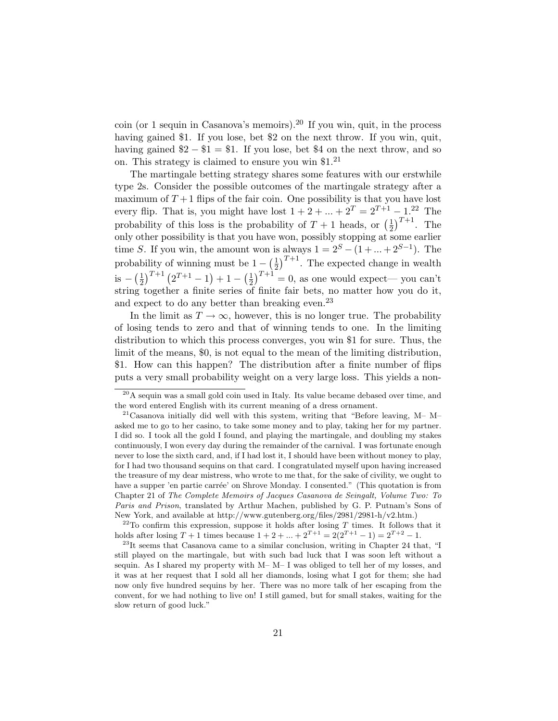coin (or 1 sequin in Casanova's memoirs).<sup>20</sup> If you win, quit, in the process having gained \$1. If you lose, bet \$2 on the next throw. If you win, quit, having gained  $$2 - $1 = $1$ . If you lose, bet \$4 on the next throw, and so on. This strategy is claimed to ensure you win  $$1<sup>21</sup>$ 

The martingale betting strategy shares some features with our erstwhile type 2s. Consider the possible outcomes of the martingale strategy after a maximum of  $T+1$  flips of the fair coin. One possibility is that you have lost every flip. That is, you might have lost  $1 + 2 + ... + 2^T = 2^{T+1} - 1^{22}$  The probability of this loss is the probability of  $T+1$  heads, or  $(\frac{1}{2})$  $(\frac{1}{2})^{T+1}$ . The only other possibility is that you have won, possibly stopping at some earlier time S. If you win, the amount won is always  $1 = 2<sup>S</sup> - (1 + ... + 2<sup>S-1</sup>)$ . The probability of winning must be  $1 - \left(\frac{1}{2}\right)$  $\frac{1}{2}$ )<sup>T+1</sup>. The expected change in wealth is  $-\left(\frac{1}{2}\right)$  $\left(\frac{1}{2}\right)^{T+1} \left(2^{T+1}-1\right) + 1 - \left(\frac{1}{2}\right)$  $\frac{1}{2}$ )<sup>T+1</sup> = 0, as one would expect— you can't string together a finite series of finite fair bets, no matter how you do it, and expect to do any better than breaking even.<sup>23</sup>

In the limit as  $T \to \infty$ , however, this is no longer true. The probability of losing tends to zero and that of winning tends to one. In the limiting distribution to which this process converges, you win \$1 for sure. Thus, the limit of the means, \$0, is not equal to the mean of the limiting distribution, \$1. How can this happen? The distribution after a finite number of flips puts a very small probability weight on a very large loss. This yields a non-

 $20A$  sequin was a small gold coin used in Italy. Its value became debased over time, and the word entered English with its current meaning of a dress ornament.

 $^{21}$ Casanova initially did well with this system, writing that "Before leaving, M- Masked me to go to her casino, to take some money and to play, taking her for my partner. I did so. I took all the gold I found, and playing the martingale, and doubling my stakes continuously, I won every day during the remainder of the carnival. I was fortunate enough never to lose the sixth card, and, if I had lost it, I should have been without money to play, for I had two thousand sequins on that card. I congratulated myself upon having increased the treasure of my dear mistress, who wrote to me that, for the sake of civility, we ought to have a supper 'en partie carrée' on Shrove Monday. I consented." (This quotation is from Chapter 21 of The Complete Memoirs of Jacques Casanova de Seingalt, Volume Two: To Paris and Prison, translated by Arthur Machen, published by G. P. Putnam's Sons of New York, and available at http://www.gutenberg.org/files/2981/2981-h/v2.htm.)

 $22$ To confirm this expression, suppose it holds after losing T times. It follows that it holds after losing  $T + 1$  times because  $1 + 2 + ... + 2^{T+1} = 2(2^{T+1} - 1) = 2^{T+2} - 1$ .

 $^{23}$ It seems that Casanova came to a similar conclusion, writing in Chapter 24 that, "I still played on the martingale, but with such bad luck that I was soon left without a sequin. As I shared my property with M– M– I was obliged to tell her of my losses, and it was at her request that I sold all her diamonds, losing what I got for them; she had now only five hundred sequins by her. There was no more talk of her escaping from the convent, for we had nothing to live on! I still gamed, but for small stakes, waiting for the slow return of good luck."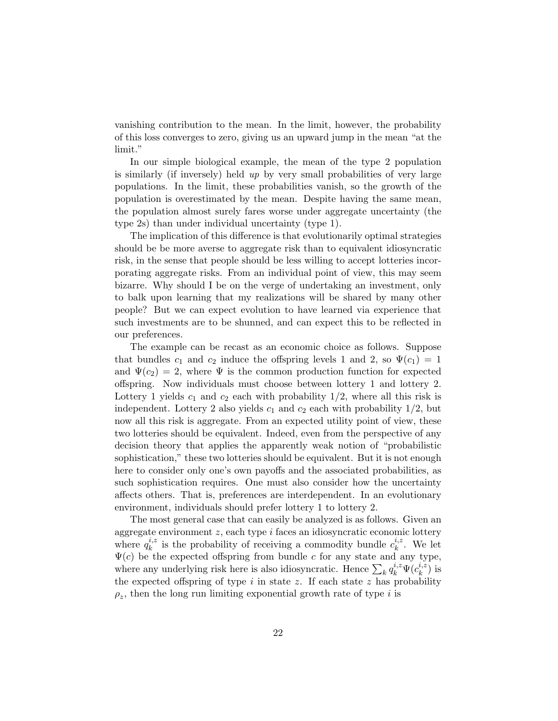vanishing contribution to the mean. In the limit, however, the probability of this loss converges to zero, giving us an upward jump in the mean "at the limit."

In our simple biological example, the mean of the type 2 population is similarly (if inversely) held up by very small probabilities of very large populations. In the limit, these probabilities vanish, so the growth of the population is overestimated by the mean. Despite having the same mean, the population almost surely fares worse under aggregate uncertainty (the type 2s) than under individual uncertainty (type 1).

The implication of this difference is that evolutionarily optimal strategies should be be more averse to aggregate risk than to equivalent idiosyncratic risk, in the sense that people should be less willing to accept lotteries incorporating aggregate risks. From an individual point of view, this may seem bizarre. Why should I be on the verge of undertaking an investment, only to balk upon learning that my realizations will be shared by many other people? But we can expect evolution to have learned via experience that such investments are to be shunned, and can expect this to be reflected in our preferences.

The example can be recast as an economic choice as follows. Suppose that bundles  $c_1$  and  $c_2$  induce the offspring levels 1 and 2, so  $\Psi(c_1) = 1$ and  $\Psi(c_2) = 2$ , where  $\Psi$  is the common production function for expected offspring. Now individuals must choose between lottery 1 and lottery 2. Lottery 1 yields  $c_1$  and  $c_2$  each with probability 1/2, where all this risk is independent. Lottery 2 also yields  $c_1$  and  $c_2$  each with probability  $1/2$ , but now all this risk is aggregate. From an expected utility point of view, these two lotteries should be equivalent. Indeed, even from the perspective of any decision theory that applies the apparently weak notion of "probabilistic sophistication," these two lotteries should be equivalent. But it is not enough here to consider only one's own payoffs and the associated probabilities, as such sophistication requires. One must also consider how the uncertainty affects others. That is, preferences are interdependent. In an evolutionary environment, individuals should prefer lottery 1 to lottery 2.

The most general case that can easily be analyzed is as follows. Given an aggregate environment  $z$ , each type  $i$  faces an idiosyncratic economic lottery where  $q_k^{i,z}$  $i, z$  is the probability of receiving a commodity bundle  $c_k^{i, z}$  $_k^{i,z}$ . We let  $\Psi(c)$  be the expected offspring from bundle c for any state and any type, where any underlying risk here is also idiosyncratic. Hence  $\sum_k q_k^{i,z} \Psi(c_k^{i,z})$  $\binom{i,z}{k}$  is the expected offspring of type  $i$  in state  $z$ . If each state  $z$  has probability  $\rho_z$ , then the long run limiting exponential growth rate of type *i* is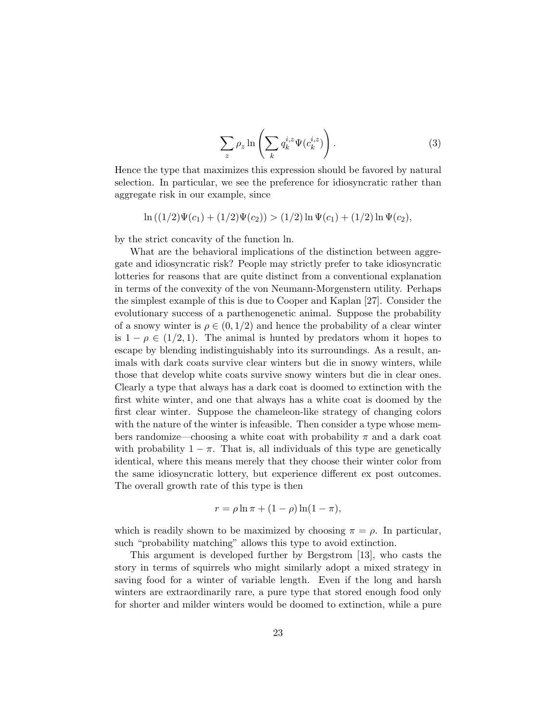$$
\sum_{z} \rho_z \ln \left( \sum_{k} q_k^{i,z} \Psi(c_k^{i,z}) \right). \tag{3}
$$

Hence the type that maximizes this expression should be favored by natural selection. In particular, we see the preference for idiosyncratic rather than aggregate risk in our example, since

$$
\ln ((1/2)\Psi(c_1) + (1/2)\Psi(c_2)) > (1/2)\ln \Psi(c_1) + (1/2)\ln \Psi(c_2),
$$

by the strict concavity of the function ln.

What are the behavioral implications of the distinction between aggregate and idiosyncratic risk? People may strictly prefer to take idiosyncratic lotteries for reasons that are quite distinct from a conventional explanation in terms of the convexity of the von Neumann-Morgenstern utility. Perhaps the simplest example of this is due to Cooper and Kaplan [27]. Consider the evolutionary success of a parthenogenetic animal. Suppose the probability of a snowy winter is  $\rho \in (0, 1/2)$  and hence the probability of a clear winter is  $1 - \rho \in (1/2, 1)$ . The animal is hunted by predators whom it hopes to escape by blending indistinguishably into its surroundings. As a result, animals with dark coats survive clear winters but die in snowy winters, while those that develop white coats survive snowy winters but die in clear ones. Clearly a type that always has a dark coat is doomed to extinction with the first white winter, and one that always has a white coat is doomed by the first clear winter. Suppose the chameleon-like strategy of changing colors with the nature of the winter is infeasible. Then consider a type whose members randomize—choosing a white coat with probability  $\pi$  and a dark coat with probability  $1 - \pi$ . That is, all individuals of this type are genetically identical, where this means merely that they choose their winter color from the same idiosyncratic lottery, but experience different ex post outcomes. The overall growth rate of this type is then

$$
r = \rho \ln \pi + (1 - \rho) \ln(1 - \pi),
$$

which is readily shown to be maximized by choosing  $\pi = \rho$ . In particular, such "probability matching" allows this type to avoid extinction.

This argument is developed further by Bergstrom [13], who casts the story in terms of squirrels who might similarly adopt a mixed strategy in saving food for a winter of variable length. Even if the long and harsh winters are extraordinarily rare, a pure type that stored enough food only for shorter and milder winters would be doomed to extinction, while a pure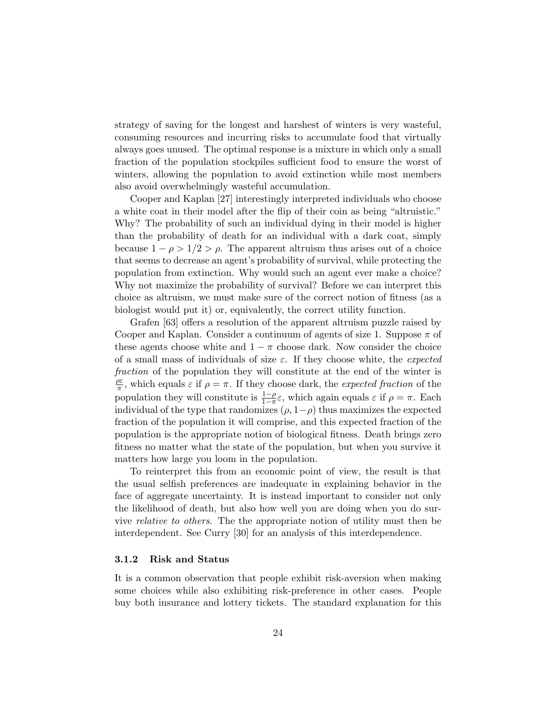strategy of saving for the longest and harshest of winters is very wasteful, consuming resources and incurring risks to accumulate food that virtually always goes unused. The optimal response is a mixture in which only a small fraction of the population stockpiles sufficient food to ensure the worst of winters, allowing the population to avoid extinction while most members also avoid overwhelmingly wasteful accumulation.

Cooper and Kaplan [27] interestingly interpreted individuals who choose a white coat in their model after the flip of their coin as being "altruistic." Why? The probability of such an individual dying in their model is higher than the probability of death for an individual with a dark coat, simply because  $1 - \rho > 1/2 > \rho$ . The apparent altruism thus arises out of a choice that seems to decrease an agent's probability of survival, while protecting the population from extinction. Why would such an agent ever make a choice? Why not maximize the probability of survival? Before we can interpret this choice as altruism, we must make sure of the correct notion of fitness (as a biologist would put it) or, equivalently, the correct utility function.

Grafen [63] offers a resolution of the apparent altruism puzzle raised by Cooper and Kaplan. Consider a continuum of agents of size 1. Suppose  $\pi$  of these agents choose white and  $1 - \pi$  choose dark. Now consider the choice of a small mass of individuals of size  $\varepsilon$ . If they choose white, the *expected* fraction of the population they will constitute at the end of the winter is ρε  $\frac{\partial \varepsilon}{\partial \tau}$ , which equals  $\varepsilon$  if  $\rho = \pi$ . If they choose dark, the *expected fraction* of the population they will constitute is  $\frac{1-\rho}{1-\pi}\varepsilon$ , which again equals  $\varepsilon$  if  $\rho = \pi$ . Each individual of the type that randomizes  $(\rho, 1-\rho)$  thus maximizes the expected fraction of the population it will comprise, and this expected fraction of the population is the appropriate notion of biological fitness. Death brings zero fitness no matter what the state of the population, but when you survive it matters how large you loom in the population.

To reinterpret this from an economic point of view, the result is that the usual selfish preferences are inadequate in explaining behavior in the face of aggregate uncertainty. It is instead important to consider not only the likelihood of death, but also how well you are doing when you do survive relative to others. The the appropriate notion of utility must then be interdependent. See Curry [30] for an analysis of this interdependence.

#### 3.1.2 Risk and Status

It is a common observation that people exhibit risk-aversion when making some choices while also exhibiting risk-preference in other cases. People buy both insurance and lottery tickets. The standard explanation for this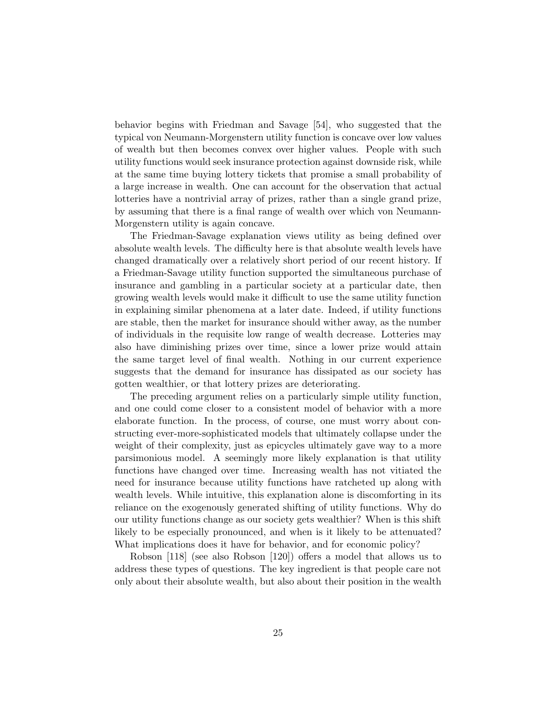behavior begins with Friedman and Savage [54], who suggested that the typical von Neumann-Morgenstern utility function is concave over low values of wealth but then becomes convex over higher values. People with such utility functions would seek insurance protection against downside risk, while at the same time buying lottery tickets that promise a small probability of a large increase in wealth. One can account for the observation that actual lotteries have a nontrivial array of prizes, rather than a single grand prize, by assuming that there is a final range of wealth over which von Neumann-Morgenstern utility is again concave.

The Friedman-Savage explanation views utility as being defined over absolute wealth levels. The difficulty here is that absolute wealth levels have changed dramatically over a relatively short period of our recent history. If a Friedman-Savage utility function supported the simultaneous purchase of insurance and gambling in a particular society at a particular date, then growing wealth levels would make it difficult to use the same utility function in explaining similar phenomena at a later date. Indeed, if utility functions are stable, then the market for insurance should wither away, as the number of individuals in the requisite low range of wealth decrease. Lotteries may also have diminishing prizes over time, since a lower prize would attain the same target level of final wealth. Nothing in our current experience suggests that the demand for insurance has dissipated as our society has gotten wealthier, or that lottery prizes are deteriorating.

The preceding argument relies on a particularly simple utility function, and one could come closer to a consistent model of behavior with a more elaborate function. In the process, of course, one must worry about constructing ever-more-sophisticated models that ultimately collapse under the weight of their complexity, just as epicycles ultimately gave way to a more parsimonious model. A seemingly more likely explanation is that utility functions have changed over time. Increasing wealth has not vitiated the need for insurance because utility functions have ratcheted up along with wealth levels. While intuitive, this explanation alone is discomforting in its reliance on the exogenously generated shifting of utility functions. Why do our utility functions change as our society gets wealthier? When is this shift likely to be especially pronounced, and when is it likely to be attenuated? What implications does it have for behavior, and for economic policy?

Robson [118] (see also Robson [120]) offers a model that allows us to address these types of questions. The key ingredient is that people care not only about their absolute wealth, but also about their position in the wealth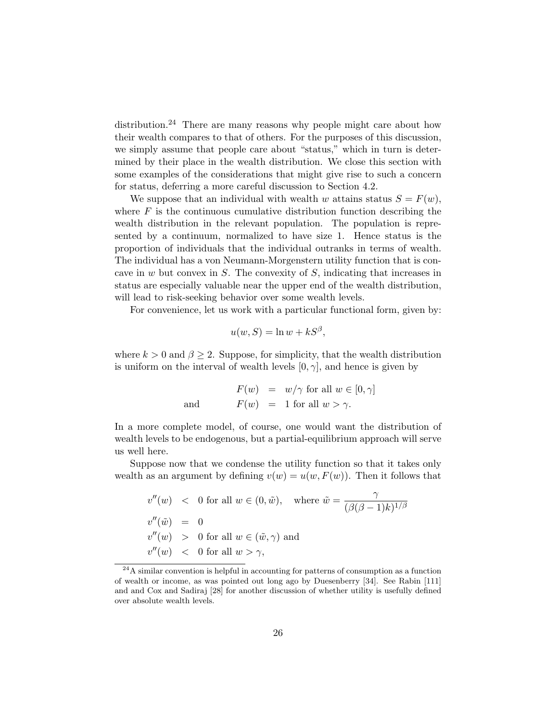distribution.<sup>24</sup> There are many reasons why people might care about how their wealth compares to that of others. For the purposes of this discussion, we simply assume that people care about "status," which in turn is determined by their place in the wealth distribution. We close this section with some examples of the considerations that might give rise to such a concern for status, deferring a more careful discussion to Section 4.2.

We suppose that an individual with wealth w attains status  $S = F(w)$ , where  $F$  is the continuous cumulative distribution function describing the wealth distribution in the relevant population. The population is represented by a continuum, normalized to have size 1. Hence status is the proportion of individuals that the individual outranks in terms of wealth. The individual has a von Neumann-Morgenstern utility function that is concave in w but convex in S. The convexity of S, indicating that increases in status are especially valuable near the upper end of the wealth distribution, will lead to risk-seeking behavior over some wealth levels.

For convenience, let us work with a particular functional form, given by:

$$
u(w, S) = \ln w + kS^{\beta},
$$

where  $k > 0$  and  $\beta \geq 2$ . Suppose, for simplicity, that the wealth distribution is uniform on the interval of wealth levels  $[0, \gamma]$ , and hence is given by

$$
F(w) = w/\gamma \text{ for all } w \in [0, \gamma]
$$
  
and 
$$
F(w) = 1 \text{ for all } w > \gamma.
$$

In a more complete model, of course, one would want the distribution of wealth levels to be endogenous, but a partial-equilibrium approach will serve us well here.

Suppose now that we condense the utility function so that it takes only wealth as an argument by defining  $v(w) = u(w, F(w))$ . Then it follows that

$$
v''(w) < 0 \text{ for all } w \in (0, \tilde{w}), \text{ where } \tilde{w} = \frac{\gamma}{(\beta(\beta - 1)k)^{1/\beta}}
$$
  
\n
$$
v''(\tilde{w}) = 0
$$
  
\n
$$
v''(w) > 0 \text{ for all } w \in (\tilde{w}, \gamma) \text{ and}
$$
  
\n
$$
v''(w) < 0 \text{ for all } w > \gamma,
$$

<sup>24</sup>A similar convention is helpful in accounting for patterns of consumption as a function of wealth or income, as was pointed out long ago by Duesenberry [34]. See Rabin [111] and and Cox and Sadiraj [28] for another discussion of whether utility is usefully defined over absolute wealth levels.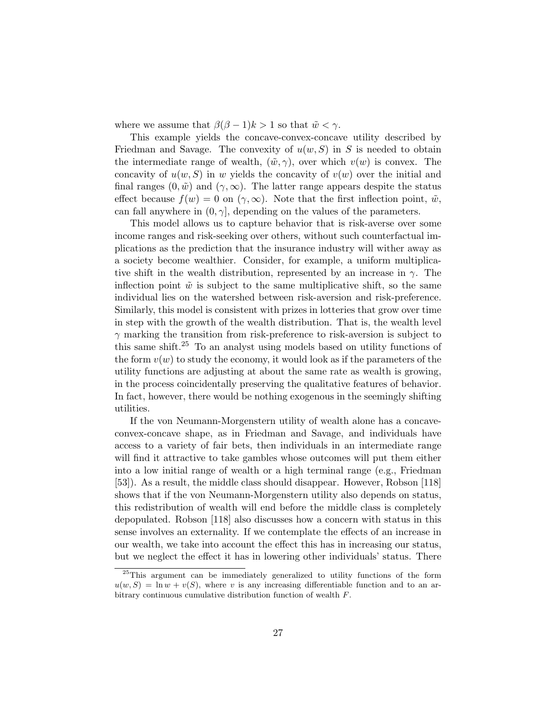where we assume that  $\beta(\beta-1)k > 1$  so that  $\tilde{w} < \gamma$ .

This example yields the concave-convex-concave utility described by Friedman and Savage. The convexity of  $u(w, S)$  in S is needed to obtain the intermediate range of wealth,  $(\tilde{w}, \gamma)$ , over which  $v(w)$  is convex. The concavity of  $u(w, S)$  in w yields the concavity of  $v(w)$  over the initial and final ranges  $(0, \tilde{w})$  and  $(\gamma, \infty)$ . The latter range appears despite the status effect because  $f(w) = 0$  on  $(\gamma, \infty)$ . Note that the first inflection point,  $\tilde{w}$ , can fall anywhere in  $(0, \gamma]$ , depending on the values of the parameters.

This model allows us to capture behavior that is risk-averse over some income ranges and risk-seeking over others, without such counterfactual implications as the prediction that the insurance industry will wither away as a society become wealthier. Consider, for example, a uniform multiplicative shift in the wealth distribution, represented by an increase in  $\gamma$ . The inflection point  $\tilde{w}$  is subject to the same multiplicative shift, so the same individual lies on the watershed between risk-aversion and risk-preference. Similarly, this model is consistent with prizes in lotteries that grow over time in step with the growth of the wealth distribution. That is, the wealth level  $\gamma$  marking the transition from risk-preference to risk-aversion is subject to this same shift.<sup>25</sup> To an analyst using models based on utility functions of the form  $v(w)$  to study the economy, it would look as if the parameters of the utility functions are adjusting at about the same rate as wealth is growing, in the process coincidentally preserving the qualitative features of behavior. In fact, however, there would be nothing exogenous in the seemingly shifting utilities.

If the von Neumann-Morgenstern utility of wealth alone has a concaveconvex-concave shape, as in Friedman and Savage, and individuals have access to a variety of fair bets, then individuals in an intermediate range will find it attractive to take gambles whose outcomes will put them either into a low initial range of wealth or a high terminal range (e.g., Friedman [53]). As a result, the middle class should disappear. However, Robson [118] shows that if the von Neumann-Morgenstern utility also depends on status, this redistribution of wealth will end before the middle class is completely depopulated. Robson [118] also discusses how a concern with status in this sense involves an externality. If we contemplate the effects of an increase in our wealth, we take into account the effect this has in increasing our status, but we neglect the effect it has in lowering other individuals' status. There

<sup>25</sup>This argument can be immediately generalized to utility functions of the form  $u(w, S) = \ln w + v(S)$ , where v is any increasing differentiable function and to an arbitrary continuous cumulative distribution function of wealth F.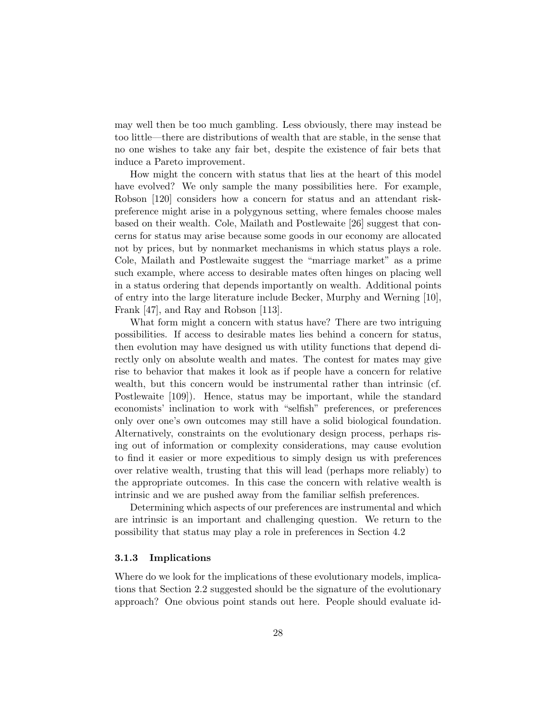may well then be too much gambling. Less obviously, there may instead be too little—there are distributions of wealth that are stable, in the sense that no one wishes to take any fair bet, despite the existence of fair bets that induce a Pareto improvement.

How might the concern with status that lies at the heart of this model have evolved? We only sample the many possibilities here. For example, Robson [120] considers how a concern for status and an attendant riskpreference might arise in a polygynous setting, where females choose males based on their wealth. Cole, Mailath and Postlewaite [26] suggest that concerns for status may arise because some goods in our economy are allocated not by prices, but by nonmarket mechanisms in which status plays a role. Cole, Mailath and Postlewaite suggest the "marriage market" as a prime such example, where access to desirable mates often hinges on placing well in a status ordering that depends importantly on wealth. Additional points of entry into the large literature include Becker, Murphy and Werning [10], Frank [47], and Ray and Robson [113].

What form might a concern with status have? There are two intriguing possibilities. If access to desirable mates lies behind a concern for status, then evolution may have designed us with utility functions that depend directly only on absolute wealth and mates. The contest for mates may give rise to behavior that makes it look as if people have a concern for relative wealth, but this concern would be instrumental rather than intrinsic (cf. Postlewaite [109]). Hence, status may be important, while the standard economists' inclination to work with "selfish" preferences, or preferences only over one's own outcomes may still have a solid biological foundation. Alternatively, constraints on the evolutionary design process, perhaps rising out of information or complexity considerations, may cause evolution to find it easier or more expeditious to simply design us with preferences over relative wealth, trusting that this will lead (perhaps more reliably) to the appropriate outcomes. In this case the concern with relative wealth is intrinsic and we are pushed away from the familiar selfish preferences.

Determining which aspects of our preferences are instrumental and which are intrinsic is an important and challenging question. We return to the possibility that status may play a role in preferences in Section 4.2

#### 3.1.3 Implications

Where do we look for the implications of these evolutionary models, implications that Section 2.2 suggested should be the signature of the evolutionary approach? One obvious point stands out here. People should evaluate id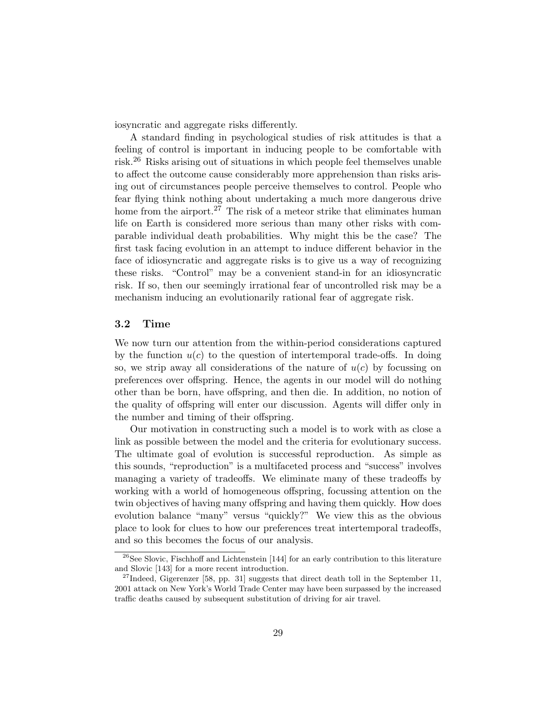iosyncratic and aggregate risks differently.

A standard finding in psychological studies of risk attitudes is that a feeling of control is important in inducing people to be comfortable with risk.<sup>26</sup> Risks arising out of situations in which people feel themselves unable to affect the outcome cause considerably more apprehension than risks arising out of circumstances people perceive themselves to control. People who fear flying think nothing about undertaking a much more dangerous drive home from the airport.<sup>27</sup> The risk of a meteor strike that eliminates human life on Earth is considered more serious than many other risks with comparable individual death probabilities. Why might this be the case? The first task facing evolution in an attempt to induce different behavior in the face of idiosyncratic and aggregate risks is to give us a way of recognizing these risks. "Control" may be a convenient stand-in for an idiosyncratic risk. If so, then our seemingly irrational fear of uncontrolled risk may be a mechanism inducing an evolutionarily rational fear of aggregate risk.

#### 3.2 Time

We now turn our attention from the within-period considerations captured by the function  $u(c)$  to the question of intertemporal trade-offs. In doing so, we strip away all considerations of the nature of  $u(c)$  by focussing on preferences over offspring. Hence, the agents in our model will do nothing other than be born, have offspring, and then die. In addition, no notion of the quality of offspring will enter our discussion. Agents will differ only in the number and timing of their offspring.

Our motivation in constructing such a model is to work with as close a link as possible between the model and the criteria for evolutionary success. The ultimate goal of evolution is successful reproduction. As simple as this sounds, "reproduction" is a multifaceted process and "success" involves managing a variety of tradeoffs. We eliminate many of these tradeoffs by working with a world of homogeneous offspring, focussing attention on the twin objectives of having many offspring and having them quickly. How does evolution balance "many" versus "quickly?" We view this as the obvious place to look for clues to how our preferences treat intertemporal tradeoffs, and so this becomes the focus of our analysis.

 $^{26}$ See Slovic, Fischhoff and Lichtenstein [144] for an early contribution to this literature and Slovic [143] for a more recent introduction.

<sup>&</sup>lt;sup>27</sup>Indeed, Gigerenzer [58, pp. 31] suggests that direct death toll in the September 11, 2001 attack on New York's World Trade Center may have been surpassed by the increased traffic deaths caused by subsequent substitution of driving for air travel.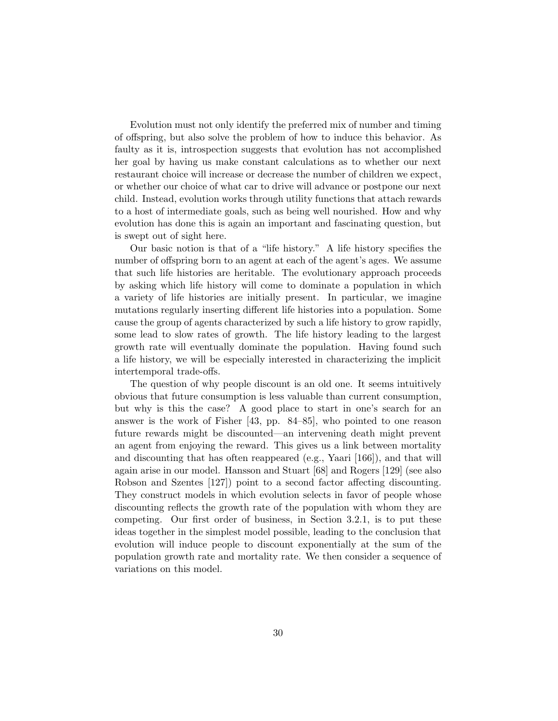Evolution must not only identify the preferred mix of number and timing of offspring, but also solve the problem of how to induce this behavior. As faulty as it is, introspection suggests that evolution has not accomplished her goal by having us make constant calculations as to whether our next restaurant choice will increase or decrease the number of children we expect, or whether our choice of what car to drive will advance or postpone our next child. Instead, evolution works through utility functions that attach rewards to a host of intermediate goals, such as being well nourished. How and why evolution has done this is again an important and fascinating question, but is swept out of sight here.

Our basic notion is that of a "life history." A life history specifies the number of offspring born to an agent at each of the agent's ages. We assume that such life histories are heritable. The evolutionary approach proceeds by asking which life history will come to dominate a population in which a variety of life histories are initially present. In particular, we imagine mutations regularly inserting different life histories into a population. Some cause the group of agents characterized by such a life history to grow rapidly, some lead to slow rates of growth. The life history leading to the largest growth rate will eventually dominate the population. Having found such a life history, we will be especially interested in characterizing the implicit intertemporal trade-offs.

The question of why people discount is an old one. It seems intuitively obvious that future consumption is less valuable than current consumption, but why is this the case? A good place to start in one's search for an answer is the work of Fisher [43, pp. 84–85], who pointed to one reason future rewards might be discounted—an intervening death might prevent an agent from enjoying the reward. This gives us a link between mortality and discounting that has often reappeared (e.g., Yaari [166]), and that will again arise in our model. Hansson and Stuart [68] and Rogers [129] (see also Robson and Szentes [127]) point to a second factor affecting discounting. They construct models in which evolution selects in favor of people whose discounting reflects the growth rate of the population with whom they are competing. Our first order of business, in Section 3.2.1, is to put these ideas together in the simplest model possible, leading to the conclusion that evolution will induce people to discount exponentially at the sum of the population growth rate and mortality rate. We then consider a sequence of variations on this model.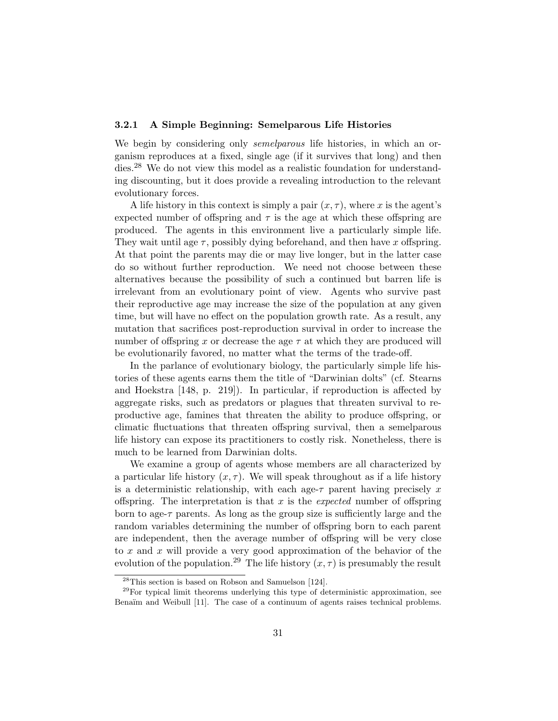#### 3.2.1 A Simple Beginning: Semelparous Life Histories

We begin by considering only *semelparous* life histories, in which an organism reproduces at a fixed, single age (if it survives that long) and then dies.<sup>28</sup> We do not view this model as a realistic foundation for understanding discounting, but it does provide a revealing introduction to the relevant evolutionary forces.

A life history in this context is simply a pair  $(x, \tau)$ , where x is the agent's expected number of offspring and  $\tau$  is the age at which these offspring are produced. The agents in this environment live a particularly simple life. They wait until age  $\tau$ , possibly dying beforehand, and then have x offspring. At that point the parents may die or may live longer, but in the latter case do so without further reproduction. We need not choose between these alternatives because the possibility of such a continued but barren life is irrelevant from an evolutionary point of view. Agents who survive past their reproductive age may increase the size of the population at any given time, but will have no effect on the population growth rate. As a result, any mutation that sacrifices post-reproduction survival in order to increase the number of offspring x or decrease the age  $\tau$  at which they are produced will be evolutionarily favored, no matter what the terms of the trade-off.

In the parlance of evolutionary biology, the particularly simple life histories of these agents earns them the title of "Darwinian dolts" (cf. Stearns and Hoekstra [148, p. 219]). In particular, if reproduction is affected by aggregate risks, such as predators or plagues that threaten survival to reproductive age, famines that threaten the ability to produce offspring, or climatic fluctuations that threaten offspring survival, then a semelparous life history can expose its practitioners to costly risk. Nonetheless, there is much to be learned from Darwinian dolts.

We examine a group of agents whose members are all characterized by a particular life history  $(x, \tau)$ . We will speak throughout as if a life history is a deterministic relationship, with each age- $\tau$  parent having precisely x offspring. The interpretation is that x is the expected number of offspring born to age- $\tau$  parents. As long as the group size is sufficiently large and the random variables determining the number of offspring born to each parent are independent, then the average number of offspring will be very close to x and x will provide a very good approximation of the behavior of the evolution of the population.<sup>29</sup> The life history  $(x, \tau)$  is presumably the result

 $\frac{28}{124}$ This section is based on Robson and Samuelson [124].

<sup>&</sup>lt;sup>29</sup>For typical limit theorems underlying this type of deterministic approximation, see Benaïm and Weibull [11]. The case of a continuum of agents raises technical problems.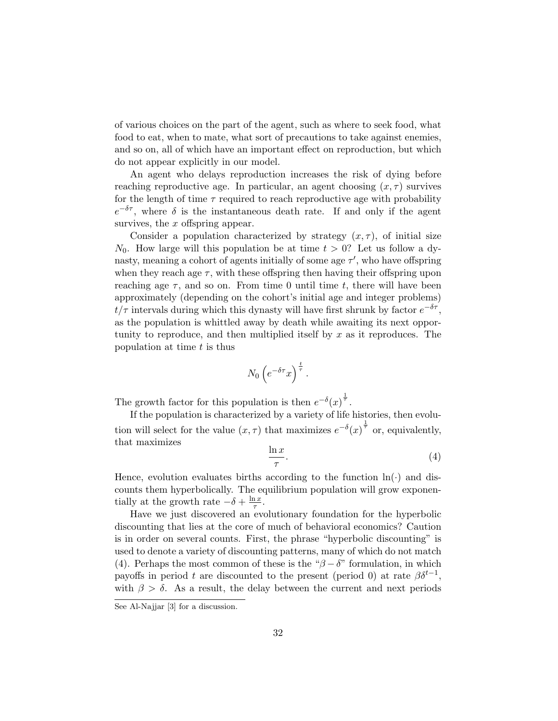of various choices on the part of the agent, such as where to seek food, what food to eat, when to mate, what sort of precautions to take against enemies, and so on, all of which have an important effect on reproduction, but which do not appear explicitly in our model.

An agent who delays reproduction increases the risk of dying before reaching reproductive age. In particular, an agent choosing  $(x, \tau)$  survives for the length of time  $\tau$  required to reach reproductive age with probability  $e^{-\delta \tau}$ , where  $\delta$  is the instantaneous death rate. If and only if the agent survives, the  $x$  offspring appear.

Consider a population characterized by strategy  $(x, \tau)$ , of initial size  $N_0$ . How large will this population be at time  $t > 0$ ? Let us follow a dynasty, meaning a cohort of agents initially of some age  $\tau'$ , who have offspring when they reach age  $\tau$ , with these offspring then having their offspring upon reaching age  $\tau$ , and so on. From time 0 until time t, there will have been approximately (depending on the cohort's initial age and integer problems)  $t/\tau$  intervals during which this dynasty will have first shrunk by factor  $e^{-\delta \tau}$ , as the population is whittled away by death while awaiting its next opportunity to reproduce, and then multiplied itself by  $x$  as it reproduces. The population at time  $t$  is thus

$$
N_0\left(e^{-\delta\tau}x\right)^{\frac{t}{\tau}}.
$$

The growth factor for this population is then  $e^{-\delta}(x)^{\frac{1}{\tau}}$ .

If the population is characterized by a variety of life histories, then evolution will select for the value  $(x, \tau)$  that maximizes  $e^{-\delta}(x)^{\frac{1}{\tau}}$  or, equivalently, that maximizes

$$
\frac{\ln x}{\tau}.\tag{4}
$$

Hence, evolution evaluates births according to the function  $ln(·)$  and discounts them hyperbolically. The equilibrium population will grow exponentially at the growth rate  $-\delta + \frac{\ln x}{\tau}$  $\frac{\ln x}{\tau}$ .

Have we just discovered an evolutionary foundation for the hyperbolic discounting that lies at the core of much of behavioral economics? Caution is in order on several counts. First, the phrase "hyperbolic discounting" is used to denote a variety of discounting patterns, many of which do not match (4). Perhaps the most common of these is the " $\beta - \delta$ " formulation, in which payoffs in period t are discounted to the present (period 0) at rate  $\beta \delta^{t-1}$ , with  $\beta > \delta$ . As a result, the delay between the current and next periods

See Al-Najjar [3] for a discussion.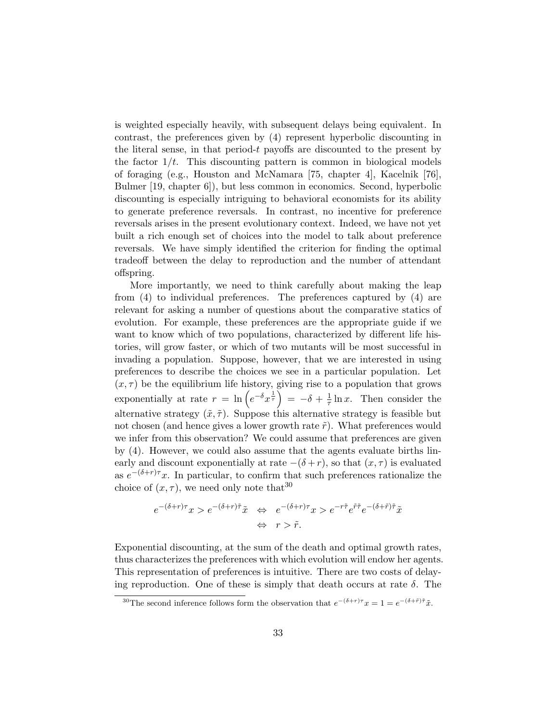is weighted especially heavily, with subsequent delays being equivalent. In contrast, the preferences given by (4) represent hyperbolic discounting in the literal sense, in that period-t payoffs are discounted to the present by the factor  $1/t$ . This discounting pattern is common in biological models of foraging (e.g., Houston and McNamara [75, chapter 4], Kacelnik [76], Bulmer [19, chapter 6]), but less common in economics. Second, hyperbolic discounting is especially intriguing to behavioral economists for its ability to generate preference reversals. In contrast, no incentive for preference reversals arises in the present evolutionary context. Indeed, we have not yet built a rich enough set of choices into the model to talk about preference reversals. We have simply identified the criterion for finding the optimal tradeoff between the delay to reproduction and the number of attendant offspring.

More importantly, we need to think carefully about making the leap from (4) to individual preferences. The preferences captured by (4) are relevant for asking a number of questions about the comparative statics of evolution. For example, these preferences are the appropriate guide if we want to know which of two populations, characterized by different life histories, will grow faster, or which of two mutants will be most successful in invading a population. Suppose, however, that we are interested in using preferences to describe the choices we see in a particular population. Let  $(x, \tau)$  be the equilibrium life history, giving rise to a population that grows exponentially at rate  $r = \ln \left( e^{-\delta} x^{\frac{1}{\tau}} \right) = -\delta + \frac{1}{\tau}$  $\frac{1}{\tau} \ln x$ . Then consider the alternative strategy  $(\tilde{x}, \tilde{\tau})$ . Suppose this alternative strategy is feasible but not chosen (and hence gives a lower growth rate  $\tilde{r}$ ). What preferences would we infer from this observation? We could assume that preferences are given by (4). However, we could also assume that the agents evaluate births linearly and discount exponentially at rate  $-(\delta+r)$ , so that  $(x, \tau)$  is evaluated as  $e^{-(\delta+r)\tau}x$ . In particular, to confirm that such preferences rationalize the choice of  $(x, \tau)$ , we need only note that <sup>30</sup>

$$
e^{-(\delta+r)\tau}x > e^{-(\delta+r)\tilde{\tau}}\tilde{x} \quad \Leftrightarrow \quad e^{-(\delta+r)\tau}x > e^{-r\tilde{\tau}}e^{\tilde{r}\tilde{\tau}}e^{-(\delta+\tilde{r})\tilde{\tau}}\tilde{x}
$$

$$
\Leftrightarrow \quad r > \tilde{r}.
$$

Exponential discounting, at the sum of the death and optimal growth rates, thus characterizes the preferences with which evolution will endow her agents. This representation of preferences is intuitive. There are two costs of delaying reproduction. One of these is simply that death occurs at rate  $\delta$ . The

<sup>&</sup>lt;sup>30</sup>The second inference follows form the observation that  $e^{-(\delta+r)\tau}x = 1 = e^{-(\delta+\tilde{r})\tilde{\tau}}\tilde{x}$ .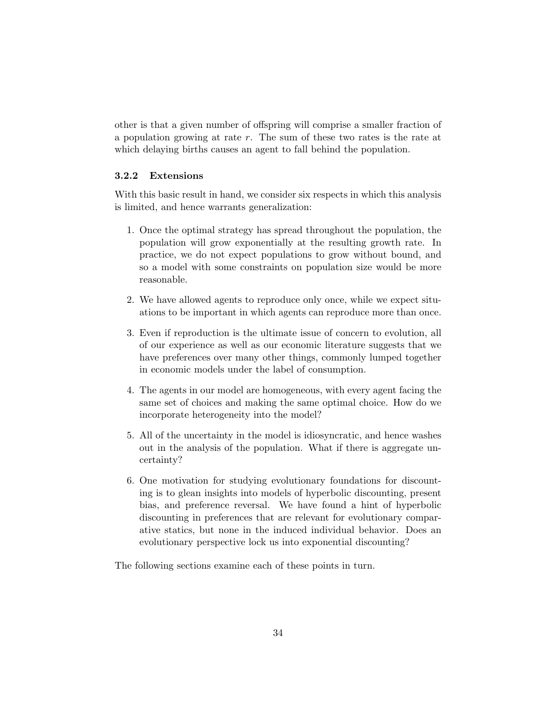other is that a given number of offspring will comprise a smaller fraction of a population growing at rate r. The sum of these two rates is the rate at which delaying births causes an agent to fall behind the population.

#### 3.2.2 Extensions

With this basic result in hand, we consider six respects in which this analysis is limited, and hence warrants generalization:

- 1. Once the optimal strategy has spread throughout the population, the population will grow exponentially at the resulting growth rate. In practice, we do not expect populations to grow without bound, and so a model with some constraints on population size would be more reasonable.
- 2. We have allowed agents to reproduce only once, while we expect situations to be important in which agents can reproduce more than once.
- 3. Even if reproduction is the ultimate issue of concern to evolution, all of our experience as well as our economic literature suggests that we have preferences over many other things, commonly lumped together in economic models under the label of consumption.
- 4. The agents in our model are homogeneous, with every agent facing the same set of choices and making the same optimal choice. How do we incorporate heterogeneity into the model?
- 5. All of the uncertainty in the model is idiosyncratic, and hence washes out in the analysis of the population. What if there is aggregate uncertainty?
- 6. One motivation for studying evolutionary foundations for discounting is to glean insights into models of hyperbolic discounting, present bias, and preference reversal. We have found a hint of hyperbolic discounting in preferences that are relevant for evolutionary comparative statics, but none in the induced individual behavior. Does an evolutionary perspective lock us into exponential discounting?

The following sections examine each of these points in turn.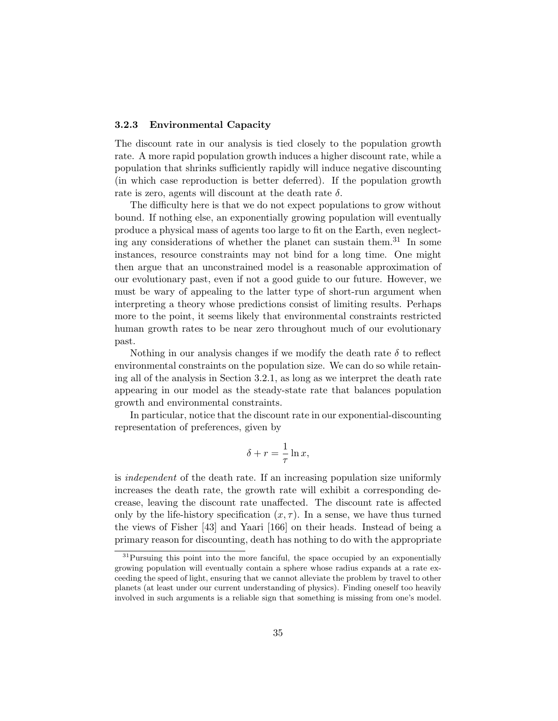# 3.2.3 Environmental Capacity

The discount rate in our analysis is tied closely to the population growth rate. A more rapid population growth induces a higher discount rate, while a population that shrinks sufficiently rapidly will induce negative discounting (in which case reproduction is better deferred). If the population growth rate is zero, agents will discount at the death rate  $\delta$ .

The difficulty here is that we do not expect populations to grow without bound. If nothing else, an exponentially growing population will eventually produce a physical mass of agents too large to fit on the Earth, even neglecting any considerations of whether the planet can sustain them.<sup>31</sup> In some instances, resource constraints may not bind for a long time. One might then argue that an unconstrained model is a reasonable approximation of our evolutionary past, even if not a good guide to our future. However, we must be wary of appealing to the latter type of short-run argument when interpreting a theory whose predictions consist of limiting results. Perhaps more to the point, it seems likely that environmental constraints restricted human growth rates to be near zero throughout much of our evolutionary past.

Nothing in our analysis changes if we modify the death rate  $\delta$  to reflect environmental constraints on the population size. We can do so while retaining all of the analysis in Section 3.2.1, as long as we interpret the death rate appearing in our model as the steady-state rate that balances population growth and environmental constraints.

In particular, notice that the discount rate in our exponential-discounting representation of preferences, given by

$$
\delta + r = \frac{1}{\tau} \ln x,
$$

is independent of the death rate. If an increasing population size uniformly increases the death rate, the growth rate will exhibit a corresponding decrease, leaving the discount rate unaffected. The discount rate is affected only by the life-history specification  $(x, \tau)$ . In a sense, we have thus turned the views of Fisher [43] and Yaari [166] on their heads. Instead of being a primary reason for discounting, death has nothing to do with the appropriate

 $31$ Pursuing this point into the more fanciful, the space occupied by an exponentially growing population will eventually contain a sphere whose radius expands at a rate exceeding the speed of light, ensuring that we cannot alleviate the problem by travel to other planets (at least under our current understanding of physics). Finding oneself too heavily involved in such arguments is a reliable sign that something is missing from one's model.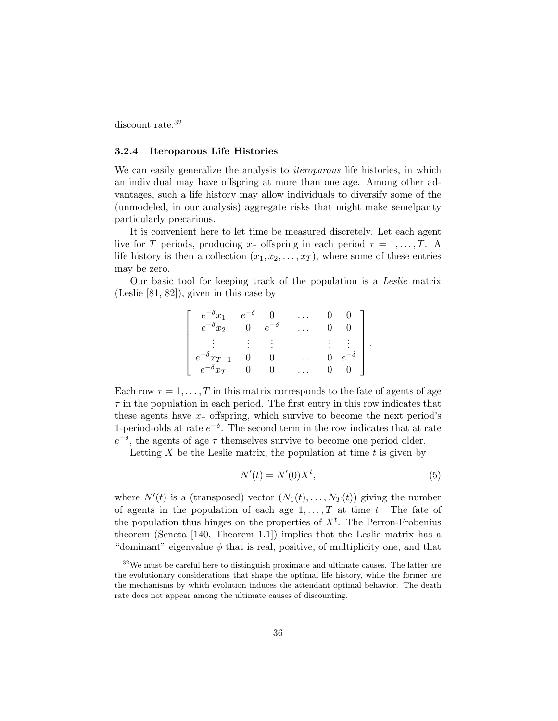discount rate.<sup>32</sup>

### 3.2.4 Iteroparous Life Histories

We can easily generalize the analysis to *iteroparous* life histories, in which an individual may have offspring at more than one age. Among other advantages, such a life history may allow individuals to diversify some of the (unmodeled, in our analysis) aggregate risks that might make semelparity particularly precarious.

It is convenient here to let time be measured discretely. Let each agent live for T periods, producing  $x_{\tau}$  offspring in each period  $\tau = 1, \ldots, T$ . A life history is then a collection  $(x_1, x_2, \ldots, x_T)$ , where some of these entries may be zero.

Our basic tool for keeping track of the population is a Leslie matrix (Leslie [81, 82]), given in this case by

| $-\delta_{x_1}$<br>$\epsilon$   |           |  |  |
|---------------------------------|-----------|--|--|
| $e^{-\delta}$<br>x <sub>2</sub> | $-\sigma$ |  |  |
|                                 |           |  |  |
| ${}^{\circ}x_{T-1}$<br>e        |           |  |  |
| $-\delta_{x_T}$<br>е            |           |  |  |

Each row  $\tau = 1, \ldots, T$  in this matrix corresponds to the fate of agents of agents  $\tau$  in the population in each period. The first entry in this row indicates that these agents have  $x<sub>\tau</sub>$  offspring, which survive to become the next period's 1-period-olds at rate  $e^{-\delta}$ . The second term in the row indicates that at rate  $e^{-\delta}$ , the agents of age  $\tau$  themselves survive to become one period older.

Letting  $X$  be the Leslie matrix, the population at time  $t$  is given by

$$
N'(t) = N'(0)X^t,\t\t(5)
$$

where  $N'(t)$  is a (transposed) vector  $(N_1(t), \ldots, N_T(t))$  giving the number of agents in the population of each age  $1, \ldots, T$  at time t. The fate of the population thus hinges on the properties of  $X<sup>t</sup>$ . The Perron-Frobenius theorem (Seneta [140, Theorem 1.1]) implies that the Leslie matrix has a "dominant" eigenvalue  $\phi$  that is real, positive, of multiplicity one, and that

<sup>&</sup>lt;sup>32</sup>We must be careful here to distinguish proximate and ultimate causes. The latter are the evolutionary considerations that shape the optimal life history, while the former are the mechanisms by which evolution induces the attendant optimal behavior. The death rate does not appear among the ultimate causes of discounting.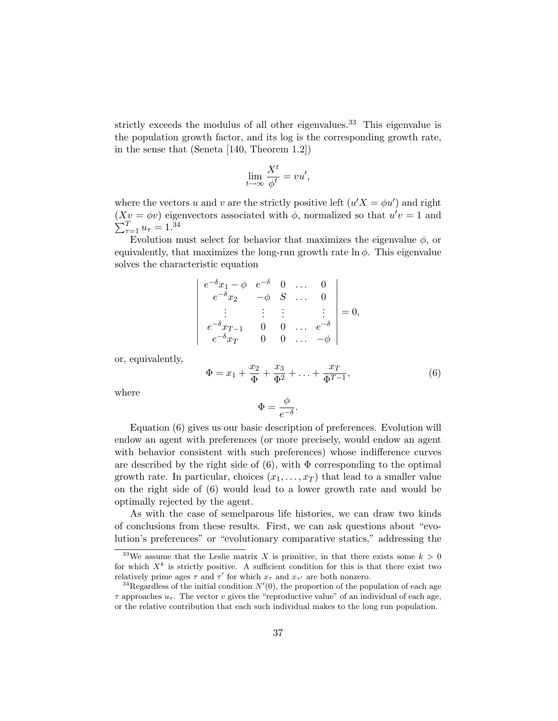strictly exceeds the modulus of all other eigenvalues.<sup>33</sup> This eigenvalue is the population growth factor, and its log is the corresponding growth rate, in the sense that (Seneta [140, Theorem 1.2])

$$
\lim_{t \to \infty} \frac{X^t}{\phi^t} = vu',
$$

where the vectors u and v are the strictly positive left  $(u'X = \phi u')$  and right  $(Xv = \phi v)$  eigenvectors associated with  $\phi$ , normalized so that  $u'v = 1$  and  $\sum_{\tau=1}^{T} u_{\tau} = 1.^{34}$ 

Evolution must select for behavior that maximizes the eigenvalue  $\phi$ , or equivalently, that maximizes the long-run growth rate  $\ln \phi$ . This eigenvalue solves the characteristic equation

$$
\begin{vmatrix} e^{-\delta}x_1 - \phi & e^{-\delta} & 0 & \dots & 0 \\ e^{-\delta}x_2 & -\phi & S & \dots & 0 \\ \vdots & \vdots & \vdots & & \vdots \\ e^{-\delta}x_{T-1} & 0 & 0 & \dots & e^{-\delta} \\ e^{-\delta}x_T & 0 & 0 & \dots & -\phi \end{vmatrix} = 0,
$$

or, equivalently,

$$
\Phi = x_1 + \frac{x_2}{\Phi} + \frac{x_3}{\Phi^2} + \ldots + \frac{x_T}{\Phi^{T-1}},
$$
\n(6)

where

$$
\Phi = \frac{\phi}{e^{-\delta}}.
$$

Equation (6) gives us our basic description of preferences. Evolution will endow an agent with preferences (or more precisely, would endow an agent with behavior consistent with such preferences) whose indifference curves are described by the right side of  $(6)$ , with  $\Phi$  corresponding to the optimal growth rate. In particular, choices  $(x_1, \ldots, x_T)$  that lead to a smaller value on the right side of (6) would lead to a lower growth rate and would be optimally rejected by the agent.

As with the case of semelparous life histories, we can draw two kinds of conclusions from these results. First, we can ask questions about "evolution's preferences" or "evolutionary comparative statics," addressing the

<sup>&</sup>lt;sup>33</sup>We assume that the Leslie matrix X is primitive, in that there exists some  $k > 0$ for which  $X^k$  is strictly positive. A sufficient condition for this is that there exist two relatively prime ages  $\tau$  and  $\tau'$  for which  $x_{\tau}$  and  $x_{\tau'}$  are both nonzero.

<sup>&</sup>lt;sup>34</sup>Regardless of the initial condition  $N'(0)$ , the proportion of the population of each age  $\tau$  approaches  $u_{\tau}$ . The vector v gives the "reproductive value" of an individual of each age, or the relative contribution that each such individual makes to the long run population.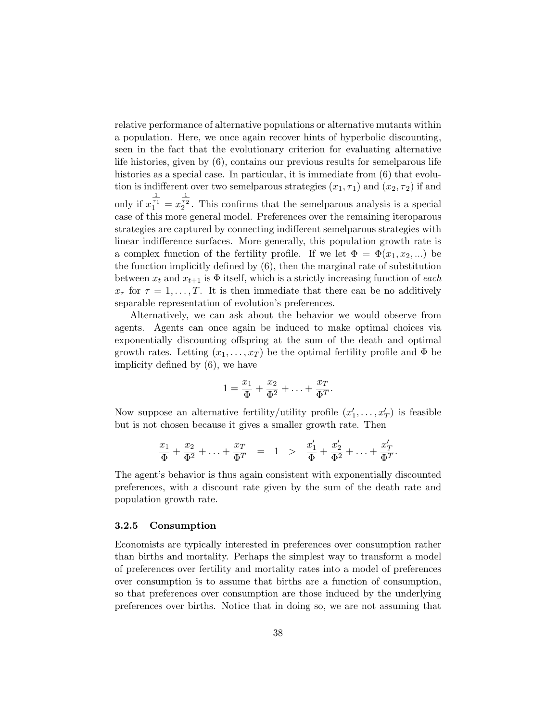relative performance of alternative populations or alternative mutants within a population. Here, we once again recover hints of hyperbolic discounting, seen in the fact that the evolutionary criterion for evaluating alternative life histories, given by (6), contains our previous results for semelparous life histories as a special case. In particular, it is immediate from  $(6)$  that evolution is indifferent over two semelparous strategies  $(x_1, \tau_1)$  and  $(x_2, \tau_2)$  if and only if  $x$  $\frac{1}{\tau_1} = x$  $\frac{1}{\tau_2}$ . This confirms that the semelparous analysis is a special case of this more general model. Preferences over the remaining iteroparous strategies are captured by connecting indifferent semelparous strategies with linear indifference surfaces. More generally, this population growth rate is a complex function of the fertility profile. If we let  $\Phi = \Phi(x_1, x_2, ...)$  be the function implicitly defined by (6), then the marginal rate of substitution between  $x_t$  and  $x_{t+1}$  is  $\Phi$  itself, which is a strictly increasing function of each  $x_{\tau}$  for  $\tau = 1, \ldots, T$ . It is then immediate that there can be no additively separable representation of evolution's preferences.

Alternatively, we can ask about the behavior we would observe from agents. Agents can once again be induced to make optimal choices via exponentially discounting offspring at the sum of the death and optimal growth rates. Letting  $(x_1, \ldots, x_T)$  be the optimal fertility profile and  $\Phi$  be implicity defined by (6), we have

$$
1 = \frac{x_1}{\Phi} + \frac{x_2}{\Phi^2} + \ldots + \frac{x_T}{\Phi^T}.
$$

Now suppose an alternative fertility/utility profile  $(x'_1, \ldots, x'_T)$  is feasible but is not chosen because it gives a smaller growth rate. Then

$$
\frac{x_1}{\Phi} + \frac{x_2}{\Phi^2} + \ldots + \frac{x_T}{\Phi^T} = 1 > \frac{x'_1}{\Phi} + \frac{x'_2}{\Phi^2} + \ldots + \frac{x'_T}{\Phi^T}.
$$

The agent's behavior is thus again consistent with exponentially discounted preferences, with a discount rate given by the sum of the death rate and population growth rate.

#### 3.2.5 Consumption

Economists are typically interested in preferences over consumption rather than births and mortality. Perhaps the simplest way to transform a model of preferences over fertility and mortality rates into a model of preferences over consumption is to assume that births are a function of consumption, so that preferences over consumption are those induced by the underlying preferences over births. Notice that in doing so, we are not assuming that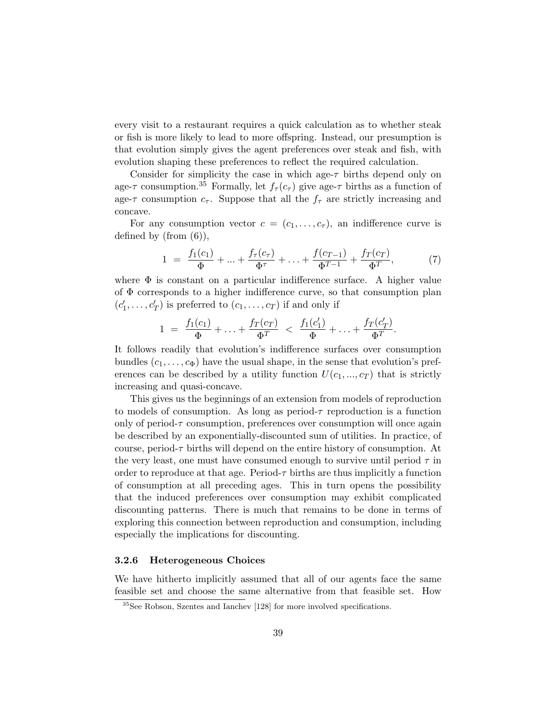every visit to a restaurant requires a quick calculation as to whether steak or fish is more likely to lead to more offspring. Instead, our presumption is that evolution simply gives the agent preferences over steak and fish, with evolution shaping these preferences to reflect the required calculation.

Consider for simplicity the case in which age- $\tau$  births depend only on age- $\tau$  consumption.<sup>35</sup> Formally, let  $f_{\tau}(c_{\tau})$  give age- $\tau$  births as a function of age- $\tau$  consumption  $c_{\tau}$ . Suppose that all the  $f_{\tau}$  are strictly increasing and concave.

For any consumption vector  $c = (c_1, \ldots, c_{\tau})$ , an indifference curve is defined by (from (6)),

$$
1 = \frac{f_1(c_1)}{\Phi} + \dots + \frac{f_\tau(c_\tau)}{\Phi^\tau} + \dots + \frac{f(c_{T-1})}{\Phi^{T-1}} + \frac{f_T(c_T)}{\Phi^T},\tag{7}
$$

where  $\Phi$  is constant on a particular indifference surface. A higher value of  $\Phi$  corresponds to a higher indifference curve, so that consumption plan  $(c'_1, \ldots, c'_T)$  is preferred to  $(c_1, \ldots, c_T)$  if and only if

$$
1 = \frac{f_1(c_1)}{\Phi} + \ldots + \frac{f_T(c_T)}{\Phi^T} < \frac{f_1(c_1')}{\Phi} + \ldots + \frac{f_T(c_T')}{\Phi^T}.
$$

It follows readily that evolution's indifference surfaces over consumption bundles  $(c_1, \ldots, c_{\Phi})$  have the usual shape, in the sense that evolution's preferences can be described by a utility function  $U(c_1, ..., c_T)$  that is strictly increasing and quasi-concave.

This gives us the beginnings of an extension from models of reproduction to models of consumption. As long as period- $\tau$  reproduction is a function only of period-τ consumption, preferences over consumption will once again be described by an exponentially-discounted sum of utilities. In practice, of course, period- $\tau$  births will depend on the entire history of consumption. At the very least, one must have consumed enough to survive until period  $\tau$  in order to reproduce at that age. Period- $\tau$  births are thus implicitly a function of consumption at all preceding ages. This in turn opens the possibility that the induced preferences over consumption may exhibit complicated discounting patterns. There is much that remains to be done in terms of exploring this connection between reproduction and consumption, including especially the implications for discounting.

## 3.2.6 Heterogeneous Choices

We have hitherto implicitly assumed that all of our agents face the same feasible set and choose the same alternative from that feasible set. How

<sup>35</sup>See Robson, Szentes and Ianchev [128] for more involved specifications.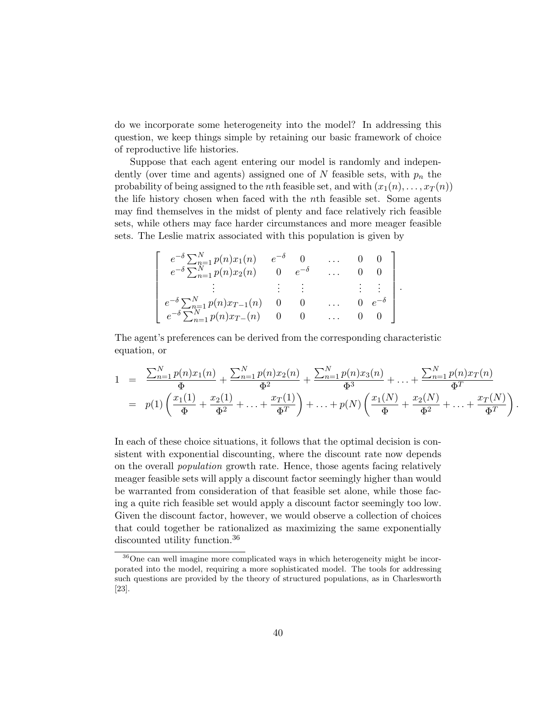do we incorporate some heterogeneity into the model? In addressing this question, we keep things simple by retaining our basic framework of choice of reproductive life histories.

Suppose that each agent entering our model is randomly and independently (over time and agents) assigned one of N feasible sets, with  $p_n$  the probability of being assigned to the *n*th feasible set, and with  $(x_1(n), \ldots, x_T(n))$ the life history chosen when faced with the *n*th feasible set. Some agents may find themselves in the midst of plenty and face relatively rich feasible sets, while others may face harder circumstances and more meager feasible sets. The Leslie matrix associated with this population is given by

$$
\begin{bmatrix}\n e^{-\delta} \sum_{n=1}^{N} p(n)x_1(n) & e^{-\delta} & 0 & \dots & 0 & 0 \\
 e^{-\delta} \sum_{n=1}^{N} p(n)x_2(n) & 0 & e^{-\delta} & \dots & 0 & 0 \\
 \vdots & \vdots & \vdots & \vdots & \vdots & \vdots \\
 e^{-\delta} \sum_{n=1}^{N} p(n)x_{T-1}(n) & 0 & 0 & \dots & 0 & e^{-\delta} \\
 e^{-\delta} \sum_{n=1}^{N} p(n)x_{T-1}(n) & 0 & 0 & \dots & 0 & 0\n\end{bmatrix}.
$$

The agent's preferences can be derived from the corresponding characteristic equation, or

$$
1 = \frac{\sum_{n=1}^{N} p(n)x_1(n)}{\Phi} + \frac{\sum_{n=1}^{N} p(n)x_2(n)}{\Phi^2} + \frac{\sum_{n=1}^{N} p(n)x_3(n)}{\Phi^3} + \dots + \frac{\sum_{n=1}^{N} p(n)x_T(n)}{\Phi^T}
$$
  
=  $p(1) \left( \frac{x_1(1)}{\Phi} + \frac{x_2(1)}{\Phi^2} + \dots + \frac{x_T(1)}{\Phi^T} \right) + \dots + p(N) \left( \frac{x_1(N)}{\Phi} + \frac{x_2(N)}{\Phi^2} + \dots + \frac{x_T(N)}{\Phi^T} \right).$ 

In each of these choice situations, it follows that the optimal decision is consistent with exponential discounting, where the discount rate now depends on the overall population growth rate. Hence, those agents facing relatively meager feasible sets will apply a discount factor seemingly higher than would be warranted from consideration of that feasible set alone, while those facing a quite rich feasible set would apply a discount factor seemingly too low. Given the discount factor, however, we would observe a collection of choices that could together be rationalized as maximizing the same exponentially discounted utility function.<sup>36</sup>

<sup>36</sup>One can well imagine more complicated ways in which heterogeneity might be incorporated into the model, requiring a more sophisticated model. The tools for addressing such questions are provided by the theory of structured populations, as in Charlesworth [23].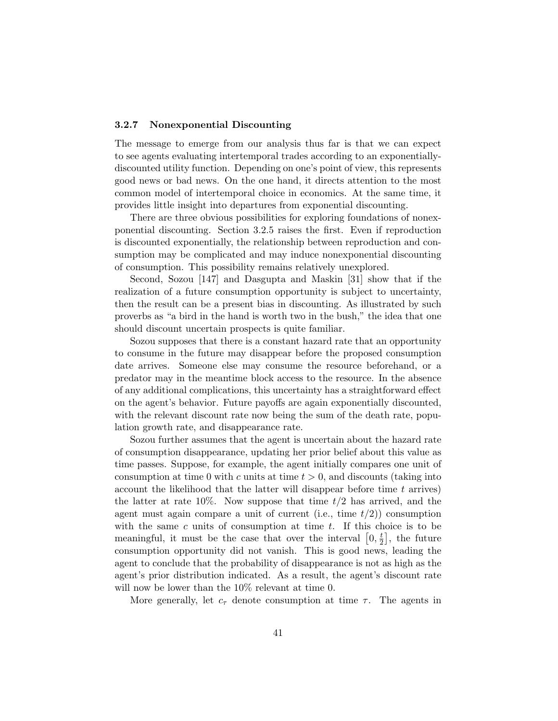# 3.2.7 Nonexponential Discounting

The message to emerge from our analysis thus far is that we can expect to see agents evaluating intertemporal trades according to an exponentiallydiscounted utility function. Depending on one's point of view, this represents good news or bad news. On the one hand, it directs attention to the most common model of intertemporal choice in economics. At the same time, it provides little insight into departures from exponential discounting.

There are three obvious possibilities for exploring foundations of nonexponential discounting. Section 3.2.5 raises the first. Even if reproduction is discounted exponentially, the relationship between reproduction and consumption may be complicated and may induce nonexponential discounting of consumption. This possibility remains relatively unexplored.

Second, Sozou [147] and Dasgupta and Maskin [31] show that if the realization of a future consumption opportunity is subject to uncertainty, then the result can be a present bias in discounting. As illustrated by such proverbs as "a bird in the hand is worth two in the bush," the idea that one should discount uncertain prospects is quite familiar.

Sozou supposes that there is a constant hazard rate that an opportunity to consume in the future may disappear before the proposed consumption date arrives. Someone else may consume the resource beforehand, or a predator may in the meantime block access to the resource. In the absence of any additional complications, this uncertainty has a straightforward effect on the agent's behavior. Future payoffs are again exponentially discounted, with the relevant discount rate now being the sum of the death rate, population growth rate, and disappearance rate.

Sozou further assumes that the agent is uncertain about the hazard rate of consumption disappearance, updating her prior belief about this value as time passes. Suppose, for example, the agent initially compares one unit of consumption at time 0 with c units at time  $t > 0$ , and discounts (taking into account the likelihood that the latter will disappear before time  $t$  arrives) the latter at rate  $10\%$ . Now suppose that time  $t/2$  has arrived, and the agent must again compare a unit of current (i.e., time  $t/2$ ) consumption with the same c units of consumption at time  $t$ . If this choice is to be meaningful, it must be the case that over the interval  $[0, \frac{t}{2}]$  $\left[\frac{t}{2}\right]$ , the future consumption opportunity did not vanish. This is good news, leading the agent to conclude that the probability of disappearance is not as high as the agent's prior distribution indicated. As a result, the agent's discount rate will now be lower than the  $10\%$  relevant at time 0.

More generally, let  $c_{\tau}$  denote consumption at time  $\tau$ . The agents in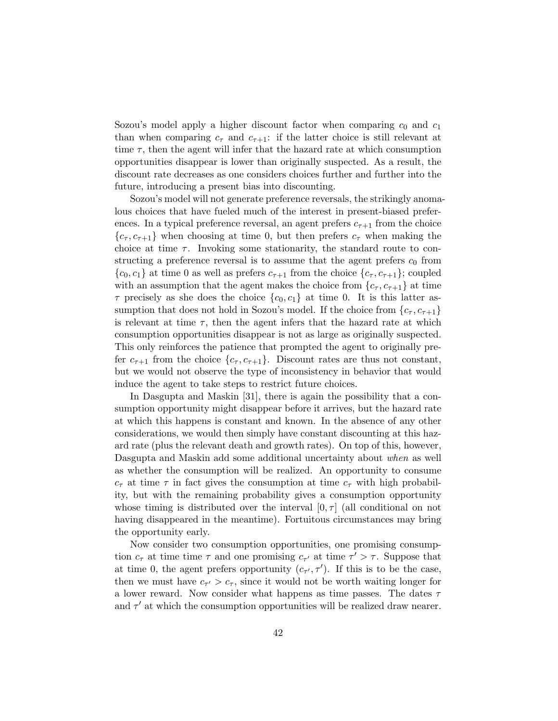Sozou's model apply a higher discount factor when comparing  $c_0$  and  $c_1$ than when comparing  $c_{\tau}$  and  $c_{\tau+1}$ : if the latter choice is still relevant at time  $\tau$ , then the agent will infer that the hazard rate at which consumption opportunities disappear is lower than originally suspected. As a result, the discount rate decreases as one considers choices further and further into the future, introducing a present bias into discounting.

Sozou's model will not generate preference reversals, the strikingly anomalous choices that have fueled much of the interest in present-biased preferences. In a typical preference reversal, an agent prefers  $c_{\tau+1}$  from the choice  ${c_{\tau}, c_{\tau+1}}$  when choosing at time 0, but then prefers  $c_{\tau}$  when making the choice at time  $\tau$ . Invoking some stationarity, the standard route to constructing a preference reversal is to assume that the agent prefers  $c_0$  from  ${c_0, c_1}$  at time 0 as well as prefers  $c_{\tau+1}$  from the choice  ${c_{\tau}, c_{\tau+1}}$ ; coupled with an assumption that the agent makes the choice from  $\{c_{\tau}, c_{\tau+1}\}\$  at time  $\tau$  precisely as she does the choice  $\{c_0, c_1\}$  at time 0. It is this latter assumption that does not hold in Sozou's model. If the choice from  $\{c_{\tau}, c_{\tau+1}\}$ is relevant at time  $\tau$ , then the agent infers that the hazard rate at which consumption opportunities disappear is not as large as originally suspected. This only reinforces the patience that prompted the agent to originally prefer  $c_{\tau+1}$  from the choice  $\{c_{\tau}, c_{\tau+1}\}$ . Discount rates are thus not constant, but we would not observe the type of inconsistency in behavior that would induce the agent to take steps to restrict future choices.

In Dasgupta and Maskin [31], there is again the possibility that a consumption opportunity might disappear before it arrives, but the hazard rate at which this happens is constant and known. In the absence of any other considerations, we would then simply have constant discounting at this hazard rate (plus the relevant death and growth rates). On top of this, however, Dasgupta and Maskin add some additional uncertainty about when as well as whether the consumption will be realized. An opportunity to consume  $c_{\tau}$  at time  $\tau$  in fact gives the consumption at time  $c_{\tau}$  with high probability, but with the remaining probability gives a consumption opportunity whose timing is distributed over the interval  $[0, \tau]$  (all conditional on not having disappeared in the meantime). Fortuitous circumstances may bring the opportunity early.

Now consider two consumption opportunities, one promising consumption  $c_{\tau}$  at time time  $\tau$  and one promising  $c_{\tau'}$  at time  $\tau' > \tau$ . Suppose that at time 0, the agent prefers opportunity  $(c_{\tau'}, \tau')$ . If this is to be the case, then we must have  $c_{\tau'} > c_{\tau}$ , since it would not be worth waiting longer for a lower reward. Now consider what happens as time passes. The dates  $\tau$ and  $\tau'$  at which the consumption opportunities will be realized draw nearer.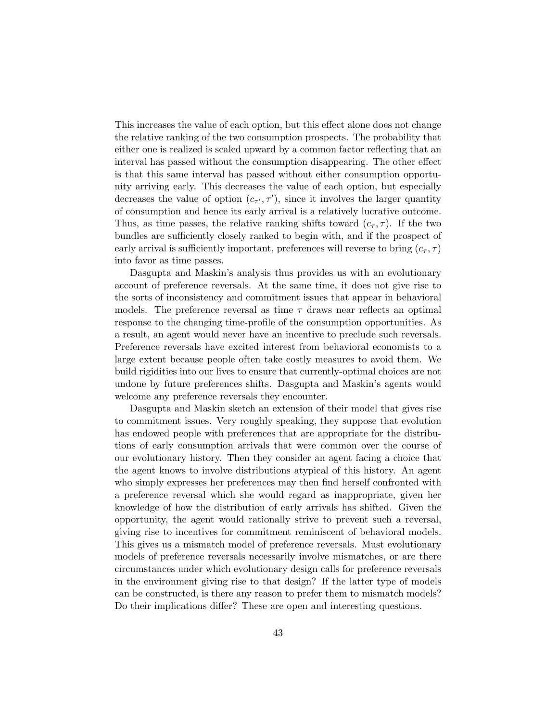This increases the value of each option, but this effect alone does not change the relative ranking of the two consumption prospects. The probability that either one is realized is scaled upward by a common factor reflecting that an interval has passed without the consumption disappearing. The other effect is that this same interval has passed without either consumption opportunity arriving early. This decreases the value of each option, but especially decreases the value of option  $(c_{\tau'}, \tau')$ , since it involves the larger quantity of consumption and hence its early arrival is a relatively lucrative outcome. Thus, as time passes, the relative ranking shifts toward  $(c_{\tau}, \tau)$ . If the two bundles are sufficiently closely ranked to begin with, and if the prospect of early arrival is sufficiently important, preferences will reverse to bring  $(c_{\tau}, \tau)$ into favor as time passes.

Dasgupta and Maskin's analysis thus provides us with an evolutionary account of preference reversals. At the same time, it does not give rise to the sorts of inconsistency and commitment issues that appear in behavioral models. The preference reversal as time  $\tau$  draws near reflects an optimal response to the changing time-profile of the consumption opportunities. As a result, an agent would never have an incentive to preclude such reversals. Preference reversals have excited interest from behavioral economists to a large extent because people often take costly measures to avoid them. We build rigidities into our lives to ensure that currently-optimal choices are not undone by future preferences shifts. Dasgupta and Maskin's agents would welcome any preference reversals they encounter.

Dasgupta and Maskin sketch an extension of their model that gives rise to commitment issues. Very roughly speaking, they suppose that evolution has endowed people with preferences that are appropriate for the distributions of early consumption arrivals that were common over the course of our evolutionary history. Then they consider an agent facing a choice that the agent knows to involve distributions atypical of this history. An agent who simply expresses her preferences may then find herself confronted with a preference reversal which she would regard as inappropriate, given her knowledge of how the distribution of early arrivals has shifted. Given the opportunity, the agent would rationally strive to prevent such a reversal, giving rise to incentives for commitment reminiscent of behavioral models. This gives us a mismatch model of preference reversals. Must evolutionary models of preference reversals necessarily involve mismatches, or are there circumstances under which evolutionary design calls for preference reversals in the environment giving rise to that design? If the latter type of models can be constructed, is there any reason to prefer them to mismatch models? Do their implications differ? These are open and interesting questions.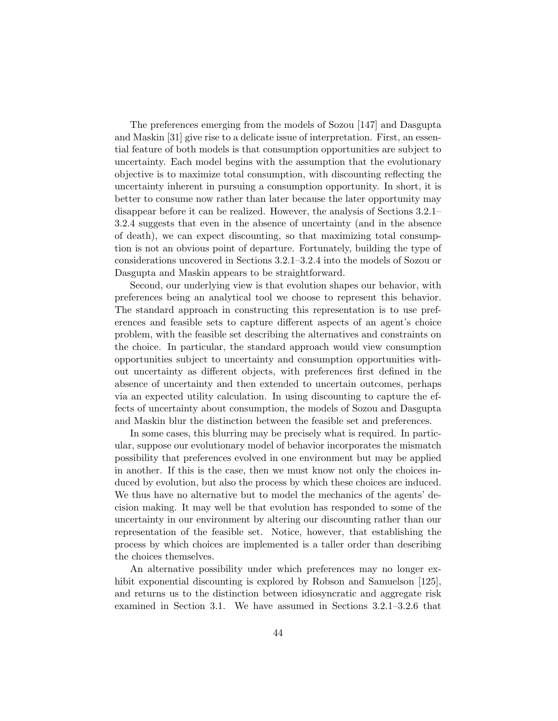The preferences emerging from the models of Sozou [147] and Dasgupta and Maskin [31] give rise to a delicate issue of interpretation. First, an essential feature of both models is that consumption opportunities are subject to uncertainty. Each model begins with the assumption that the evolutionary objective is to maximize total consumption, with discounting reflecting the uncertainty inherent in pursuing a consumption opportunity. In short, it is better to consume now rather than later because the later opportunity may disappear before it can be realized. However, the analysis of Sections 3.2.1– 3.2.4 suggests that even in the absence of uncertainty (and in the absence of death), we can expect discounting, so that maximizing total consumption is not an obvious point of departure. Fortunately, building the type of considerations uncovered in Sections 3.2.1–3.2.4 into the models of Sozou or Dasgupta and Maskin appears to be straightforward.

Second, our underlying view is that evolution shapes our behavior, with preferences being an analytical tool we choose to represent this behavior. The standard approach in constructing this representation is to use preferences and feasible sets to capture different aspects of an agent's choice problem, with the feasible set describing the alternatives and constraints on the choice. In particular, the standard approach would view consumption opportunities subject to uncertainty and consumption opportunities without uncertainty as different objects, with preferences first defined in the absence of uncertainty and then extended to uncertain outcomes, perhaps via an expected utility calculation. In using discounting to capture the effects of uncertainty about consumption, the models of Sozou and Dasgupta and Maskin blur the distinction between the feasible set and preferences.

In some cases, this blurring may be precisely what is required. In particular, suppose our evolutionary model of behavior incorporates the mismatch possibility that preferences evolved in one environment but may be applied in another. If this is the case, then we must know not only the choices induced by evolution, but also the process by which these choices are induced. We thus have no alternative but to model the mechanics of the agents' decision making. It may well be that evolution has responded to some of the uncertainty in our environment by altering our discounting rather than our representation of the feasible set. Notice, however, that establishing the process by which choices are implemented is a taller order than describing the choices themselves.

An alternative possibility under which preferences may no longer exhibit exponential discounting is explored by Robson and Samuelson [125], and returns us to the distinction between idiosyncratic and aggregate risk examined in Section 3.1. We have assumed in Sections 3.2.1–3.2.6 that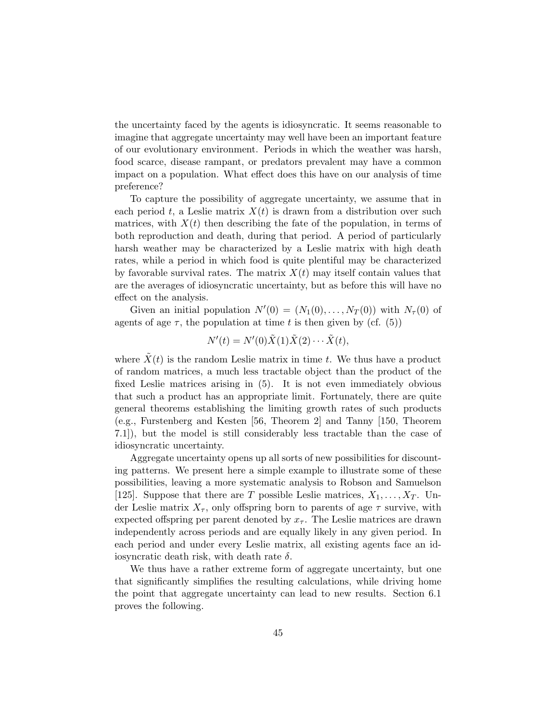the uncertainty faced by the agents is idiosyncratic. It seems reasonable to imagine that aggregate uncertainty may well have been an important feature of our evolutionary environment. Periods in which the weather was harsh, food scarce, disease rampant, or predators prevalent may have a common impact on a population. What effect does this have on our analysis of time preference?

To capture the possibility of aggregate uncertainty, we assume that in each period t, a Leslie matrix  $X(t)$  is drawn from a distribution over such matrices, with  $X(t)$  then describing the fate of the population, in terms of both reproduction and death, during that period. A period of particularly harsh weather may be characterized by a Leslie matrix with high death rates, while a period in which food is quite plentiful may be characterized by favorable survival rates. The matrix  $X(t)$  may itself contain values that are the averages of idiosyncratic uncertainty, but as before this will have no effect on the analysis.

Given an initial population  $N'(0) = (N_1(0), \ldots, N_T(0))$  with  $N_\tau(0)$  of agents of age  $\tau$ , the population at time t is then given by (cf. (5))

$$
N'(t) = N'(0)\tilde{X}(1)\tilde{X}(2)\cdots\tilde{X}(t),
$$

where  $X(t)$  is the random Leslie matrix in time t. We thus have a product of random matrices, a much less tractable object than the product of the fixed Leslie matrices arising in (5). It is not even immediately obvious that such a product has an appropriate limit. Fortunately, there are quite general theorems establishing the limiting growth rates of such products (e.g., Furstenberg and Kesten [56, Theorem 2] and Tanny [150, Theorem 7.1]), but the model is still considerably less tractable than the case of idiosyncratic uncertainty.

Aggregate uncertainty opens up all sorts of new possibilities for discounting patterns. We present here a simple example to illustrate some of these possibilities, leaving a more systematic analysis to Robson and Samuelson [125]. Suppose that there are T possible Leslie matrices,  $X_1, \ldots, X_T$ . Under Leslie matrix  $X_{\tau}$ , only offspring born to parents of age  $\tau$  survive, with expected offspring per parent denoted by  $x<sub>\tau</sub>$ . The Leslie matrices are drawn independently across periods and are equally likely in any given period. In each period and under every Leslie matrix, all existing agents face an idiosyncratic death risk, with death rate  $\delta$ .

We thus have a rather extreme form of aggregate uncertainty, but one that significantly simplifies the resulting calculations, while driving home the point that aggregate uncertainty can lead to new results. Section 6.1 proves the following.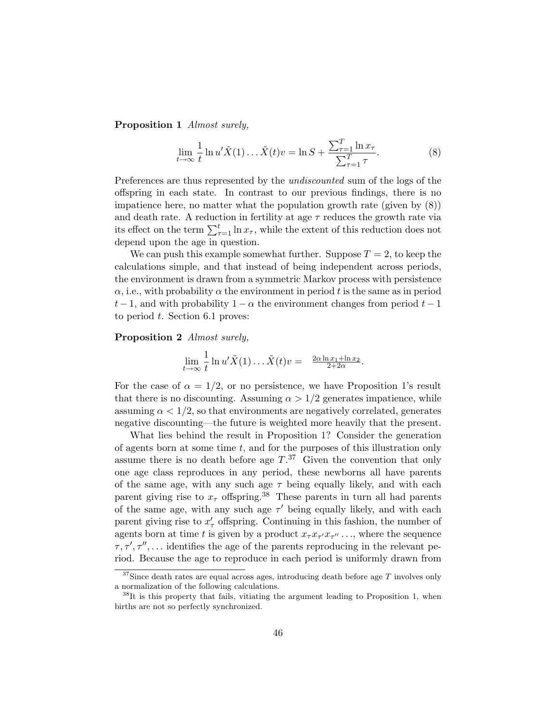Proposition 1 Almost surely,

$$
\lim_{t \to \infty} \frac{1}{t} \ln u' \tilde{X}(1) \dots \tilde{X}(t) v = \ln S + \frac{\sum_{\tau=1}^T \ln x_{\tau}}{\sum_{\tau=1}^T \tau}.
$$
 (8)

Preferences are thus represented by the undiscounted sum of the logs of the offspring in each state. In contrast to our previous findings, there is no impatience here, no matter what the population growth rate (given by (8)) and death rate. A reduction in fertility at age  $\tau$  reduces the growth rate via its effect on the term  $\sum_{\tau=1}^{t} \ln x_{\tau}$ , while the extent of this reduction does not depend upon the age in question.

We can push this example somewhat further. Suppose  $T = 2$ , to keep the calculations simple, and that instead of being independent across periods, the environment is drawn from a symmetric Markov process with persistence  $\alpha$ , i.e., with probability  $\alpha$  the environment in period t is the same as in period  $t-1$ , and with probability  $1-\alpha$  the environment changes from period  $t-1$ to period  $t$ . Section 6.1 proves:

Proposition 2 Almost surely,

$$
\lim_{t \to \infty} \frac{1}{t} \ln u' \tilde{X}(1) \dots \tilde{X}(t) v = \frac{2\alpha \ln x_1 + \ln x_2}{2 + 2\alpha}.
$$

For the case of  $\alpha = 1/2$ , or no persistence, we have Proposition 1's result that there is no discounting. Assuming  $\alpha > 1/2$  generates impatience, while assuming  $\alpha < 1/2$ , so that environments are negatively correlated, generates negative discounting—the future is weighted more heavily that the present.

What lies behind the result in Proposition 1? Consider the generation of agents born at some time  $t$ , and for the purposes of this illustration only assume there is no death before age  $T^{37}$ . Given the convention that only one age class reproduces in any period, these newborns all have parents of the same age, with any such age  $\tau$  being equally likely, and with each parent giving rise to  $x_{\tau}$  offspring.<sup>38</sup> These parents in turn all had parents of the same age, with any such age  $\tau'$  being equally likely, and with each parent giving rise to  $x'_{\tau}$  offspring. Continuing in this fashion, the number of agents born at time t is given by a product  $x_{\tau} x_{\tau} x_{\tau} \dots$ , where the sequence  $\tau, \tau', \tau'', \ldots$  identifies the age of the parents reproducing in the relevant period. Because the age to reproduce in each period is uniformly drawn from

 $37$ Since death rates are equal across ages, introducing death before age T involves only a normalization of the following calculations.

<sup>38</sup>It is this property that fails, vitiating the argument leading to Proposition 1, when births are not so perfectly synchronized.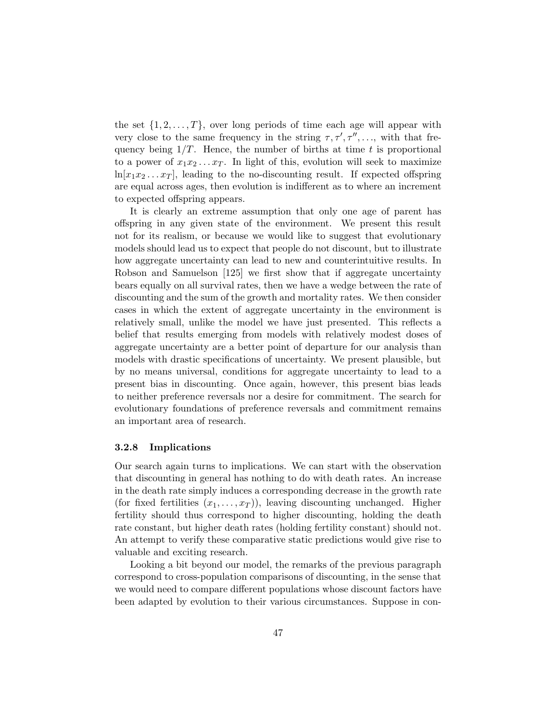the set  $\{1, 2, \ldots, T\}$ , over long periods of time each age will appear with very close to the same frequency in the string  $\tau, \tau', \tau'', \ldots$ , with that frequency being  $1/T$ . Hence, the number of births at time t is proportional to a power of  $x_1x_2 \ldots x_T$ . In light of this, evolution will seek to maximize  $\ln[x_1x_2 \ldots x_T]$ , leading to the no-discounting result. If expected offspring are equal across ages, then evolution is indifferent as to where an increment to expected offspring appears.

It is clearly an extreme assumption that only one age of parent has offspring in any given state of the environment. We present this result not for its realism, or because we would like to suggest that evolutionary models should lead us to expect that people do not discount, but to illustrate how aggregate uncertainty can lead to new and counterintuitive results. In Robson and Samuelson [125] we first show that if aggregate uncertainty bears equally on all survival rates, then we have a wedge between the rate of discounting and the sum of the growth and mortality rates. We then consider cases in which the extent of aggregate uncertainty in the environment is relatively small, unlike the model we have just presented. This reflects a belief that results emerging from models with relatively modest doses of aggregate uncertainty are a better point of departure for our analysis than models with drastic specifications of uncertainty. We present plausible, but by no means universal, conditions for aggregate uncertainty to lead to a present bias in discounting. Once again, however, this present bias leads to neither preference reversals nor a desire for commitment. The search for evolutionary foundations of preference reversals and commitment remains an important area of research.

### 3.2.8 Implications

Our search again turns to implications. We can start with the observation that discounting in general has nothing to do with death rates. An increase in the death rate simply induces a corresponding decrease in the growth rate (for fixed fertilities  $(x_1, \ldots, x_T)$ ), leaving discounting unchanged. Higher fertility should thus correspond to higher discounting, holding the death rate constant, but higher death rates (holding fertility constant) should not. An attempt to verify these comparative static predictions would give rise to valuable and exciting research.

Looking a bit beyond our model, the remarks of the previous paragraph correspond to cross-population comparisons of discounting, in the sense that we would need to compare different populations whose discount factors have been adapted by evolution to their various circumstances. Suppose in con-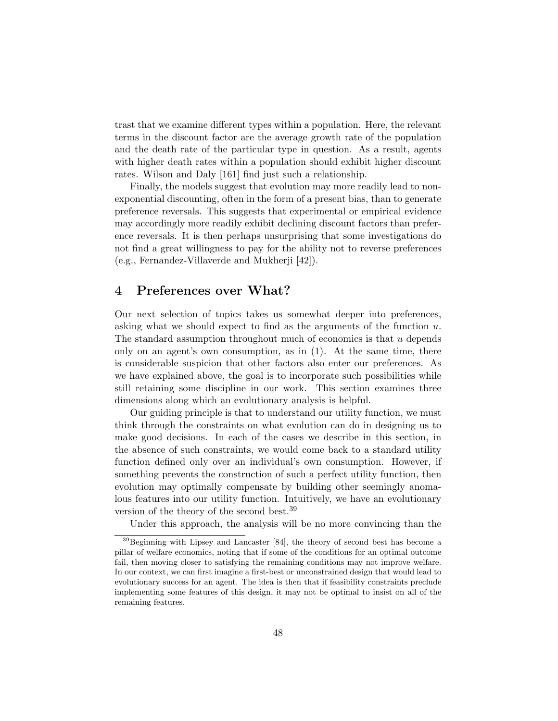trast that we examine different types within a population. Here, the relevant terms in the discount factor are the average growth rate of the population and the death rate of the particular type in question. As a result, agents with higher death rates within a population should exhibit higher discount rates. Wilson and Daly [161] find just such a relationship.

Finally, the models suggest that evolution may more readily lead to nonexponential discounting, often in the form of a present bias, than to generate preference reversals. This suggests that experimental or empirical evidence may accordingly more readily exhibit declining discount factors than preference reversals. It is then perhaps unsurprising that some investigations do not find a great willingness to pay for the ability not to reverse preferences (e.g., Fernandez-Villaverde and Mukherji [42]).

# 4 Preferences over What?

Our next selection of topics takes us somewhat deeper into preferences, asking what we should expect to find as the arguments of the function  $u$ . The standard assumption throughout much of economics is that  $u$  depends only on an agent's own consumption, as in (1). At the same time, there is considerable suspicion that other factors also enter our preferences. As we have explained above, the goal is to incorporate such possibilities while still retaining some discipline in our work. This section examines three dimensions along which an evolutionary analysis is helpful.

Our guiding principle is that to understand our utility function, we must think through the constraints on what evolution can do in designing us to make good decisions. In each of the cases we describe in this section, in the absence of such constraints, we would come back to a standard utility function defined only over an individual's own consumption. However, if something prevents the construction of such a perfect utility function, then evolution may optimally compensate by building other seemingly anomalous features into our utility function. Intuitively, we have an evolutionary version of the theory of the second best.<sup>39</sup>

Under this approach, the analysis will be no more convincing than the

<sup>39</sup>Beginning with Lipsey and Lancaster [84], the theory of second best has become a pillar of welfare economics, noting that if some of the conditions for an optimal outcome fail, then moving closer to satisfying the remaining conditions may not improve welfare. In our context, we can first imagine a first-best or unconstrained design that would lead to evolutionary success for an agent. The idea is then that if feasibility constraints preclude implementing some features of this design, it may not be optimal to insist on all of the remaining features.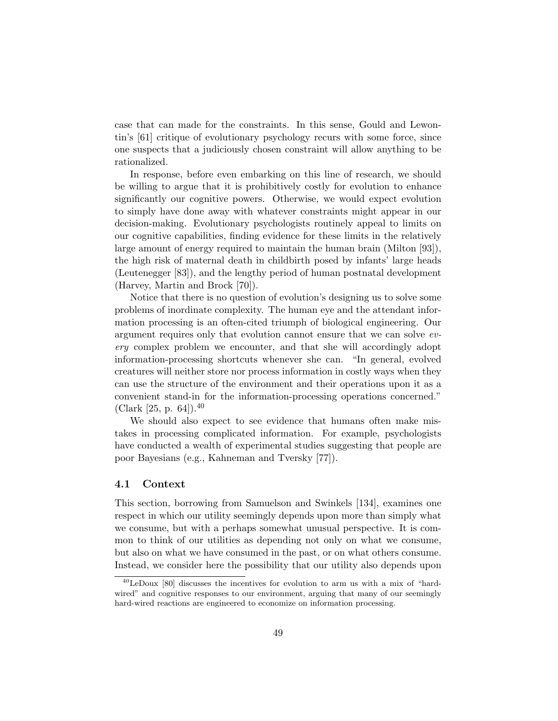case that can made for the constraints. In this sense, Gould and Lewontin's [61] critique of evolutionary psychology recurs with some force, since one suspects that a judiciously chosen constraint will allow anything to be rationalized.

In response, before even embarking on this line of research, we should be willing to argue that it is prohibitively costly for evolution to enhance significantly our cognitive powers. Otherwise, we would expect evolution to simply have done away with whatever constraints might appear in our decision-making. Evolutionary psychologists routinely appeal to limits on our cognitive capabilities, finding evidence for these limits in the relatively large amount of energy required to maintain the human brain (Milton [93]), the high risk of maternal death in childbirth posed by infants' large heads (Leutenegger [83]), and the lengthy period of human postnatal development (Harvey, Martin and Brock [70]).

Notice that there is no question of evolution's designing us to solve some problems of inordinate complexity. The human eye and the attendant information processing is an often-cited triumph of biological engineering. Our argument requires only that evolution cannot ensure that we can solve every complex problem we encounter, and that she will accordingly adopt information-processing shortcuts whenever she can. "In general, evolved creatures will neither store nor process information in costly ways when they can use the structure of the environment and their operations upon it as a convenient stand-in for the information-processing operations concerned." (Clark [25, p. 64]).<sup>40</sup>

We should also expect to see evidence that humans often make mistakes in processing complicated information. For example, psychologists have conducted a wealth of experimental studies suggesting that people are poor Bayesians (e.g., Kahneman and Tversky [77]).

# 4.1 Context

This section, borrowing from Samuelson and Swinkels [134], examines one respect in which our utility seemingly depends upon more than simply what we consume, but with a perhaps somewhat unusual perspective. It is common to think of our utilities as depending not only on what we consume, but also on what we have consumed in the past, or on what others consume. Instead, we consider here the possibility that our utility also depends upon

 $^{40}$ LeDoux [80] discusses the incentives for evolution to arm us with a mix of "hardwired" and cognitive responses to our environment, arguing that many of our seemingly hard-wired reactions are engineered to economize on information processing.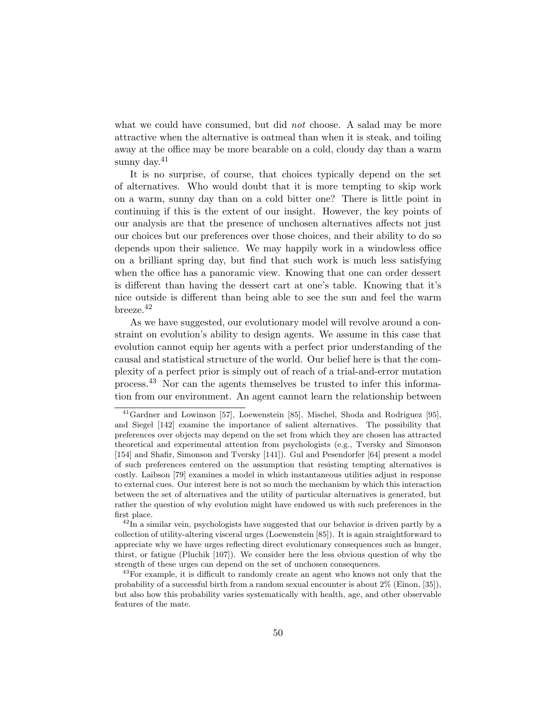what we could have consumed, but did *not* choose. A salad may be more attractive when the alternative is oatmeal than when it is steak, and toiling away at the office may be more bearable on a cold, cloudy day than a warm sunny day.<sup>41</sup>

It is no surprise, of course, that choices typically depend on the set of alternatives. Who would doubt that it is more tempting to skip work on a warm, sunny day than on a cold bitter one? There is little point in continuing if this is the extent of our insight. However, the key points of our analysis are that the presence of unchosen alternatives affects not just our choices but our preferences over those choices, and their ability to do so depends upon their salience. We may happily work in a windowless office on a brilliant spring day, but find that such work is much less satisfying when the office has a panoramic view. Knowing that one can order dessert is different than having the dessert cart at one's table. Knowing that it's nice outside is different than being able to see the sun and feel the warm breeze.<sup>42</sup>

As we have suggested, our evolutionary model will revolve around a constraint on evolution's ability to design agents. We assume in this case that evolution cannot equip her agents with a perfect prior understanding of the causal and statistical structure of the world. Our belief here is that the complexity of a perfect prior is simply out of reach of a trial-and-error mutation process.<sup>43</sup> Nor can the agents themselves be trusted to infer this information from our environment. An agent cannot learn the relationship between

<sup>41</sup>Gardner and Lowinson [57], Loewenstein [85], Mischel, Shoda and Rodriguez [95], and Siegel [142] examine the importance of salient alternatives. The possibility that preferences over objects may depend on the set from which they are chosen has attracted theoretical and experimental attention from psychologists (e.g., Tversky and Simonson [154] and Shafir, Simonson and Tversky [141]). Gul and Pesendorfer [64] present a model of such preferences centered on the assumption that resisting tempting alternatives is costly. Laibson [79] examines a model in which instantaneous utilities adjust in response to external cues. Our interest here is not so much the mechanism by which this interaction between the set of alternatives and the utility of particular alternatives is generated, but rather the question of why evolution might have endowed us with such preferences in the first place.

 $^{42}$ In a similar vein, psychologists have suggested that our behavior is driven partly by a collection of utility-altering visceral urges (Loewenstein [85]). It is again straightforward to appreciate why we have urges reflecting direct evolutionary consequences such as hunger, thirst, or fatigue (Pluchik [107]). We consider here the less obvious question of why the strength of these urges can depend on the set of unchosen consequences.

<sup>&</sup>lt;sup>43</sup>For example, it is difficult to randomly create an agent who knows not only that the probability of a successful birth from a random sexual encounter is about 2% (Einon, [35]), but also how this probability varies systematically with health, age, and other observable features of the mate.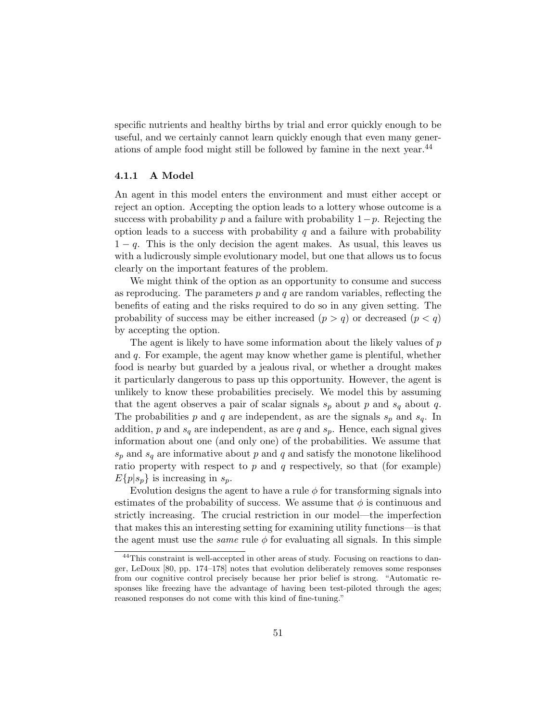specific nutrients and healthy births by trial and error quickly enough to be useful, and we certainly cannot learn quickly enough that even many generations of ample food might still be followed by famine in the next year.<sup>44</sup>

# 4.1.1 A Model

An agent in this model enters the environment and must either accept or reject an option. Accepting the option leads to a lottery whose outcome is a success with probability p and a failure with probability  $1-p$ . Rejecting the option leads to a success with probability  $q$  and a failure with probability  $1 - q$ . This is the only decision the agent makes. As usual, this leaves us with a ludicrously simple evolutionary model, but one that allows us to focus clearly on the important features of the problem.

We might think of the option as an opportunity to consume and success as reproducing. The parameters  $p$  and  $q$  are random variables, reflecting the benefits of eating and the risks required to do so in any given setting. The probability of success may be either increased  $(p > q)$  or decreased  $(p < q)$ by accepting the option.

The agent is likely to have some information about the likely values of p and q. For example, the agent may know whether game is plentiful, whether food is nearby but guarded by a jealous rival, or whether a drought makes it particularly dangerous to pass up this opportunity. However, the agent is unlikely to know these probabilities precisely. We model this by assuming that the agent observes a pair of scalar signals  $s_p$  about p and  $s_q$  about q. The probabilities p and q are independent, as are the signals  $s_p$  and  $s_q$ . In addition, p and  $s_q$  are independent, as are q and  $s_p$ . Hence, each signal gives information about one (and only one) of the probabilities. We assume that  $s_p$  and  $s_q$  are informative about p and q and satisfy the monotone likelihood ratio property with respect to  $p$  and  $q$  respectively, so that (for example)  $E\{p|s_n\}$  is increasing in  $s_n$ .

Evolution designs the agent to have a rule  $\phi$  for transforming signals into estimates of the probability of success. We assume that  $\phi$  is continuous and strictly increasing. The crucial restriction in our model—the imperfection that makes this an interesting setting for examining utility functions—is that the agent must use the *same* rule  $\phi$  for evaluating all signals. In this simple

<sup>44</sup>This constraint is well-accepted in other areas of study. Focusing on reactions to danger, LeDoux [80, pp. 174–178] notes that evolution deliberately removes some responses from our cognitive control precisely because her prior belief is strong. "Automatic responses like freezing have the advantage of having been test-piloted through the ages; reasoned responses do not come with this kind of fine-tuning."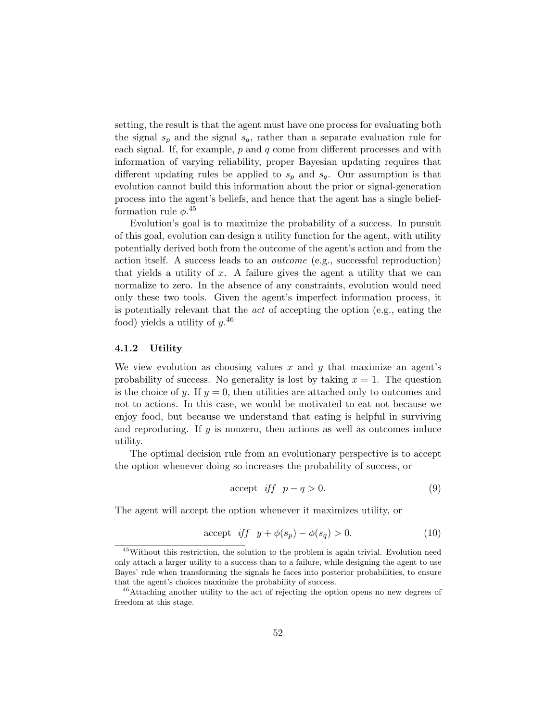setting, the result is that the agent must have one process for evaluating both the signal  $s_p$  and the signal  $s_q$ , rather than a separate evaluation rule for each signal. If, for example,  $p$  and  $q$  come from different processes and with information of varying reliability, proper Bayesian updating requires that different updating rules be applied to  $s_p$  and  $s_q$ . Our assumption is that evolution cannot build this information about the prior or signal-generation process into the agent's beliefs, and hence that the agent has a single beliefformation rule  $\phi$ <sup>45</sup>

Evolution's goal is to maximize the probability of a success. In pursuit of this goal, evolution can design a utility function for the agent, with utility potentially derived both from the outcome of the agent's action and from the action itself. A success leads to an outcome (e.g., successful reproduction) that yields a utility of x. A failure gives the agent a utility that we can normalize to zero. In the absence of any constraints, evolution would need only these two tools. Given the agent's imperfect information process, it is potentially relevant that the act of accepting the option (e.g., eating the food) yields a utility of  $y^{46}$ 

## 4.1.2 Utility

We view evolution as choosing values x and y that maximize an agent's probability of success. No generality is lost by taking  $x = 1$ . The question is the choice of y. If  $y = 0$ , then utilities are attached only to outcomes and not to actions. In this case, we would be motivated to eat not because we enjoy food, but because we understand that eating is helpful in surviving and reproducing. If  $y$  is nonzero, then actions as well as outcomes induce utility.

The optimal decision rule from an evolutionary perspective is to accept the option whenever doing so increases the probability of success, or

$$
\text{accept} \quad \text{iff} \quad p - q > 0. \tag{9}
$$

The agent will accept the option whenever it maximizes utility, or

accept iff 
$$
y + \phi(s_p) - \phi(s_q) > 0.
$$
 (10)

 $^{45}\rm{Without}$  this restriction, the solution to the problem is again trivial. Evolution need only attach a larger utility to a success than to a failure, while designing the agent to use Bayes' rule when transforming the signals he faces into posterior probabilities, to ensure that the agent's choices maximize the probability of success.

<sup>&</sup>lt;sup>46</sup>Attaching another utility to the act of rejecting the option opens no new degrees of freedom at this stage.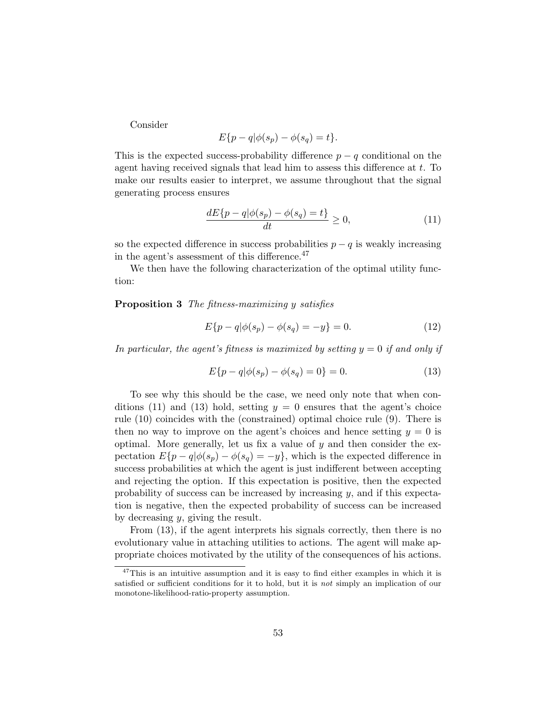Consider

$$
E\{p-q|\phi(s_p)-\phi(s_q)=t\}.
$$

This is the expected success-probability difference  $p - q$  conditional on the agent having received signals that lead him to assess this difference at  $t$ . To make our results easier to interpret, we assume throughout that the signal generating process ensures

$$
\frac{dE\{p - q | \phi(s_p) - \phi(s_q) = t\}}{dt} \ge 0,
$$
\n(11)

so the expected difference in success probabilities  $p - q$  is weakly increasing in the agent's assessment of this difference.<sup>47</sup>

We then have the following characterization of the optimal utility function:

Proposition 3 The fitness-maximizing y satisfies

$$
E\{p - q|\phi(s_p) - \phi(s_q) = -y\} = 0.
$$
\n(12)

In particular, the agent's fitness is maximized by setting  $y = 0$  if and only if

$$
E\{p - q|\phi(s_p) - \phi(s_q) = 0\} = 0.
$$
\n(13)

To see why this should be the case, we need only note that when conditions (11) and (13) hold, setting  $y = 0$  ensures that the agent's choice rule (10) coincides with the (constrained) optimal choice rule (9). There is then no way to improve on the agent's choices and hence setting  $y = 0$  is optimal. More generally, let us fix a value of  $y$  and then consider the expectation  $E\{p-q|\phi(s_p)-\phi(s_q)=-y\}$ , which is the expected difference in success probabilities at which the agent is just indifferent between accepting and rejecting the option. If this expectation is positive, then the expected probability of success can be increased by increasing y, and if this expectation is negative, then the expected probability of success can be increased by decreasing y, giving the result.

From (13), if the agent interprets his signals correctly, then there is no evolutionary value in attaching utilities to actions. The agent will make appropriate choices motivated by the utility of the consequences of his actions.

 $47$ This is an intuitive assumption and it is easy to find either examples in which it is satisfied or sufficient conditions for it to hold, but it is not simply an implication of our monotone-likelihood-ratio-property assumption.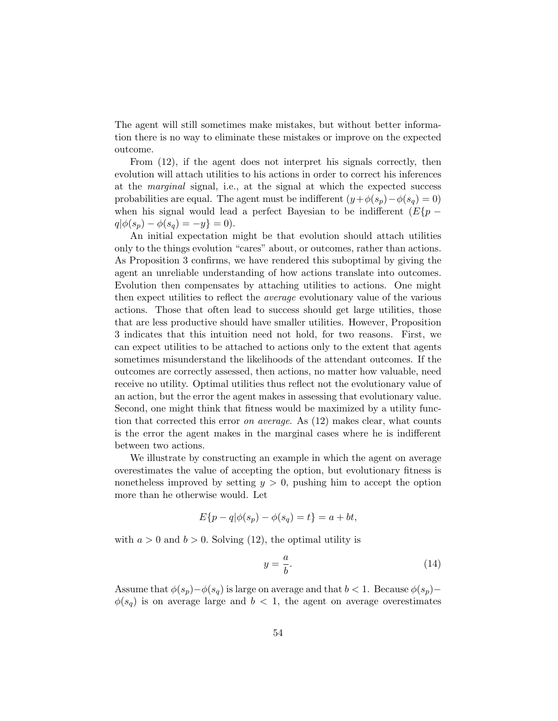The agent will still sometimes make mistakes, but without better information there is no way to eliminate these mistakes or improve on the expected outcome.

From (12), if the agent does not interpret his signals correctly, then evolution will attach utilities to his actions in order to correct his inferences at the marginal signal, i.e., at the signal at which the expected success probabilities are equal. The agent must be indifferent  $(y+\phi(s_p)-\phi(s_q)=0)$ when his signal would lead a perfect Bayesian to be indifferent  $(E\{p - \}$  $q|\phi(s_p) - \phi(s_q) = -y\} = 0.$ 

An initial expectation might be that evolution should attach utilities only to the things evolution "cares" about, or outcomes, rather than actions. As Proposition 3 confirms, we have rendered this suboptimal by giving the agent an unreliable understanding of how actions translate into outcomes. Evolution then compensates by attaching utilities to actions. One might then expect utilities to reflect the *average* evolutionary value of the various actions. Those that often lead to success should get large utilities, those that are less productive should have smaller utilities. However, Proposition 3 indicates that this intuition need not hold, for two reasons. First, we can expect utilities to be attached to actions only to the extent that agents sometimes misunderstand the likelihoods of the attendant outcomes. If the outcomes are correctly assessed, then actions, no matter how valuable, need receive no utility. Optimal utilities thus reflect not the evolutionary value of an action, but the error the agent makes in assessing that evolutionary value. Second, one might think that fitness would be maximized by a utility function that corrected this error *on average*. As  $(12)$  makes clear, what counts is the error the agent makes in the marginal cases where he is indifferent between two actions.

We illustrate by constructing an example in which the agent on average overestimates the value of accepting the option, but evolutionary fitness is nonetheless improved by setting  $y > 0$ , pushing him to accept the option more than he otherwise would. Let

$$
E\{p - q | \phi(s_p) - \phi(s_q) = t\} = a + bt,
$$

with  $a > 0$  and  $b > 0$ . Solving (12), the optimal utility is

$$
y = \frac{a}{b}.\tag{14}
$$

Assume that  $\phi(s_p)-\phi(s_q)$  is large on average and that  $b < 1$ . Because  $\phi(s_p)$  $\phi(s_q)$  is on average large and  $b < 1$ , the agent on average overestimates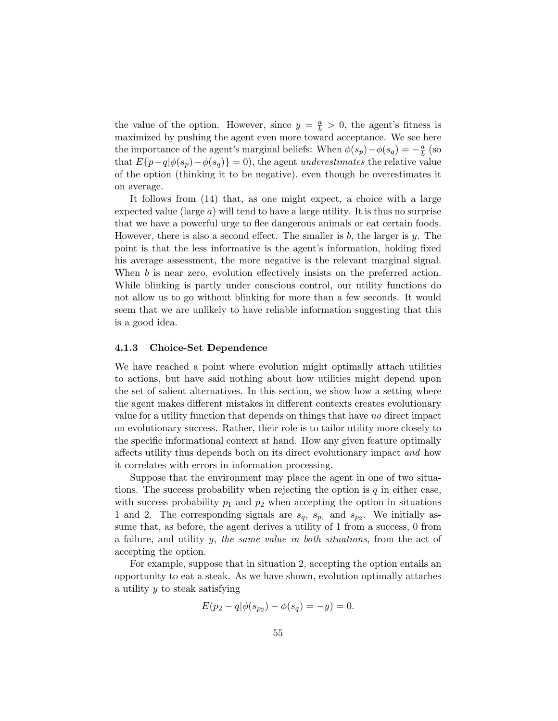the value of the option. However, since  $y = \frac{a}{b} > 0$ , the agent's fitness is maximized by pushing the agent even more toward acceptance. We see here the importance of the agent's marginal beliefs: When  $\phi(s_p) - \phi(s_q) = -\frac{a}{b}$  $rac{a}{b}$  (so that  $E\{p-q|\phi(s_p)-\phi(s_q)\}=0$ , the agent underestimates the relative value of the option (thinking it to be negative), even though he overestimates it on average.

It follows from (14) that, as one might expect, a choice with a large expected value (large  $a$ ) will tend to have a large utility. It is thus no surprise that we have a powerful urge to flee dangerous animals or eat certain foods. However, there is also a second effect. The smaller is  $b$ , the larger is  $y$ . The point is that the less informative is the agent's information, holding fixed his average assessment, the more negative is the relevant marginal signal. When b is near zero, evolution effectively insists on the preferred action. While blinking is partly under conscious control, our utility functions do not allow us to go without blinking for more than a few seconds. It would seem that we are unlikely to have reliable information suggesting that this is a good idea.

## 4.1.3 Choice-Set Dependence

We have reached a point where evolution might optimally attach utilities to actions, but have said nothing about how utilities might depend upon the set of salient alternatives. In this section, we show how a setting where the agent makes different mistakes in different contexts creates evolutionary value for a utility function that depends on things that have no direct impact on evolutionary success. Rather, their role is to tailor utility more closely to the specific informational context at hand. How any given feature optimally affects utility thus depends both on its direct evolutionary impact and how it correlates with errors in information processing.

Suppose that the environment may place the agent in one of two situations. The success probability when rejecting the option is  $q$  in either case, with success probability  $p_1$  and  $p_2$  when accepting the option in situations 1 and 2. The corresponding signals are  $s_q$ ,  $s_{p_1}$  and  $s_{p_2}$ . We initially assume that, as before, the agent derives a utility of 1 from a success, 0 from a failure, and utility y, the same value in both situations, from the act of accepting the option.

For example, suppose that in situation 2, accepting the option entails an opportunity to eat a steak. As we have shown, evolution optimally attaches a utility y to steak satisfying

$$
E(p_2 - q | \phi(s_{p_2}) - \phi(s_q) = -y) = 0.
$$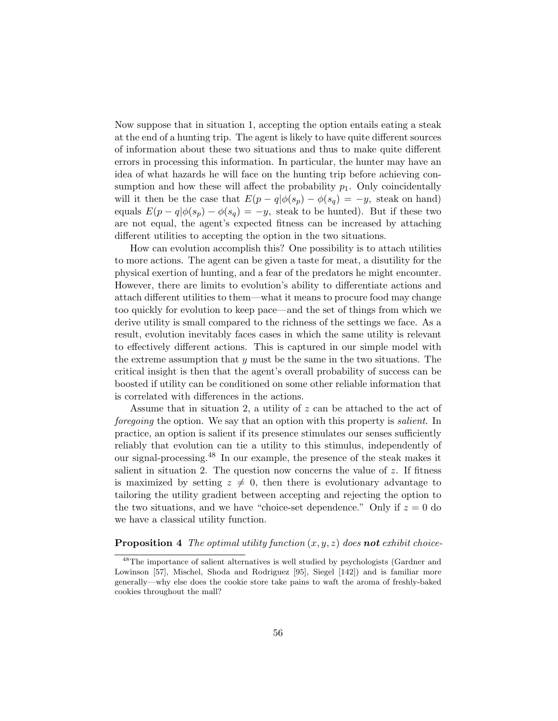Now suppose that in situation 1, accepting the option entails eating a steak at the end of a hunting trip. The agent is likely to have quite different sources of information about these two situations and thus to make quite different errors in processing this information. In particular, the hunter may have an idea of what hazards he will face on the hunting trip before achieving consumption and how these will affect the probability  $p_1$ . Only coincidentally will it then be the case that  $E(p - q | \phi(s_p) - \phi(s_q) = -y$ , steak on hand) equals  $E(p - q | \phi(s_p) - \phi(s_q) = -y$ , steak to be hunted). But if these two are not equal, the agent's expected fitness can be increased by attaching different utilities to accepting the option in the two situations.

How can evolution accomplish this? One possibility is to attach utilities to more actions. The agent can be given a taste for meat, a disutility for the physical exertion of hunting, and a fear of the predators he might encounter. However, there are limits to evolution's ability to differentiate actions and attach different utilities to them—what it means to procure food may change too quickly for evolution to keep pace—and the set of things from which we derive utility is small compared to the richness of the settings we face. As a result, evolution inevitably faces cases in which the same utility is relevant to effectively different actions. This is captured in our simple model with the extreme assumption that  $y$  must be the same in the two situations. The critical insight is then that the agent's overall probability of success can be boosted if utility can be conditioned on some other reliable information that is correlated with differences in the actions.

Assume that in situation 2, a utility of z can be attached to the act of foregoing the option. We say that an option with this property is salient. In practice, an option is salient if its presence stimulates our senses sufficiently reliably that evolution can tie a utility to this stimulus, independently of our signal-processing.<sup>48</sup> In our example, the presence of the steak makes it salient in situation 2. The question now concerns the value of  $z$ . If fitness is maximized by setting  $z \neq 0$ , then there is evolutionary advantage to tailoring the utility gradient between accepting and rejecting the option to the two situations, and we have "choice-set dependence." Only if  $z = 0$  do we have a classical utility function.

# **Proposition 4** The optimal utility function  $(x, y, z)$  does **not** exhibit choice-

<sup>48</sup>The importance of salient alternatives is well studied by psychologists (Gardner and Lowinson [57], Mischel, Shoda and Rodriguez [95], Siegel [142]) and is familiar more generally—why else does the cookie store take pains to waft the aroma of freshly-baked cookies throughout the mall?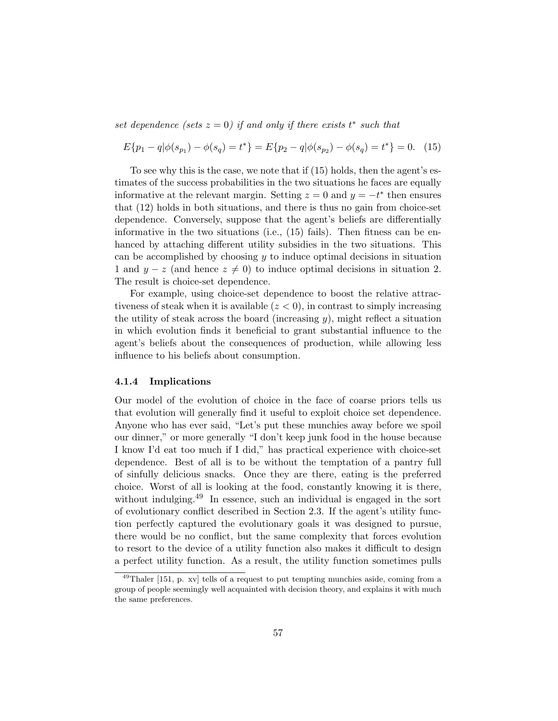set dependence (sets  $z = 0$ ) if and only if there exists  $t^*$  such that

$$
E\{p_1 - q|\phi(s_{p_1}) - \phi(s_q) = t^*\} = E\{p_2 - q|\phi(s_{p_2}) - \phi(s_q) = t^*\} = 0. \tag{15}
$$

To see why this is the case, we note that if (15) holds, then the agent's estimates of the success probabilities in the two situations he faces are equally informative at the relevant margin. Setting  $z = 0$  and  $y = -t^*$  then ensures that (12) holds in both situations, and there is thus no gain from choice-set dependence. Conversely, suppose that the agent's beliefs are differentially informative in the two situations (i.e., (15) fails). Then fitness can be enhanced by attaching different utility subsidies in the two situations. This can be accomplished by choosing  $y$  to induce optimal decisions in situation 1 and  $y - z$  (and hence  $z \neq 0$ ) to induce optimal decisions in situation 2. The result is choice-set dependence.

For example, using choice-set dependence to boost the relative attractiveness of steak when it is available  $(z < 0)$ , in contrast to simply increasing the utility of steak across the board (increasing  $y$ ), might reflect a situation in which evolution finds it beneficial to grant substantial influence to the agent's beliefs about the consequences of production, while allowing less influence to his beliefs about consumption.

### 4.1.4 Implications

Our model of the evolution of choice in the face of coarse priors tells us that evolution will generally find it useful to exploit choice set dependence. Anyone who has ever said, "Let's put these munchies away before we spoil our dinner," or more generally "I don't keep junk food in the house because I know I'd eat too much if I did," has practical experience with choice-set dependence. Best of all is to be without the temptation of a pantry full of sinfully delicious snacks. Once they are there, eating is the preferred choice. Worst of all is looking at the food, constantly knowing it is there, without indulging.<sup>49</sup> In essence, such an individual is engaged in the sort of evolutionary conflict described in Section 2.3. If the agent's utility function perfectly captured the evolutionary goals it was designed to pursue, there would be no conflict, but the same complexity that forces evolution to resort to the device of a utility function also makes it difficult to design a perfect utility function. As a result, the utility function sometimes pulls

 $^{49}$ Thaler [151, p. xv] tells of a request to put tempting munchies aside, coming from a group of people seemingly well acquainted with decision theory, and explains it with much the same preferences.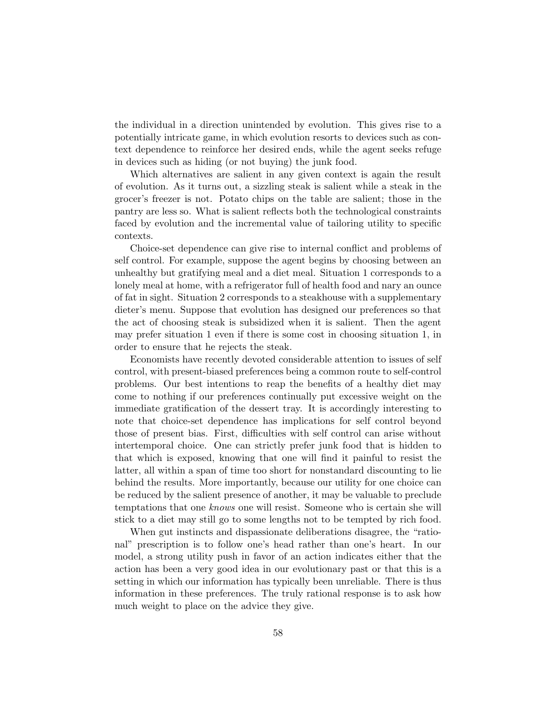the individual in a direction unintended by evolution. This gives rise to a potentially intricate game, in which evolution resorts to devices such as context dependence to reinforce her desired ends, while the agent seeks refuge in devices such as hiding (or not buying) the junk food.

Which alternatives are salient in any given context is again the result of evolution. As it turns out, a sizzling steak is salient while a steak in the grocer's freezer is not. Potato chips on the table are salient; those in the pantry are less so. What is salient reflects both the technological constraints faced by evolution and the incremental value of tailoring utility to specific contexts.

Choice-set dependence can give rise to internal conflict and problems of self control. For example, suppose the agent begins by choosing between an unhealthy but gratifying meal and a diet meal. Situation 1 corresponds to a lonely meal at home, with a refrigerator full of health food and nary an ounce of fat in sight. Situation 2 corresponds to a steakhouse with a supplementary dieter's menu. Suppose that evolution has designed our preferences so that the act of choosing steak is subsidized when it is salient. Then the agent may prefer situation 1 even if there is some cost in choosing situation 1, in order to ensure that he rejects the steak.

Economists have recently devoted considerable attention to issues of self control, with present-biased preferences being a common route to self-control problems. Our best intentions to reap the benefits of a healthy diet may come to nothing if our preferences continually put excessive weight on the immediate gratification of the dessert tray. It is accordingly interesting to note that choice-set dependence has implications for self control beyond those of present bias. First, difficulties with self control can arise without intertemporal choice. One can strictly prefer junk food that is hidden to that which is exposed, knowing that one will find it painful to resist the latter, all within a span of time too short for nonstandard discounting to lie behind the results. More importantly, because our utility for one choice can be reduced by the salient presence of another, it may be valuable to preclude temptations that one knows one will resist. Someone who is certain she will stick to a diet may still go to some lengths not to be tempted by rich food.

When gut instincts and dispassionate deliberations disagree, the "rational" prescription is to follow one's head rather than one's heart. In our model, a strong utility push in favor of an action indicates either that the action has been a very good idea in our evolutionary past or that this is a setting in which our information has typically been unreliable. There is thus information in these preferences. The truly rational response is to ask how much weight to place on the advice they give.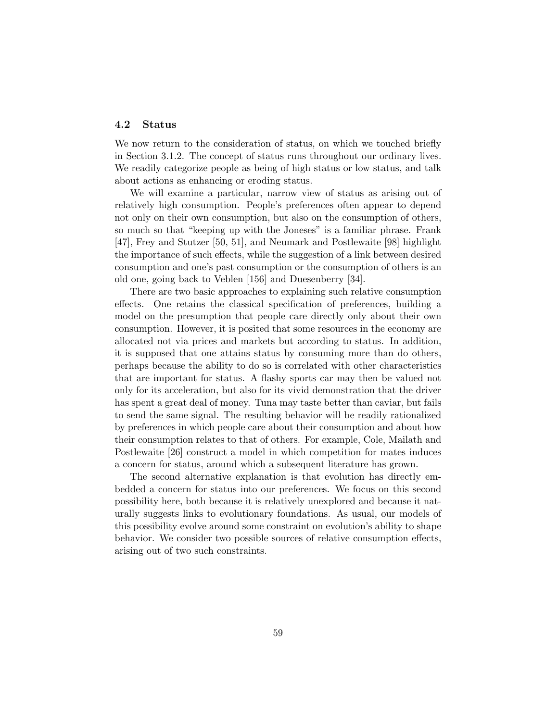# 4.2 Status

We now return to the consideration of status, on which we touched briefly in Section 3.1.2. The concept of status runs throughout our ordinary lives. We readily categorize people as being of high status or low status, and talk about actions as enhancing or eroding status.

We will examine a particular, narrow view of status as arising out of relatively high consumption. People's preferences often appear to depend not only on their own consumption, but also on the consumption of others, so much so that "keeping up with the Joneses" is a familiar phrase. Frank [47], Frey and Stutzer [50, 51], and Neumark and Postlewaite [98] highlight the importance of such effects, while the suggestion of a link between desired consumption and one's past consumption or the consumption of others is an old one, going back to Veblen [156] and Duesenberry [34].

There are two basic approaches to explaining such relative consumption effects. One retains the classical specification of preferences, building a model on the presumption that people care directly only about their own consumption. However, it is posited that some resources in the economy are allocated not via prices and markets but according to status. In addition, it is supposed that one attains status by consuming more than do others, perhaps because the ability to do so is correlated with other characteristics that are important for status. A flashy sports car may then be valued not only for its acceleration, but also for its vivid demonstration that the driver has spent a great deal of money. Tuna may taste better than caviar, but fails to send the same signal. The resulting behavior will be readily rationalized by preferences in which people care about their consumption and about how their consumption relates to that of others. For example, Cole, Mailath and Postlewaite [26] construct a model in which competition for mates induces a concern for status, around which a subsequent literature has grown.

The second alternative explanation is that evolution has directly embedded a concern for status into our preferences. We focus on this second possibility here, both because it is relatively unexplored and because it naturally suggests links to evolutionary foundations. As usual, our models of this possibility evolve around some constraint on evolution's ability to shape behavior. We consider two possible sources of relative consumption effects, arising out of two such constraints.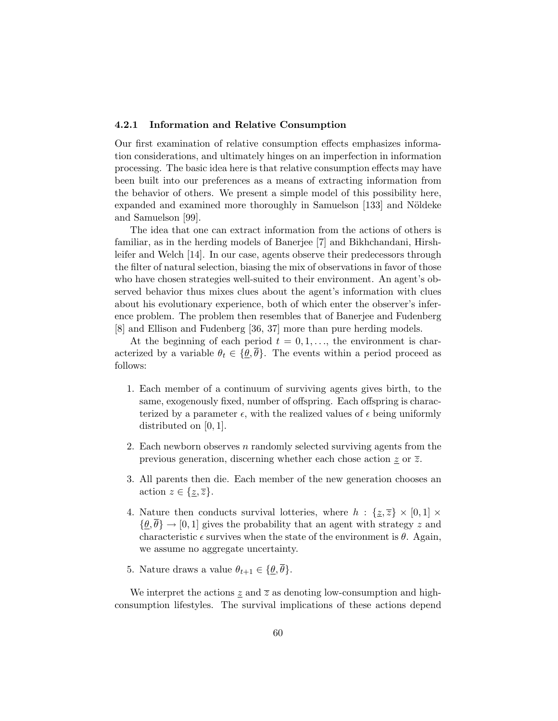# 4.2.1 Information and Relative Consumption

Our first examination of relative consumption effects emphasizes information considerations, and ultimately hinges on an imperfection in information processing. The basic idea here is that relative consumption effects may have been built into our preferences as a means of extracting information from the behavior of others. We present a simple model of this possibility here, expanded and examined more thoroughly in Samuelson [133] and Nöldeke and Samuelson [99].

The idea that one can extract information from the actions of others is familiar, as in the herding models of Banerjee [7] and Bikhchandani, Hirshleifer and Welch [14]. In our case, agents observe their predecessors through the filter of natural selection, biasing the mix of observations in favor of those who have chosen strategies well-suited to their environment. An agent's observed behavior thus mixes clues about the agent's information with clues about his evolutionary experience, both of which enter the observer's inference problem. The problem then resembles that of Banerjee and Fudenberg [8] and Ellison and Fudenberg [36, 37] more than pure herding models.

At the beginning of each period  $t = 0, 1, \ldots$ , the environment is characterized by a variable  $\theta_t \in {\{\theta, \overline{\theta}\}}$ . The events within a period proceed as follows:

- 1. Each member of a continuum of surviving agents gives birth, to the same, exogenously fixed, number of offspring. Each offspring is characterized by a parameter  $\epsilon$ , with the realized values of  $\epsilon$  being uniformly distributed on [0, 1].
- 2. Each newborn observes n randomly selected surviving agents from the previous generation, discerning whether each chose action  $\underline{z}$  or  $\overline{z}$ .
- 3. All parents then die. Each member of the new generation chooses an action  $z \in \{\underline{z}, \overline{z}\}.$
- 4. Nature then conducts survival lotteries, where  $h : \{z, \overline{z}\} \times [0, 1] \times$  $\{\theta, \theta\} \rightarrow [0, 1]$  gives the probability that an agent with strategy z and characteristic  $\epsilon$  survives when the state of the environment is  $\theta$ . Again, we assume no aggregate uncertainty.
- 5. Nature draws a value  $\theta_{t+1} \in {\{\theta, \overline{\theta}\}}$ .

We interpret the actions  $\underline{z}$  and  $\overline{z}$  as denoting low-consumption and highconsumption lifestyles. The survival implications of these actions depend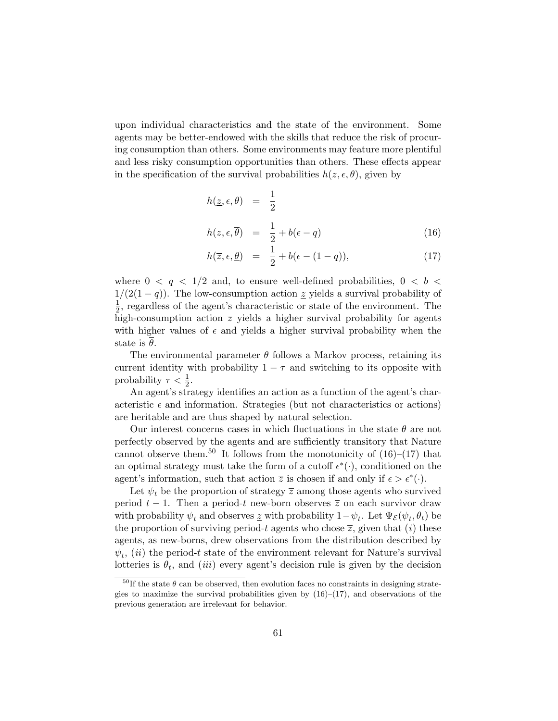upon individual characteristics and the state of the environment. Some agents may be better-endowed with the skills that reduce the risk of procuring consumption than others. Some environments may feature more plentiful and less risky consumption opportunities than others. These effects appear in the specification of the survival probabilities  $h(z, \epsilon, \theta)$ , given by

$$
h(\underline{z}, \epsilon, \theta) = \frac{1}{2}
$$
  

$$
h(\overline{z}, \epsilon, \overline{\theta}) = \frac{1}{2} + b(\epsilon - q)
$$
 (16)

$$
h(\overline{z}, \epsilon, \underline{\theta}) = \frac{1}{2} + b(\epsilon - (1 - q)), \tag{17}
$$

where  $0 \lt q \lt 1/2$  and, to ensure well-defined probabilities,  $0 \lt b \lt 1$  $1/(2(1-q))$ . The low-consumption action z yields a survival probability of 1  $\frac{1}{2}$ , regardless of the agent's characteristic or state of the environment. The high-consumption action  $\overline{z}$  yields a higher survival probability for agents with higher values of  $\epsilon$  and yields a higher survival probability when the state is  $\theta$ .

The environmental parameter  $\theta$  follows a Markov process, retaining its current identity with probability  $1 - \tau$  and switching to its opposite with probability  $\tau < \frac{1}{2}$ .

An agent's strategy identifies an action as a function of the agent's characteristic  $\epsilon$  and information. Strategies (but not characteristics or actions) are heritable and are thus shaped by natural selection.

Our interest concerns cases in which fluctuations in the state  $\theta$  are not perfectly observed by the agents and are sufficiently transitory that Nature cannot observe them.<sup>50</sup> It follows from the monotonicity of  $(16)–(17)$  that an optimal strategy must take the form of a cutoff  $\epsilon^*(\cdot)$ , conditioned on the agent's information, such that action  $\overline{z}$  is chosen if and only if  $\epsilon > \epsilon^*(\cdot)$ .

Let  $\psi_t$  be the proportion of strategy  $\overline{z}$  among those agents who survived period  $t - 1$ . Then a period-t new-born observes  $\overline{z}$  on each survivor draw with probability  $\psi_t$  and observes z with probability  $1 - \psi_t$ . Let  $\Psi_{\mathcal{E}}(\psi_t, \theta_t)$  be the proportion of surviving period-t agents who chose  $\overline{z}$ , given that (i) these agents, as new-borns, drew observations from the distribution described by  $\psi_t$ , (*ii*) the period-*t* state of the environment relevant for Nature's survival lotteries is  $\theta_t$ , and *(iii)* every agent's decision rule is given by the decision

<sup>&</sup>lt;sup>50</sup>If the state  $\theta$  can be observed, then evolution faces no constraints in designing strategies to maximize the survival probabilities given by  $(16)–(17)$ , and observations of the previous generation are irrelevant for behavior.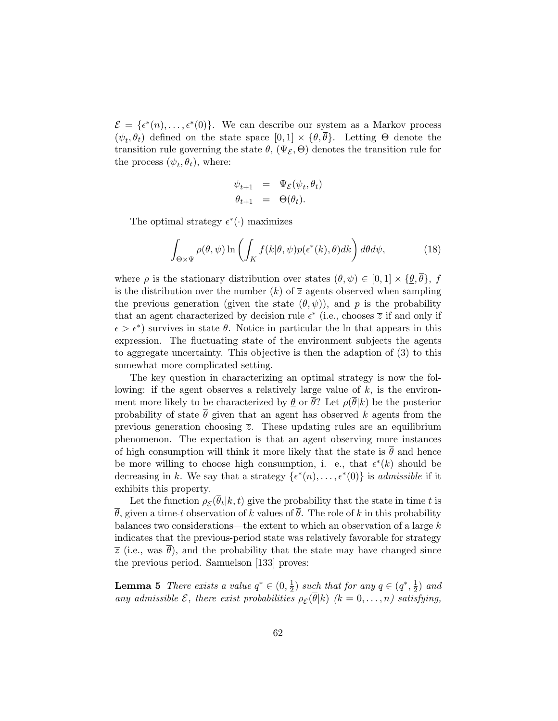$\mathcal{E} = {\epsilon^*(n), \ldots, \epsilon^*(0)}$ . We can describe our system as a Markov process  $(\psi_t, \theta_t)$  defined on the state space  $[0, 1] \times {\theta, \theta}$ . Letting  $\Theta$  denote the transition rule governing the state  $\theta$ ,  $(\Psi_{\mathcal{E}}, \Theta)$  denotes the transition rule for the process  $(\psi_t, \theta_t)$ , where:

$$
\begin{array}{rcl}\n\psi_{t+1} & = & \Psi_{\mathcal{E}}(\psi_t, \theta_t) \\
\theta_{t+1} & = & \Theta(\theta_t).\n\end{array}
$$

The optimal strategy  $\epsilon^*(\cdot)$  maximizes

$$
\int_{\Theta \times \Psi} \rho(\theta, \psi) \ln \left( \int_K f(k|\theta, \psi) p(\epsilon^*(k), \theta) dk \right) d\theta d\psi, \tag{18}
$$

where  $\rho$  is the stationary distribution over states  $(\theta, \psi) \in [0, 1] \times {\theta, \overline{\theta}}$ , f is the distribution over the number  $(k)$  of  $\overline{z}$  agents observed when sampling the previous generation (given the state  $(\theta, \psi)$ ), and p is the probability that an agent characterized by decision rule  $\epsilon^*$  (i.e., chooses  $\overline{z}$  if and only if  $\epsilon > \epsilon^*$ ) survives in state  $\theta$ . Notice in particular the ln that appears in this expression. The fluctuating state of the environment subjects the agents to aggregate uncertainty. This objective is then the adaption of (3) to this somewhat more complicated setting.

The key question in characterizing an optimal strategy is now the following: if the agent observes a relatively large value of  $k$ , is the environment more likely to be characterized by  $\theta$  or  $\overline{\theta}$ ? Let  $\rho(\overline{\theta}|k)$  be the posterior probability of state  $\bar{\theta}$  given that an agent has observed k agents from the previous generation choosing  $\overline{z}$ . These updating rules are an equilibrium phenomenon. The expectation is that an agent observing more instances of high consumption will think it more likely that the state is  $\bar{\theta}$  and hence be more willing to choose high consumption, i. e., that  $\epsilon^*(k)$  should be decreasing in k. We say that a strategy  $\{\epsilon^*(n), \ldots, \epsilon^*(0)\}$  is *admissible* if it exhibits this property.

Let the function  $\rho_{\mathcal{E}}(\theta_t | k, t)$  give the probability that the state in time t is  $\overline{\theta}$ , given a time-t observation of k values of  $\overline{\theta}$ . The role of k in this probability balances two considerations—the extent to which an observation of a large k indicates that the previous-period state was relatively favorable for strategy  $\bar{z}$  (i.e., was  $\theta$ ), and the probability that the state may have changed since the previous period. Samuelson [133] proves:

**Lemma 5** There exists a value  $q^* \in (0, \frac{1}{2})$  $(\frac{1}{2})$  such that for any  $q \in (q^*, \frac{1}{2})$  $(\frac{1}{2})$  and any admissible  $\mathcal{E}$ , there exist probabilities  $\rho_{\mathcal{E}}(\theta|k)$   $(k = 0, \ldots, n)$  satisfying,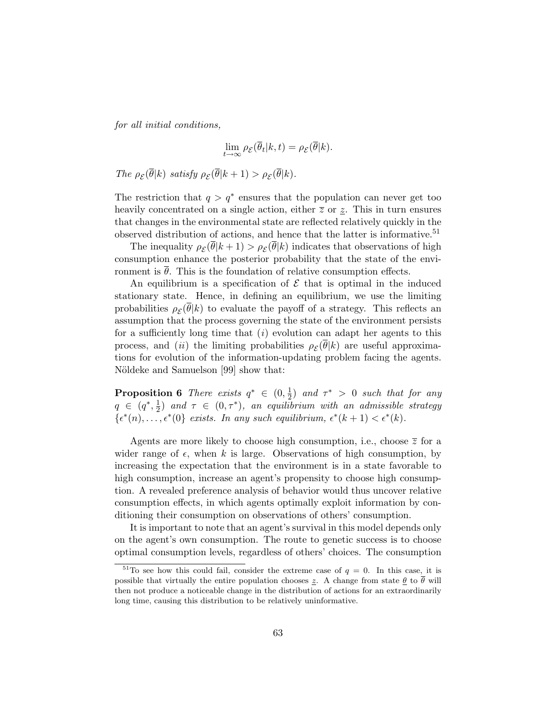for all initial conditions,

$$
\lim_{t \to \infty} \rho_{\mathcal{E}}(\overline{\theta}_t | k, t) = \rho_{\mathcal{E}}(\overline{\theta}| k).
$$

The  $\rho_{\mathcal{E}}(\theta|k)$  satisfy  $\rho_{\mathcal{E}}(\theta|k+1) > \rho_{\mathcal{E}}(\theta|k)$ .

The restriction that  $q > q^*$  ensures that the population can never get too heavily concentrated on a single action, either  $\overline{z}$  or  $\underline{z}$ . This in turn ensures that changes in the environmental state are reflected relatively quickly in the observed distribution of actions, and hence that the latter is informative.<sup>51</sup>

The inequality  $\rho_{\mathcal{E}}(\overline{\theta}|k+1) > \rho_{\mathcal{E}}(\overline{\theta}|k)$  indicates that observations of high consumption enhance the posterior probability that the state of the environment is  $\overline{\theta}$ . This is the foundation of relative consumption effects.

An equilibrium is a specification of  $\mathcal E$  that is optimal in the induced stationary state. Hence, in defining an equilibrium, we use the limiting probabilities  $\rho_{\mathcal{E}}(\theta|k)$  to evaluate the payoff of a strategy. This reflects an assumption that the process governing the state of the environment persists for a sufficiently long time that  $(i)$  evolution can adapt her agents to this process, and (*ii*) the limiting probabilities  $\rho_{\mathcal{E}}(\overline{\theta}|k)$  are useful approximations for evolution of the information-updating problem facing the agents. Nöldeke and Samuelson [99] show that:

**Proposition 6** There exists  $q^* \in (0, \frac{1}{2})$  $\frac{1}{2}$ ) and  $\tau^*$  > 0 such that for any  $q \in (q^*, \frac{1}{2})$  $\frac{1}{2}$ ) and  $\tau \in (0, \tau^*)$ , an equilibrium with an admissible strategy  $\{\epsilon^*(n), \ldots, \epsilon^*(0)\}$  exists. In any such equilibrium,  $\epsilon^*(k+1) < \epsilon^*(k)$ .

Agents are more likely to choose high consumption, i.e., choose  $\overline{z}$  for a wider range of  $\epsilon$ , when k is large. Observations of high consumption, by increasing the expectation that the environment is in a state favorable to high consumption, increase an agent's propensity to choose high consumption. A revealed preference analysis of behavior would thus uncover relative consumption effects, in which agents optimally exploit information by conditioning their consumption on observations of others' consumption.

It is important to note that an agent's survival in this model depends only on the agent's own consumption. The route to genetic success is to choose optimal consumption levels, regardless of others' choices. The consumption

 $51$ To see how this could fail, consider the extreme case of  $q = 0$ . In this case, it is possible that virtually the entire population chooses z. A change from state  $\theta$  to  $\overline{\theta}$  will then not produce a noticeable change in the distribution of actions for an extraordinarily long time, causing this distribution to be relatively uninformative.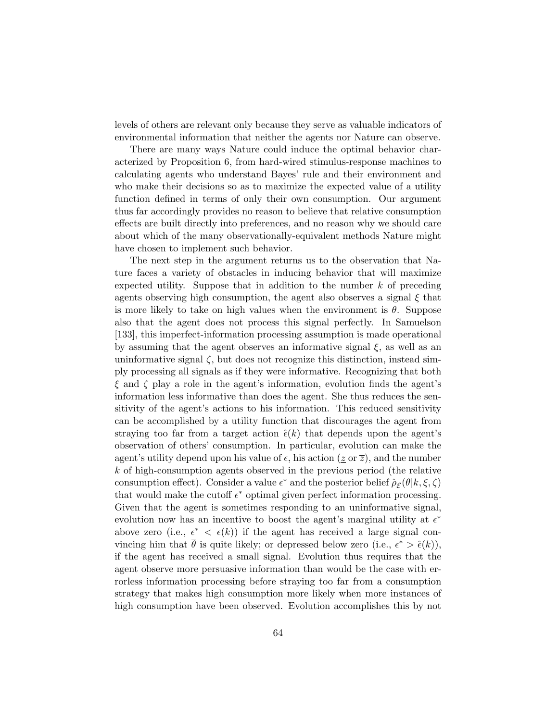levels of others are relevant only because they serve as valuable indicators of environmental information that neither the agents nor Nature can observe.

There are many ways Nature could induce the optimal behavior characterized by Proposition 6, from hard-wired stimulus-response machines to calculating agents who understand Bayes' rule and their environment and who make their decisions so as to maximize the expected value of a utility function defined in terms of only their own consumption. Our argument thus far accordingly provides no reason to believe that relative consumption effects are built directly into preferences, and no reason why we should care about which of the many observationally-equivalent methods Nature might have chosen to implement such behavior.

The next step in the argument returns us to the observation that Nature faces a variety of obstacles in inducing behavior that will maximize expected utility. Suppose that in addition to the number  $k$  of preceding agents observing high consumption, the agent also observes a signal  $\xi$  that is more likely to take on high values when the environment is  $\theta$ . Suppose also that the agent does not process this signal perfectly. In Samuelson [133], this imperfect-information processing assumption is made operational by assuming that the agent observes an informative signal  $\xi$ , as well as an uninformative signal  $\zeta$ , but does not recognize this distinction, instead simply processing all signals as if they were informative. Recognizing that both  $\xi$  and  $\zeta$  play a role in the agent's information, evolution finds the agent's information less informative than does the agent. She thus reduces the sensitivity of the agent's actions to his information. This reduced sensitivity can be accomplished by a utility function that discourages the agent from straying too far from a target action  $\hat{\epsilon}(k)$  that depends upon the agent's observation of others' consumption. In particular, evolution can make the agent's utility depend upon his value of  $\epsilon$ , his action  $(z \text{ or } \overline{z})$ , and the number k of high-consumption agents observed in the previous period (the relative consumption effect). Consider a value  $\epsilon^*$  and the posterior belief  $\hat{\rho}_{\mathcal{E}}(\theta | k, \xi, \zeta)$ that would make the cutoff  $\epsilon^*$  optimal given perfect information processing. Given that the agent is sometimes responding to an uninformative signal, evolution now has an incentive to boost the agent's marginal utility at  $\epsilon^*$ above zero (i.e.,  $\epsilon^* < \epsilon(k)$ ) if the agent has received a large signal convincing him that  $\bar{\theta}$  is quite likely; or depressed below zero (i.e.,  $\epsilon^* > \hat{\epsilon}(k)$ ), if the agent has received a small signal. Evolution thus requires that the agent observe more persuasive information than would be the case with errorless information processing before straying too far from a consumption strategy that makes high consumption more likely when more instances of high consumption have been observed. Evolution accomplishes this by not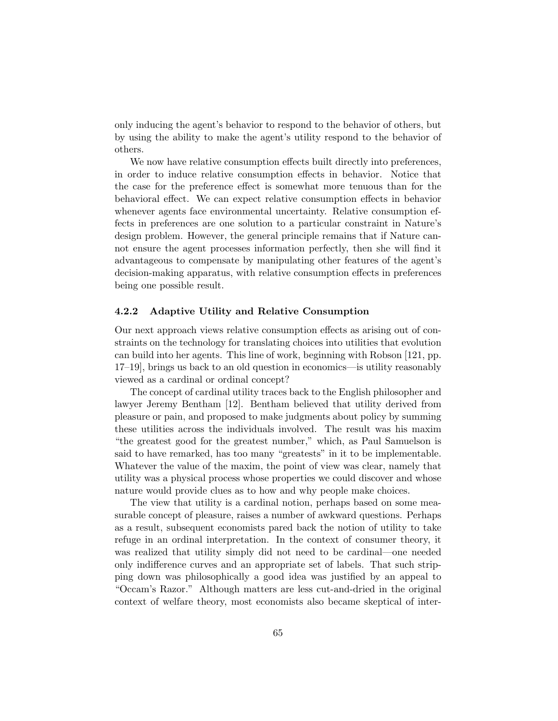only inducing the agent's behavior to respond to the behavior of others, but by using the ability to make the agent's utility respond to the behavior of others.

We now have relative consumption effects built directly into preferences, in order to induce relative consumption effects in behavior. Notice that the case for the preference effect is somewhat more tenuous than for the behavioral effect. We can expect relative consumption effects in behavior whenever agents face environmental uncertainty. Relative consumption effects in preferences are one solution to a particular constraint in Nature's design problem. However, the general principle remains that if Nature cannot ensure the agent processes information perfectly, then she will find it advantageous to compensate by manipulating other features of the agent's decision-making apparatus, with relative consumption effects in preferences being one possible result.

# 4.2.2 Adaptive Utility and Relative Consumption

Our next approach views relative consumption effects as arising out of constraints on the technology for translating choices into utilities that evolution can build into her agents. This line of work, beginning with Robson [121, pp. 17–19], brings us back to an old question in economics—is utility reasonably viewed as a cardinal or ordinal concept?

The concept of cardinal utility traces back to the English philosopher and lawyer Jeremy Bentham [12]. Bentham believed that utility derived from pleasure or pain, and proposed to make judgments about policy by summing these utilities across the individuals involved. The result was his maxim "the greatest good for the greatest number," which, as Paul Samuelson is said to have remarked, has too many "greatests" in it to be implementable. Whatever the value of the maxim, the point of view was clear, namely that utility was a physical process whose properties we could discover and whose nature would provide clues as to how and why people make choices.

The view that utility is a cardinal notion, perhaps based on some measurable concept of pleasure, raises a number of awkward questions. Perhaps as a result, subsequent economists pared back the notion of utility to take refuge in an ordinal interpretation. In the context of consumer theory, it was realized that utility simply did not need to be cardinal—one needed only indifference curves and an appropriate set of labels. That such stripping down was philosophically a good idea was justified by an appeal to "Occam's Razor." Although matters are less cut-and-dried in the original context of welfare theory, most economists also became skeptical of inter-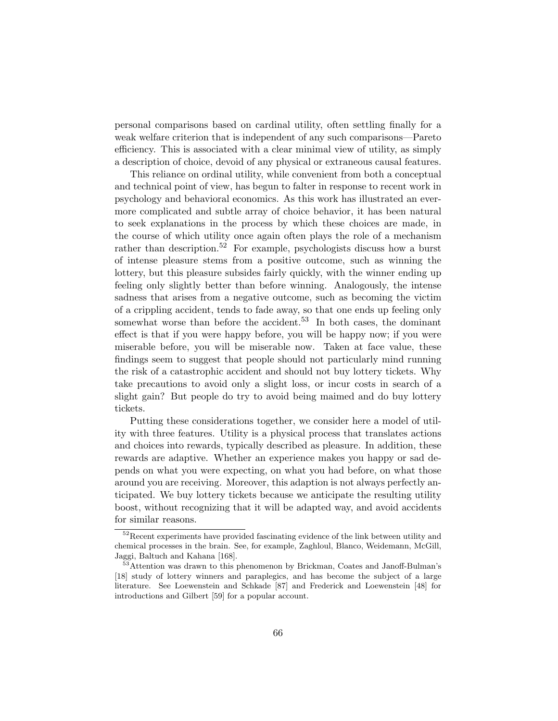personal comparisons based on cardinal utility, often settling finally for a weak welfare criterion that is independent of any such comparisons—Pareto efficiency. This is associated with a clear minimal view of utility, as simply a description of choice, devoid of any physical or extraneous causal features.

This reliance on ordinal utility, while convenient from both a conceptual and technical point of view, has begun to falter in response to recent work in psychology and behavioral economics. As this work has illustrated an evermore complicated and subtle array of choice behavior, it has been natural to seek explanations in the process by which these choices are made, in the course of which utility once again often plays the role of a mechanism rather than description.<sup>52</sup> For example, psychologists discuss how a burst of intense pleasure stems from a positive outcome, such as winning the lottery, but this pleasure subsides fairly quickly, with the winner ending up feeling only slightly better than before winning. Analogously, the intense sadness that arises from a negative outcome, such as becoming the victim of a crippling accident, tends to fade away, so that one ends up feeling only somewhat worse than before the accident.<sup>53</sup> In both cases, the dominant effect is that if you were happy before, you will be happy now; if you were miserable before, you will be miserable now. Taken at face value, these findings seem to suggest that people should not particularly mind running the risk of a catastrophic accident and should not buy lottery tickets. Why take precautions to avoid only a slight loss, or incur costs in search of a slight gain? But people do try to avoid being maimed and do buy lottery tickets.

Putting these considerations together, we consider here a model of utility with three features. Utility is a physical process that translates actions and choices into rewards, typically described as pleasure. In addition, these rewards are adaptive. Whether an experience makes you happy or sad depends on what you were expecting, on what you had before, on what those around you are receiving. Moreover, this adaption is not always perfectly anticipated. We buy lottery tickets because we anticipate the resulting utility boost, without recognizing that it will be adapted way, and avoid accidents for similar reasons.

<sup>52</sup>Recent experiments have provided fascinating evidence of the link between utility and chemical processes in the brain. See, for example, Zaghloul, Blanco, Weidemann, McGill, Jaggi, Baltuch and Kahana [168].

<sup>53</sup>Attention was drawn to this phenomenon by Brickman, Coates and Janoff-Bulman's [18] study of lottery winners and paraplegics, and has become the subject of a large literature. See Loewenstein and Schkade [87] and Frederick and Loewenstein [48] for introductions and Gilbert [59] for a popular account.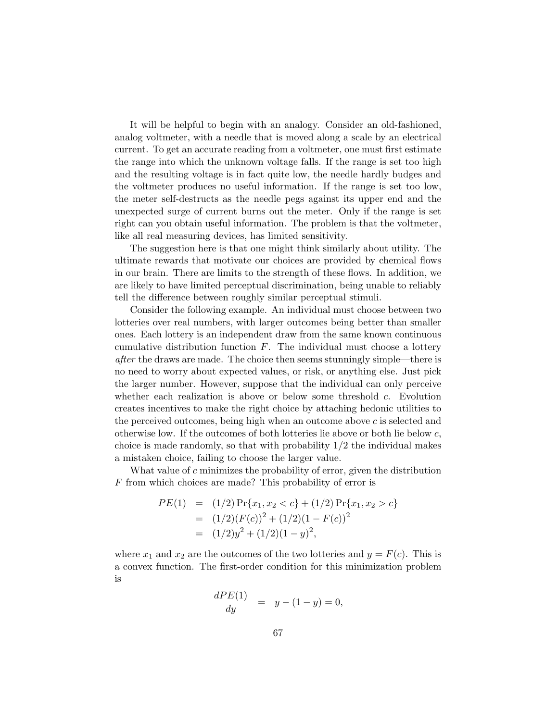It will be helpful to begin with an analogy. Consider an old-fashioned, analog voltmeter, with a needle that is moved along a scale by an electrical current. To get an accurate reading from a voltmeter, one must first estimate the range into which the unknown voltage falls. If the range is set too high and the resulting voltage is in fact quite low, the needle hardly budges and the voltmeter produces no useful information. If the range is set too low, the meter self-destructs as the needle pegs against its upper end and the unexpected surge of current burns out the meter. Only if the range is set right can you obtain useful information. The problem is that the voltmeter, like all real measuring devices, has limited sensitivity.

The suggestion here is that one might think similarly about utility. The ultimate rewards that motivate our choices are provided by chemical flows in our brain. There are limits to the strength of these flows. In addition, we are likely to have limited perceptual discrimination, being unable to reliably tell the difference between roughly similar perceptual stimuli.

Consider the following example. An individual must choose between two lotteries over real numbers, with larger outcomes being better than smaller ones. Each lottery is an independent draw from the same known continuous cumulative distribution function  $F$ . The individual must choose a lottery after the draws are made. The choice then seems stunningly simple—there is no need to worry about expected values, or risk, or anything else. Just pick the larger number. However, suppose that the individual can only perceive whether each realization is above or below some threshold  $c$ . Evolution creates incentives to make the right choice by attaching hedonic utilities to the perceived outcomes, being high when an outcome above  $c$  is selected and otherwise low. If the outcomes of both lotteries lie above or both lie below c, choice is made randomly, so that with probability  $1/2$  the individual makes a mistaken choice, failing to choose the larger value.

What value of c minimizes the probability of error, given the distribution F from which choices are made? This probability of error is

$$
PE(1) = (1/2) \Pr\{x_1, x_2 < c\} + (1/2) \Pr\{x_1, x_2 > c\}
$$
\n
$$
= (1/2)(F(c))^2 + (1/2)(1 - F(c))^2
$$
\n
$$
= (1/2)y^2 + (1/2)(1 - y)^2,
$$

where  $x_1$  and  $x_2$  are the outcomes of the two lotteries and  $y = F(c)$ . This is a convex function. The first-order condition for this minimization problem is

$$
\frac{dPE(1)}{dy} = y - (1 - y) = 0,
$$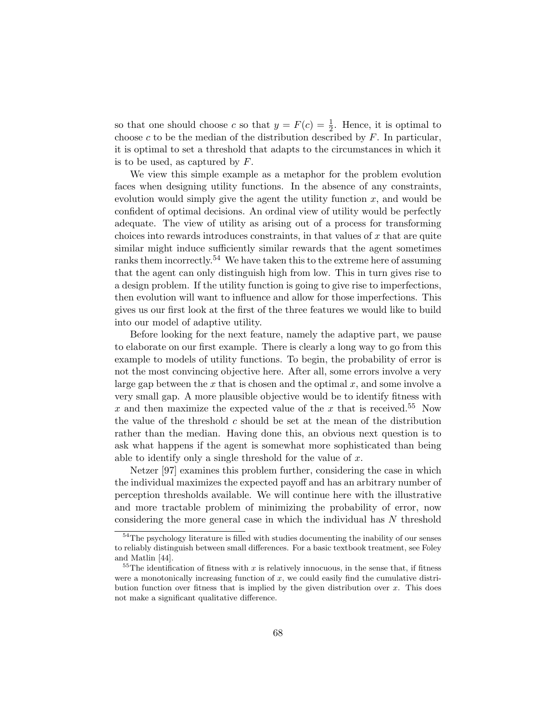so that one should choose c so that  $y = F(c) = \frac{1}{2}$ . Hence, it is optimal to choose c to be the median of the distribution described by  $F$ . In particular, it is optimal to set a threshold that adapts to the circumstances in which it is to be used, as captured by  $F$ .

We view this simple example as a metaphor for the problem evolution faces when designing utility functions. In the absence of any constraints, evolution would simply give the agent the utility function  $x$ , and would be confident of optimal decisions. An ordinal view of utility would be perfectly adequate. The view of utility as arising out of a process for transforming choices into rewards introduces constraints, in that values of x that are quite similar might induce sufficiently similar rewards that the agent sometimes ranks them incorrectly.<sup>54</sup> We have taken this to the extreme here of assuming that the agent can only distinguish high from low. This in turn gives rise to a design problem. If the utility function is going to give rise to imperfections, then evolution will want to influence and allow for those imperfections. This gives us our first look at the first of the three features we would like to build into our model of adaptive utility.

Before looking for the next feature, namely the adaptive part, we pause to elaborate on our first example. There is clearly a long way to go from this example to models of utility functions. To begin, the probability of error is not the most convincing objective here. After all, some errors involve a very large gap between the  $x$  that is chosen and the optimal  $x$ , and some involve a very small gap. A more plausible objective would be to identify fitness with x and then maximize the expected value of the x that is received.<sup>55</sup> Now the value of the threshold  $c$  should be set at the mean of the distribution rather than the median. Having done this, an obvious next question is to ask what happens if the agent is somewhat more sophisticated than being able to identify only a single threshold for the value of  $x$ .

Netzer [97] examines this problem further, considering the case in which the individual maximizes the expected payoff and has an arbitrary number of perception thresholds available. We will continue here with the illustrative and more tractable problem of minimizing the probability of error, now considering the more general case in which the individual has N threshold

<sup>54</sup>The psychology literature is filled with studies documenting the inability of our senses to reliably distinguish between small differences. For a basic textbook treatment, see Foley and Matlin [44].

<sup>&</sup>lt;sup>55</sup>The identification of fitness with x is relatively innocuous, in the sense that, if fitness were a monotonically increasing function of  $x$ , we could easily find the cumulative distribution function over fitness that is implied by the given distribution over  $x$ . This does not make a significant qualitative difference.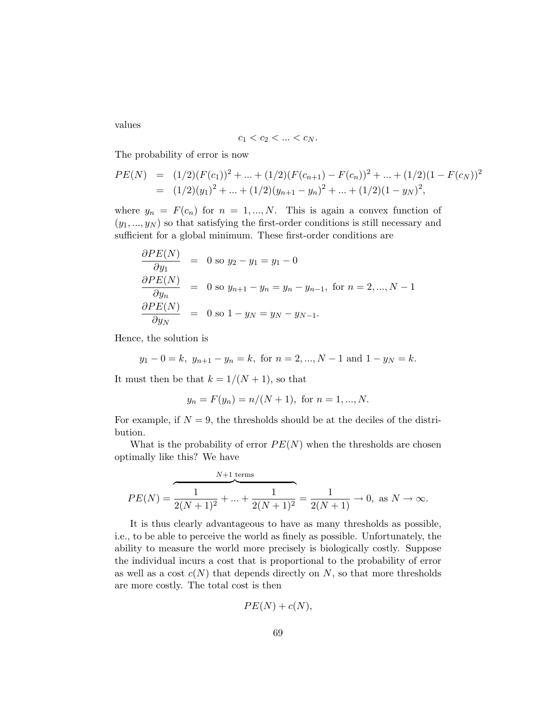values

$$
c_1
$$

The probability of error is now

$$
PE(N) = (1/2)(F(c_1))^2 + ... + (1/2)(F(c_{n+1}) - F(c_n))^2 + ... + (1/2)(1 - F(c_N))^2
$$
  
=  $(1/2)(y_1)^2 + ... + (1/2)(y_{n+1} - y_n)^2 + ... + (1/2)(1 - y_N)^2,$ 

where  $y_n = F(c_n)$  for  $n = 1, ..., N$ . This is again a convex function of  $(y_1, ..., y_N)$  so that satisfying the first-order conditions is still necessary and sufficient for a global minimum. These first-order conditions are

$$
\frac{\partial PE(N)}{\partial y_1} = 0 \text{ so } y_2 - y_1 = y_1 - 0
$$
  
\n
$$
\frac{\partial PE(N)}{\partial y_n} = 0 \text{ so } y_{n+1} - y_n = y_n - y_{n-1}, \text{ for } n = 2, ..., N - 1
$$
  
\n
$$
\frac{\partial PE(N)}{\partial y_N} = 0 \text{ so } 1 - y_N = y_N - y_{N-1}.
$$

Hence, the solution is

$$
y_1 - 0 = k
$$
,  $y_{n+1} - y_n = k$ , for  $n = 2, ..., N - 1$  and  $1 - y_N = k$ .

It must then be that  $k = 1/(N + 1)$ , so that

$$
y_n = F(y_n) = n/(N+1)
$$
, for  $n = 1, ..., N$ .

For example, if  $N = 9$ , the thresholds should be at the deciles of the distribution.

What is the probability of error  $PE(N)$  when the thresholds are chosen optimally like this? We have

$$
PE(N) = \overbrace{\frac{1}{2(N+1)^2} + \dots + \frac{1}{2(N+1)^2}}^{N+1 \text{ terms}} = \frac{1}{2(N+1)} \to 0, \text{ as } N \to \infty.
$$

It is thus clearly advantageous to have as many thresholds as possible, i.e., to be able to perceive the world as finely as possible. Unfortunately, the ability to measure the world more precisely is biologically costly. Suppose the individual incurs a cost that is proportional to the probability of error as well as a cost  $c(N)$  that depends directly on N, so that more thresholds are more costly. The total cost is then

$$
PE(N) + c(N),
$$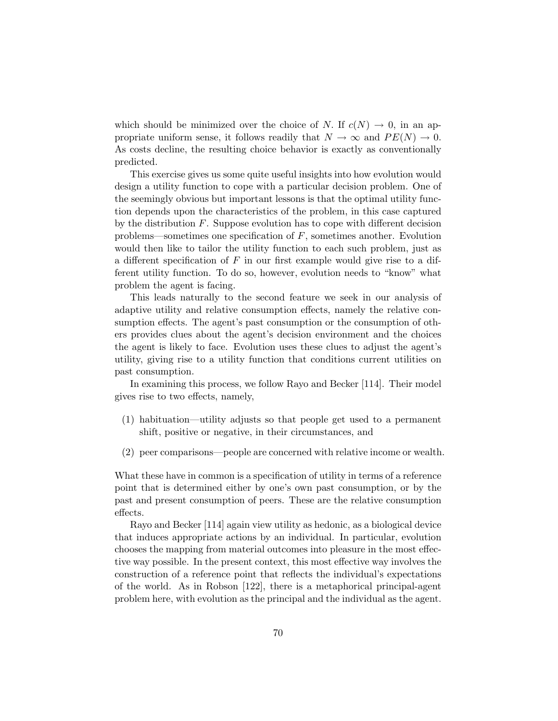which should be minimized over the choice of N. If  $c(N) \to 0$ , in an appropriate uniform sense, it follows readily that  $N \to \infty$  and  $PE(N) \to 0$ . As costs decline, the resulting choice behavior is exactly as conventionally predicted.

This exercise gives us some quite useful insights into how evolution would design a utility function to cope with a particular decision problem. One of the seemingly obvious but important lessons is that the optimal utility function depends upon the characteristics of the problem, in this case captured by the distribution  $F$ . Suppose evolution has to cope with different decision problems—sometimes one specification of  $F$ , sometimes another. Evolution would then like to tailor the utility function to each such problem, just as a different specification of  $F$  in our first example would give rise to a different utility function. To do so, however, evolution needs to "know" what problem the agent is facing.

This leads naturally to the second feature we seek in our analysis of adaptive utility and relative consumption effects, namely the relative consumption effects. The agent's past consumption or the consumption of others provides clues about the agent's decision environment and the choices the agent is likely to face. Evolution uses these clues to adjust the agent's utility, giving rise to a utility function that conditions current utilities on past consumption.

In examining this process, we follow Rayo and Becker [114]. Their model gives rise to two effects, namely,

- (1) habituation—utility adjusts so that people get used to a permanent shift, positive or negative, in their circumstances, and
- (2) peer comparisons—people are concerned with relative income or wealth.

What these have in common is a specification of utility in terms of a reference point that is determined either by one's own past consumption, or by the past and present consumption of peers. These are the relative consumption effects.

Rayo and Becker [114] again view utility as hedonic, as a biological device that induces appropriate actions by an individual. In particular, evolution chooses the mapping from material outcomes into pleasure in the most effective way possible. In the present context, this most effective way involves the construction of a reference point that reflects the individual's expectations of the world. As in Robson [122], there is a metaphorical principal-agent problem here, with evolution as the principal and the individual as the agent.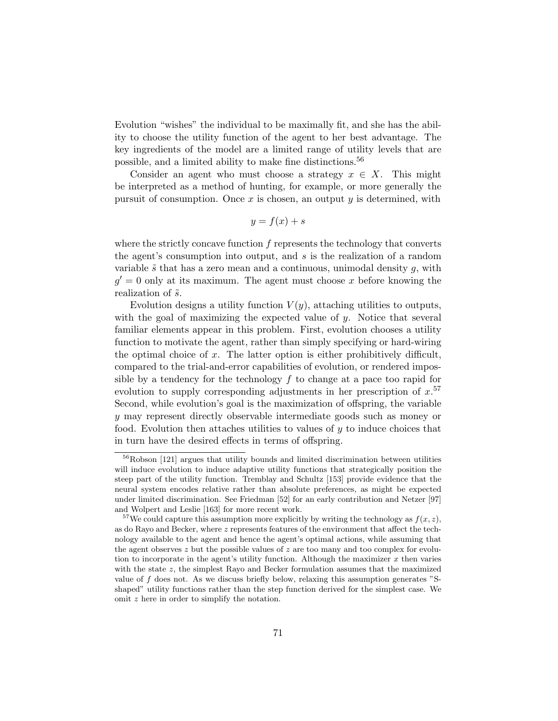Evolution "wishes" the individual to be maximally fit, and she has the ability to choose the utility function of the agent to her best advantage. The key ingredients of the model are a limited range of utility levels that are possible, and a limited ability to make fine distinctions.<sup>56</sup>

Consider an agent who must choose a strategy  $x \in X$ . This might be interpreted as a method of hunting, for example, or more generally the pursuit of consumption. Once  $x$  is chosen, an output  $y$  is determined, with

$$
y = f(x) + s
$$

where the strictly concave function  $f$  represents the technology that converts the agent's consumption into output, and  $s$  is the realization of a random variable  $\tilde{s}$  that has a zero mean and a continuous, unimodal density  $g$ , with  $g' = 0$  only at its maximum. The agent must choose x before knowing the realization of  $\tilde{s}$ .

Evolution designs a utility function  $V(y)$ , attaching utilities to outputs, with the goal of maximizing the expected value of  $y$ . Notice that several familiar elements appear in this problem. First, evolution chooses a utility function to motivate the agent, rather than simply specifying or hard-wiring the optimal choice of  $x$ . The latter option is either prohibitively difficult, compared to the trial-and-error capabilities of evolution, or rendered impossible by a tendency for the technology  $f$  to change at a pace too rapid for evolution to supply corresponding adjustments in her prescription of  $x$ .<sup>57</sup> Second, while evolution's goal is the maximization of offspring, the variable y may represent directly observable intermediate goods such as money or food. Evolution then attaches utilities to values of  $y$  to induce choices that in turn have the desired effects in terms of offspring.

 $56R$ obson [121] argues that utility bounds and limited discrimination between utilities will induce evolution to induce adaptive utility functions that strategically position the steep part of the utility function. Tremblay and Schultz [153] provide evidence that the neural system encodes relative rather than absolute preferences, as might be expected under limited discrimination. See Friedman [52] for an early contribution and Netzer [97] and Wolpert and Leslie [163] for more recent work.

<sup>&</sup>lt;sup>57</sup>We could capture this assumption more explicitly by writing the technology as  $f(x, z)$ , as do Rayo and Becker, where z represents features of the environment that affect the technology available to the agent and hence the agent's optimal actions, while assuming that the agent observes  $z$  but the possible values of  $z$  are too many and too complex for evolution to incorporate in the agent's utility function. Although the maximizer  $x$  then varies with the state  $z$ , the simplest Rayo and Becker formulation assumes that the maximized value of  $f$  does not. As we discuss briefly below, relaxing this assumption generates "Sshaped" utility functions rather than the step function derived for the simplest case. We omit z here in order to simplify the notation.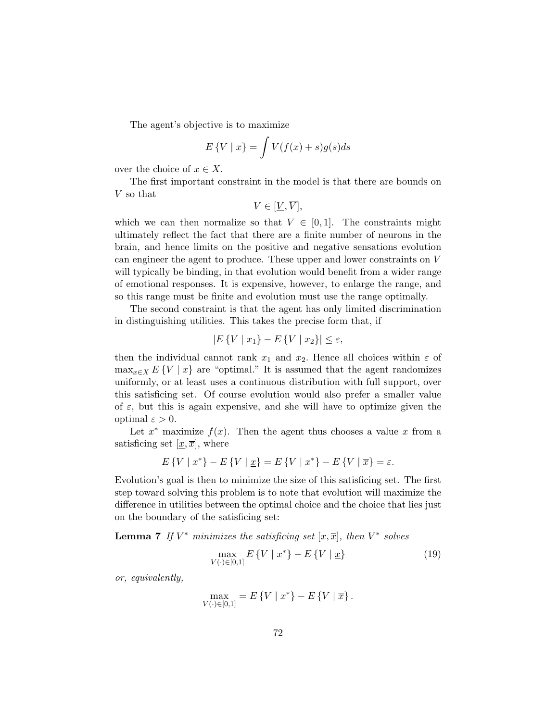The agent's objective is to maximize

$$
E\left\{V \mid x\right\} = \int V(f(x) + s)g(s)ds
$$

over the choice of  $x \in X$ .

The first important constraint in the model is that there are bounds on V so that

$$
V\in[\underline{V},\overline{V}],
$$

which we can then normalize so that  $V \in [0,1]$ . The constraints might ultimately reflect the fact that there are a finite number of neurons in the brain, and hence limits on the positive and negative sensations evolution can engineer the agent to produce. These upper and lower constraints on V will typically be binding, in that evolution would benefit from a wider range of emotional responses. It is expensive, however, to enlarge the range, and so this range must be finite and evolution must use the range optimally.

The second constraint is that the agent has only limited discrimination in distinguishing utilities. This takes the precise form that, if

$$
|E\left\{V \mid x_1\right\} - E\left\{V \mid x_2\right\}| \le \varepsilon,
$$

then the individual cannot rank  $x_1$  and  $x_2$ . Hence all choices within  $\varepsilon$  of  $\max_{x \in X} E\{V \mid x\}$  are "optimal." It is assumed that the agent randomizes uniformly, or at least uses a continuous distribution with full support, over this satisficing set. Of course evolution would also prefer a smaller value of  $\varepsilon$ , but this is again expensive, and she will have to optimize given the optimal ε > 0.

Let  $x^*$  maximize  $f(x)$ . Then the agent thus chooses a value x from a satisficing set  $[\underline{x}, \overline{x}]$ , where

$$
E\{V \mid x^*\} - E\{V \mid \underline{x}\} = E\{V \mid x^*\} - E\{V \mid \overline{x}\} = \varepsilon.
$$

Evolution's goal is then to minimize the size of this satisficing set. The first step toward solving this problem is to note that evolution will maximize the difference in utilities between the optimal choice and the choice that lies just on the boundary of the satisficing set:

**Lemma 7** If  $V^*$  minimizes the satisficing set  $[\underline{x}, \overline{x}]$ , then  $V^*$  solves

$$
\max_{V(\cdot)\in[0,1]} E\left\{V \mid x^*\right\} - E\left\{V \mid \underline{x}\right\} \tag{19}
$$

or, equivalently,

$$
\max_{V(\cdot) \in [0,1]} = E\{V \mid x^*\} - E\{V \mid \overline{x}\}.
$$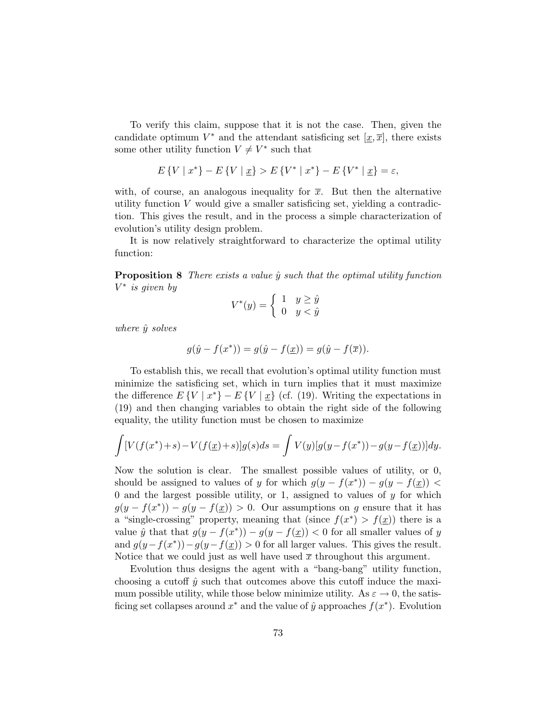To verify this claim, suppose that it is not the case. Then, given the candidate optimum  $V^*$  and the attendant satisficing set  $[\underline{x}, \overline{x}]$ , there exists some other utility function  $V \neq V^*$  such that

$$
E\{V \mid x^*\} - E\{V \mid \underline{x}\} > E\{V^* \mid x^*\} - E\{V^* \mid \underline{x}\} = \varepsilon,
$$

with, of course, an analogous inequality for  $\bar{x}$ . But then the alternative utility function  $V$  would give a smaller satisficing set, yielding a contradiction. This gives the result, and in the process a simple characterization of evolution's utility design problem.

It is now relatively straightforward to characterize the optimal utility function:

**Proposition 8** There exists a value  $\hat{y}$  such that the optimal utility function  $V^*$  is given by

$$
V^*(y) = \begin{cases} 1 & y \ge \hat{y} \\ 0 & y < \hat{y} \end{cases}
$$

where  $\hat{y}$  solves

$$
g(\hat{y} - f(x^*)) = g(\hat{y} - f(\underline{x})) = g(\hat{y} - f(\overline{x})).
$$

To establish this, we recall that evolution's optimal utility function must minimize the satisficing set, which in turn implies that it must maximize the difference  $E\{V \mid x^*\} - E\{V \mid \underline{x}\}$  (cf. (19). Writing the expectations in (19) and then changing variables to obtain the right side of the following equality, the utility function must be chosen to maximize

$$
\int [V(f(x^*) + s) - V(f(\underline{x}) + s)]g(s)ds = \int V(y)[g(y - f(x^*)) - g(y - f(\underline{x}))]dy.
$$

Now the solution is clear. The smallest possible values of utility, or 0, should be assigned to values of y for which  $g(y - f(x^*)) - g(y - f(x))$  < 0 and the largest possible utility, or 1, assigned to values of  $y$  for which  $g(y - f(x^*)) - g(y - f(\underline{x})) > 0$ . Our assumptions on g ensure that it has a "single-crossing" property, meaning that (since  $f(x^*) > f(\underline{x})$ ) there is a value  $\hat{y}$  that that  $g(y - f(x^*)) - g(y - f(x)) < 0$  for all smaller values of y and  $g(y - f(x^*)) - g(y - f(\underline{x})) > 0$  for all larger values. This gives the result. Notice that we could just as well have used  $\bar{x}$  throughout this argument.

Evolution thus designs the agent with a "bang-bang" utility function, choosing a cutoff  $\hat{y}$  such that outcomes above this cutoff induce the maximum possible utility, while those below minimize utility. As  $\varepsilon \to 0$ , the satisficing set collapses around  $x^*$  and the value of  $\hat{y}$  approaches  $f(x^*)$ . Evolution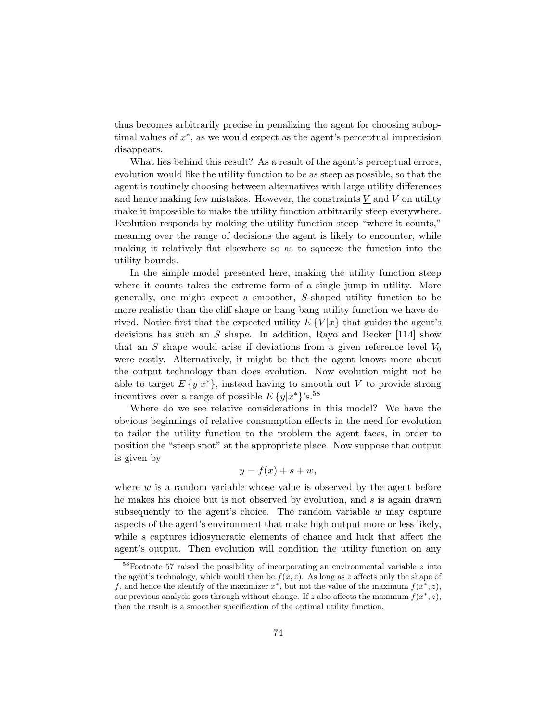thus becomes arbitrarily precise in penalizing the agent for choosing suboptimal values of  $x^*$ , as we would expect as the agent's perceptual imprecision disappears.

What lies behind this result? As a result of the agent's perceptual errors, evolution would like the utility function to be as steep as possible, so that the agent is routinely choosing between alternatives with large utility differences and hence making few mistakes. However, the constraints V and  $\overline{V}$  on utility make it impossible to make the utility function arbitrarily steep everywhere. Evolution responds by making the utility function steep "where it counts," meaning over the range of decisions the agent is likely to encounter, while making it relatively flat elsewhere so as to squeeze the function into the utility bounds.

In the simple model presented here, making the utility function steep where it counts takes the extreme form of a single jump in utility. More generally, one might expect a smoother, S-shaped utility function to be more realistic than the cliff shape or bang-bang utility function we have derived. Notice first that the expected utility  $E\{V|x\}$  that guides the agent's decisions has such an S shape. In addition, Rayo and Becker [114] show that an S shape would arise if deviations from a given reference level  $V_0$ were costly. Alternatively, it might be that the agent knows more about the output technology than does evolution. Now evolution might not be able to target  $E\{y|x^*\}$ , instead having to smooth out V to provide strong incentives over a range of possible  $E\{y|x^*\}$ 's.<sup>58</sup>

Where do we see relative considerations in this model? We have the obvious beginnings of relative consumption effects in the need for evolution to tailor the utility function to the problem the agent faces, in order to position the "steep spot" at the appropriate place. Now suppose that output is given by

$$
y = f(x) + s + w,
$$

where  $w$  is a random variable whose value is observed by the agent before he makes his choice but is not observed by evolution, and s is again drawn subsequently to the agent's choice. The random variable  $w$  may capture aspects of the agent's environment that make high output more or less likely, while s captures idiosyncratic elements of chance and luck that affect the agent's output. Then evolution will condition the utility function on any

 $58$ Footnote 57 raised the possibility of incorporating an environmental variable  $z$  into the agent's technology, which would then be  $f(x, z)$ . As long as z affects only the shape of f, and hence the identify of the maximizer  $x^*$ , but not the value of the maximum  $f(x^*, z)$ , our previous analysis goes through without change. If z also affects the maximum  $f(x^*, z)$ , then the result is a smoother specification of the optimal utility function.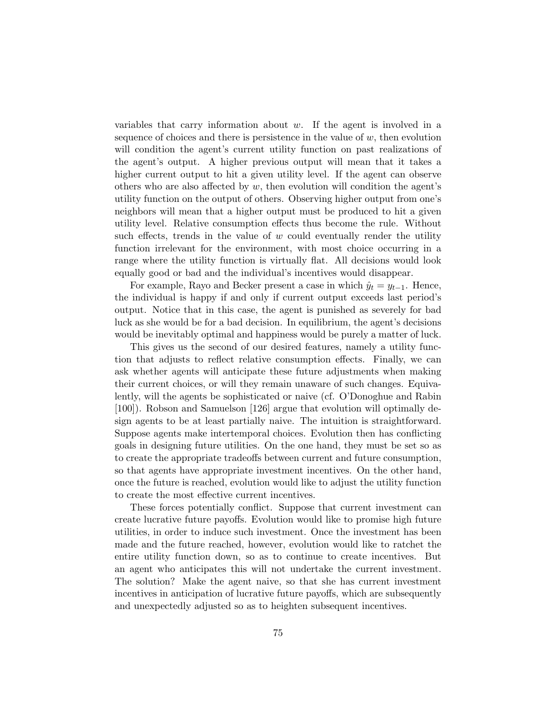variables that carry information about  $w$ . If the agent is involved in a sequence of choices and there is persistence in the value of  $w$ , then evolution will condition the agent's current utility function on past realizations of the agent's output. A higher previous output will mean that it takes a higher current output to hit a given utility level. If the agent can observe others who are also affected by  $w$ , then evolution will condition the agent's utility function on the output of others. Observing higher output from one's neighbors will mean that a higher output must be produced to hit a given utility level. Relative consumption effects thus become the rule. Without such effects, trends in the value of  $w$  could eventually render the utility function irrelevant for the environment, with most choice occurring in a range where the utility function is virtually flat. All decisions would look equally good or bad and the individual's incentives would disappear.

For example, Rayo and Becker present a case in which  $\hat{y}_t = y_{t-1}$ . Hence, the individual is happy if and only if current output exceeds last period's output. Notice that in this case, the agent is punished as severely for bad luck as she would be for a bad decision. In equilibrium, the agent's decisions would be inevitably optimal and happiness would be purely a matter of luck.

This gives us the second of our desired features, namely a utility function that adjusts to reflect relative consumption effects. Finally, we can ask whether agents will anticipate these future adjustments when making their current choices, or will they remain unaware of such changes. Equivalently, will the agents be sophisticated or naive (cf. O'Donoghue and Rabin [100]). Robson and Samuelson [126] argue that evolution will optimally design agents to be at least partially naive. The intuition is straightforward. Suppose agents make intertemporal choices. Evolution then has conflicting goals in designing future utilities. On the one hand, they must be set so as to create the appropriate tradeoffs between current and future consumption, so that agents have appropriate investment incentives. On the other hand, once the future is reached, evolution would like to adjust the utility function to create the most effective current incentives.

These forces potentially conflict. Suppose that current investment can create lucrative future payoffs. Evolution would like to promise high future utilities, in order to induce such investment. Once the investment has been made and the future reached, however, evolution would like to ratchet the entire utility function down, so as to continue to create incentives. But an agent who anticipates this will not undertake the current investment. The solution? Make the agent naive, so that she has current investment incentives in anticipation of lucrative future payoffs, which are subsequently and unexpectedly adjusted so as to heighten subsequent incentives.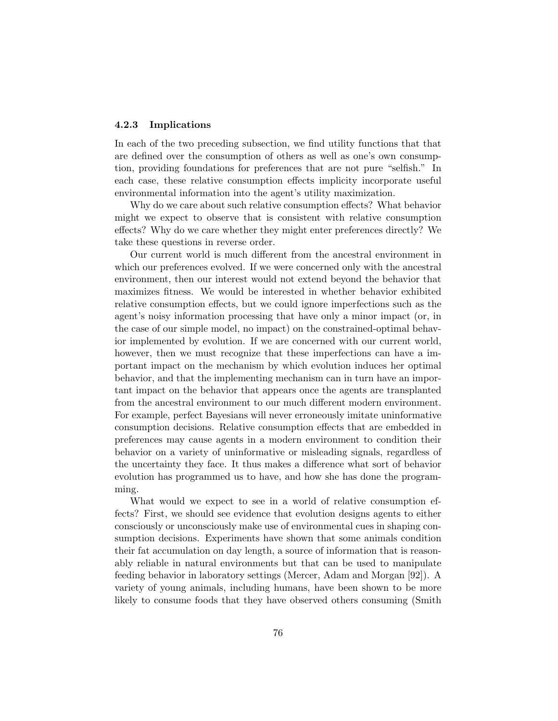## 4.2.3 Implications

In each of the two preceding subsection, we find utility functions that that are defined over the consumption of others as well as one's own consumption, providing foundations for preferences that are not pure "selfish." In each case, these relative consumption effects implicity incorporate useful environmental information into the agent's utility maximization.

Why do we care about such relative consumption effects? What behavior might we expect to observe that is consistent with relative consumption effects? Why do we care whether they might enter preferences directly? We take these questions in reverse order.

Our current world is much different from the ancestral environment in which our preferences evolved. If we were concerned only with the ancestral environment, then our interest would not extend beyond the behavior that maximizes fitness. We would be interested in whether behavior exhibited relative consumption effects, but we could ignore imperfections such as the agent's noisy information processing that have only a minor impact (or, in the case of our simple model, no impact) on the constrained-optimal behavior implemented by evolution. If we are concerned with our current world, however, then we must recognize that these imperfections can have a important impact on the mechanism by which evolution induces her optimal behavior, and that the implementing mechanism can in turn have an important impact on the behavior that appears once the agents are transplanted from the ancestral environment to our much different modern environment. For example, perfect Bayesians will never erroneously imitate uninformative consumption decisions. Relative consumption effects that are embedded in preferences may cause agents in a modern environment to condition their behavior on a variety of uninformative or misleading signals, regardless of the uncertainty they face. It thus makes a difference what sort of behavior evolution has programmed us to have, and how she has done the programming.

What would we expect to see in a world of relative consumption effects? First, we should see evidence that evolution designs agents to either consciously or unconsciously make use of environmental cues in shaping consumption decisions. Experiments have shown that some animals condition their fat accumulation on day length, a source of information that is reasonably reliable in natural environments but that can be used to manipulate feeding behavior in laboratory settings (Mercer, Adam and Morgan [92]). A variety of young animals, including humans, have been shown to be more likely to consume foods that they have observed others consuming (Smith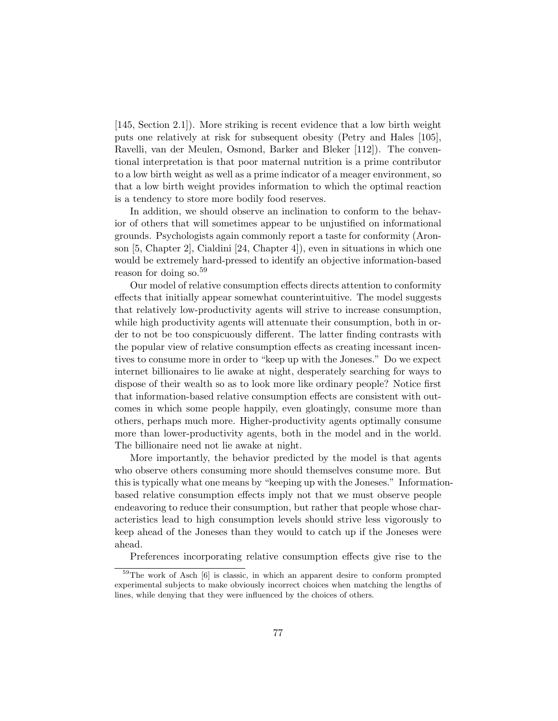[145, Section 2.1]). More striking is recent evidence that a low birth weight puts one relatively at risk for subsequent obesity (Petry and Hales [105], Ravelli, van der Meulen, Osmond, Barker and Bleker [112]). The conventional interpretation is that poor maternal nutrition is a prime contributor to a low birth weight as well as a prime indicator of a meager environment, so that a low birth weight provides information to which the optimal reaction is a tendency to store more bodily food reserves.

In addition, we should observe an inclination to conform to the behavior of others that will sometimes appear to be unjustified on informational grounds. Psychologists again commonly report a taste for conformity (Aronson [5, Chapter 2], Cialdini [24, Chapter 4]), even in situations in which one would be extremely hard-pressed to identify an objective information-based reason for doing so.<sup>59</sup>

Our model of relative consumption effects directs attention to conformity effects that initially appear somewhat counterintuitive. The model suggests that relatively low-productivity agents will strive to increase consumption, while high productivity agents will attenuate their consumption, both in order to not be too conspicuously different. The latter finding contrasts with the popular view of relative consumption effects as creating incessant incentives to consume more in order to "keep up with the Joneses." Do we expect internet billionaires to lie awake at night, desperately searching for ways to dispose of their wealth so as to look more like ordinary people? Notice first that information-based relative consumption effects are consistent with outcomes in which some people happily, even gloatingly, consume more than others, perhaps much more. Higher-productivity agents optimally consume more than lower-productivity agents, both in the model and in the world. The billionaire need not lie awake at night.

More importantly, the behavior predicted by the model is that agents who observe others consuming more should themselves consume more. But this is typically what one means by "keeping up with the Joneses." Informationbased relative consumption effects imply not that we must observe people endeavoring to reduce their consumption, but rather that people whose characteristics lead to high consumption levels should strive less vigorously to keep ahead of the Joneses than they would to catch up if the Joneses were ahead.

Preferences incorporating relative consumption effects give rise to the

<sup>59</sup>The work of Asch [6] is classic, in which an apparent desire to conform prompted experimental subjects to make obviously incorrect choices when matching the lengths of lines, while denying that they were influenced by the choices of others.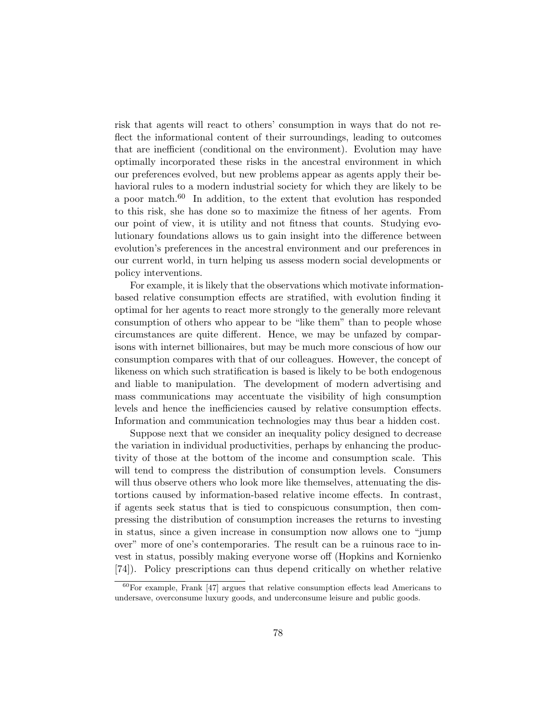risk that agents will react to others' consumption in ways that do not reflect the informational content of their surroundings, leading to outcomes that are inefficient (conditional on the environment). Evolution may have optimally incorporated these risks in the ancestral environment in which our preferences evolved, but new problems appear as agents apply their behavioral rules to a modern industrial society for which they are likely to be a poor match.<sup>60</sup> In addition, to the extent that evolution has responded to this risk, she has done so to maximize the fitness of her agents. From our point of view, it is utility and not fitness that counts. Studying evolutionary foundations allows us to gain insight into the difference between evolution's preferences in the ancestral environment and our preferences in our current world, in turn helping us assess modern social developments or policy interventions.

For example, it is likely that the observations which motivate informationbased relative consumption effects are stratified, with evolution finding it optimal for her agents to react more strongly to the generally more relevant consumption of others who appear to be "like them" than to people whose circumstances are quite different. Hence, we may be unfazed by comparisons with internet billionaires, but may be much more conscious of how our consumption compares with that of our colleagues. However, the concept of likeness on which such stratification is based is likely to be both endogenous and liable to manipulation. The development of modern advertising and mass communications may accentuate the visibility of high consumption levels and hence the inefficiencies caused by relative consumption effects. Information and communication technologies may thus bear a hidden cost.

Suppose next that we consider an inequality policy designed to decrease the variation in individual productivities, perhaps by enhancing the productivity of those at the bottom of the income and consumption scale. This will tend to compress the distribution of consumption levels. Consumers will thus observe others who look more like themselves, attenuating the distortions caused by information-based relative income effects. In contrast, if agents seek status that is tied to conspicuous consumption, then compressing the distribution of consumption increases the returns to investing in status, since a given increase in consumption now allows one to "jump over" more of one's contemporaries. The result can be a ruinous race to invest in status, possibly making everyone worse off (Hopkins and Kornienko [74]). Policy prescriptions can thus depend critically on whether relative

 $60$  For example, Frank [47] argues that relative consumption effects lead Americans to undersave, overconsume luxury goods, and underconsume leisure and public goods.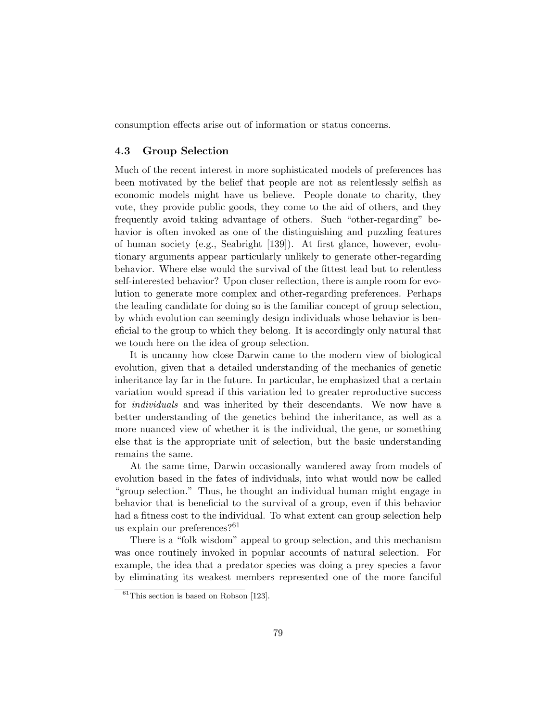consumption effects arise out of information or status concerns.

## 4.3 Group Selection

Much of the recent interest in more sophisticated models of preferences has been motivated by the belief that people are not as relentlessly selfish as economic models might have us believe. People donate to charity, they vote, they provide public goods, they come to the aid of others, and they frequently avoid taking advantage of others. Such "other-regarding" behavior is often invoked as one of the distinguishing and puzzling features of human society (e.g., Seabright [139]). At first glance, however, evolutionary arguments appear particularly unlikely to generate other-regarding behavior. Where else would the survival of the fittest lead but to relentless self-interested behavior? Upon closer reflection, there is ample room for evolution to generate more complex and other-regarding preferences. Perhaps the leading candidate for doing so is the familiar concept of group selection, by which evolution can seemingly design individuals whose behavior is beneficial to the group to which they belong. It is accordingly only natural that we touch here on the idea of group selection.

It is uncanny how close Darwin came to the modern view of biological evolution, given that a detailed understanding of the mechanics of genetic inheritance lay far in the future. In particular, he emphasized that a certain variation would spread if this variation led to greater reproductive success for individuals and was inherited by their descendants. We now have a better understanding of the genetics behind the inheritance, as well as a more nuanced view of whether it is the individual, the gene, or something else that is the appropriate unit of selection, but the basic understanding remains the same.

At the same time, Darwin occasionally wandered away from models of evolution based in the fates of individuals, into what would now be called "group selection." Thus, he thought an individual human might engage in behavior that is beneficial to the survival of a group, even if this behavior had a fitness cost to the individual. To what extent can group selection help us explain our preferences?<sup>61</sup>

There is a "folk wisdom" appeal to group selection, and this mechanism was once routinely invoked in popular accounts of natural selection. For example, the idea that a predator species was doing a prey species a favor by eliminating its weakest members represented one of the more fanciful

 $61$ This section is based on Robson [123].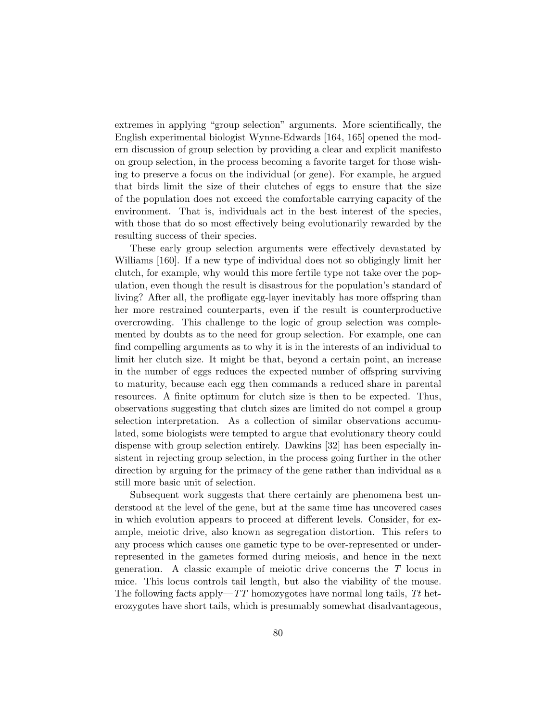extremes in applying "group selection" arguments. More scientifically, the English experimental biologist Wynne-Edwards [164, 165] opened the modern discussion of group selection by providing a clear and explicit manifesto on group selection, in the process becoming a favorite target for those wishing to preserve a focus on the individual (or gene). For example, he argued that birds limit the size of their clutches of eggs to ensure that the size of the population does not exceed the comfortable carrying capacity of the environment. That is, individuals act in the best interest of the species, with those that do so most effectively being evolutionarily rewarded by the resulting success of their species.

These early group selection arguments were effectively devastated by Williams [160]. If a new type of individual does not so obligingly limit her clutch, for example, why would this more fertile type not take over the population, even though the result is disastrous for the population's standard of living? After all, the profligate egg-layer inevitably has more offspring than her more restrained counterparts, even if the result is counterproductive overcrowding. This challenge to the logic of group selection was complemented by doubts as to the need for group selection. For example, one can find compelling arguments as to why it is in the interests of an individual to limit her clutch size. It might be that, beyond a certain point, an increase in the number of eggs reduces the expected number of offspring surviving to maturity, because each egg then commands a reduced share in parental resources. A finite optimum for clutch size is then to be expected. Thus, observations suggesting that clutch sizes are limited do not compel a group selection interpretation. As a collection of similar observations accumulated, some biologists were tempted to argue that evolutionary theory could dispense with group selection entirely. Dawkins [32] has been especially insistent in rejecting group selection, in the process going further in the other direction by arguing for the primacy of the gene rather than individual as a still more basic unit of selection.

Subsequent work suggests that there certainly are phenomena best understood at the level of the gene, but at the same time has uncovered cases in which evolution appears to proceed at different levels. Consider, for example, meiotic drive, also known as segregation distortion. This refers to any process which causes one gametic type to be over-represented or underrepresented in the gametes formed during meiosis, and hence in the next generation. A classic example of meiotic drive concerns the T locus in mice. This locus controls tail length, but also the viability of the mouse. The following facts apply—TT homozygotes have normal long tails, Tt heterozygotes have short tails, which is presumably somewhat disadvantageous,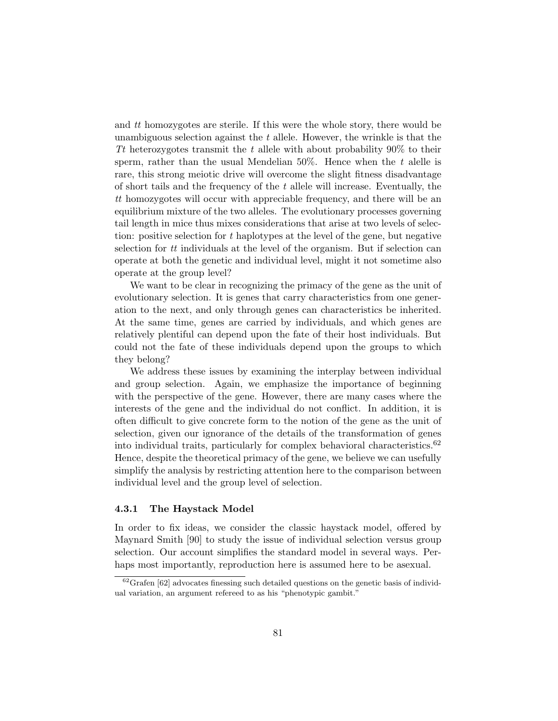and tt homozygotes are sterile. If this were the whole story, there would be unambiguous selection against the  $t$  allele. However, the wrinkle is that the Tt heterozygotes transmit the t allele with about probability  $90\%$  to their sperm, rather than the usual Mendelian  $50\%$ . Hence when the t alelle is rare, this strong meiotic drive will overcome the slight fitness disadvantage of short tails and the frequency of the  $t$  allele will increase. Eventually, the tt homozygotes will occur with appreciable frequency, and there will be an equilibrium mixture of the two alleles. The evolutionary processes governing tail length in mice thus mixes considerations that arise at two levels of selection: positive selection for t haplotypes at the level of the gene, but negative selection for tt individuals at the level of the organism. But if selection can operate at both the genetic and individual level, might it not sometime also operate at the group level?

We want to be clear in recognizing the primacy of the gene as the unit of evolutionary selection. It is genes that carry characteristics from one generation to the next, and only through genes can characteristics be inherited. At the same time, genes are carried by individuals, and which genes are relatively plentiful can depend upon the fate of their host individuals. But could not the fate of these individuals depend upon the groups to which they belong?

We address these issues by examining the interplay between individual and group selection. Again, we emphasize the importance of beginning with the perspective of the gene. However, there are many cases where the interests of the gene and the individual do not conflict. In addition, it is often difficult to give concrete form to the notion of the gene as the unit of selection, given our ignorance of the details of the transformation of genes into individual traits, particularly for complex behavioral characteristics. $62$ Hence, despite the theoretical primacy of the gene, we believe we can usefully simplify the analysis by restricting attention here to the comparison between individual level and the group level of selection.

### 4.3.1 The Haystack Model

In order to fix ideas, we consider the classic haystack model, offered by Maynard Smith [90] to study the issue of individual selection versus group selection. Our account simplifies the standard model in several ways. Perhaps most importantly, reproduction here is assumed here to be asexual.

 $62$ Grafen [62] advocates finessing such detailed questions on the genetic basis of individual variation, an argument refereed to as his "phenotypic gambit."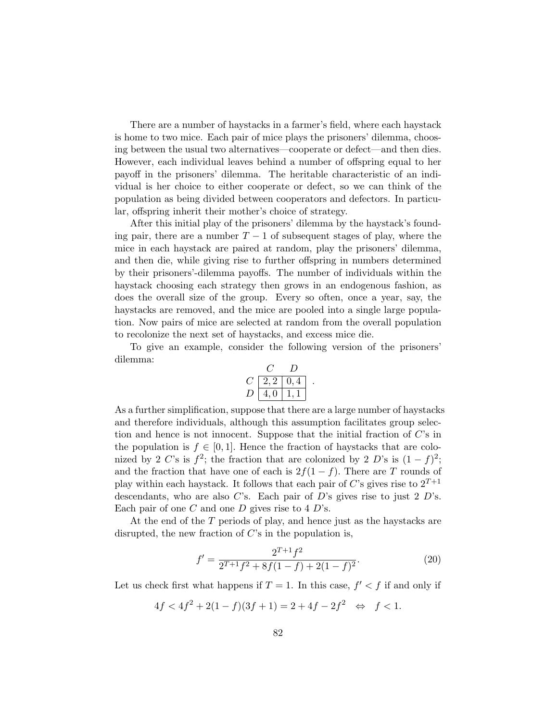There are a number of haystacks in a farmer's field, where each haystack is home to two mice. Each pair of mice plays the prisoners' dilemma, choosing between the usual two alternatives—cooperate or defect—and then dies. However, each individual leaves behind a number of offspring equal to her payoff in the prisoners' dilemma. The heritable characteristic of an individual is her choice to either cooperate or defect, so we can think of the population as being divided between cooperators and defectors. In particular, offspring inherit their mother's choice of strategy.

After this initial play of the prisoners' dilemma by the haystack's founding pair, there are a number  $T - 1$  of subsequent stages of play, where the mice in each haystack are paired at random, play the prisoners' dilemma, and then die, while giving rise to further offspring in numbers determined by their prisoners'-dilemma payoffs. The number of individuals within the haystack choosing each strategy then grows in an endogenous fashion, as does the overall size of the group. Every so often, once a year, say, the haystacks are removed, and the mice are pooled into a single large population. Now pairs of mice are selected at random from the overall population to recolonize the next set of haystacks, and excess mice die.

To give an example, consider the following version of the prisoners' dilemma:

$$
\begin{array}{c|c}\n & C & D \\
C & 2,2 & 0,4 \\
D & 4,0 & 1,1\n\end{array}.
$$

As a further simplification, suppose that there are a large number of haystacks and therefore individuals, although this assumption facilitates group selection and hence is not innocent. Suppose that the initial fraction of  $C$ 's in the population is  $f \in [0,1]$ . Hence the fraction of haystacks that are colonized by 2 C's is  $f^2$ ; the fraction that are colonized by 2 D's is  $(1-f)^2$ ; and the fraction that have one of each is  $2f(1-f)$ . There are T rounds of play within each haystack. It follows that each pair of C's gives rise to  $2^{T+1}$ descendants, who are also C's. Each pair of D's gives rise to just  $2 D$ 's. Each pair of one C and one D gives rise to  $4 D$ 's.

At the end of the T periods of play, and hence just as the haystacks are disrupted, the new fraction of  $C$ 's in the population is,

$$
f' = \frac{2^{T+1}f^2}{2^{T+1}f^2 + 8f(1-f) + 2(1-f)^2}.
$$
\n(20)

Let us check first what happens if  $T = 1$ . In this case,  $f' < f$  if and only if

$$
4f < 4f2 + 2(1 - f)(3f + 1) = 2 + 4f - 2f2 \Leftrightarrow f < 1.
$$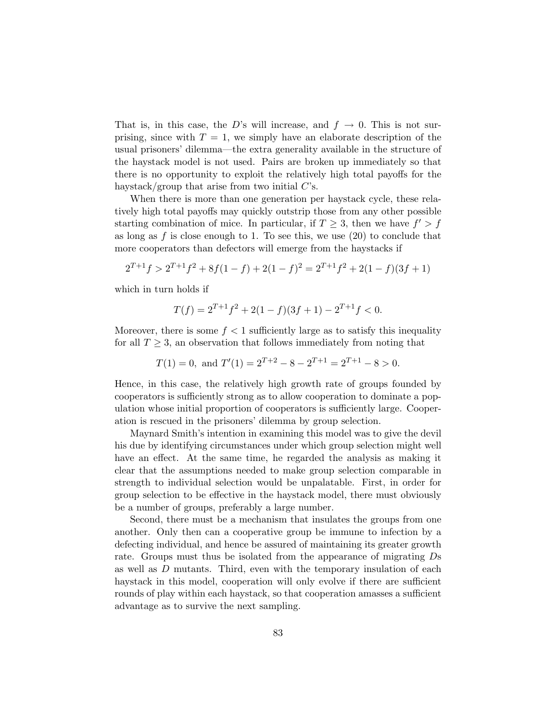That is, in this case, the D's will increase, and  $f \to 0$ . This is not surprising, since with  $T = 1$ , we simply have an elaborate description of the usual prisoners' dilemma—the extra generality available in the structure of the haystack model is not used. Pairs are broken up immediately so that there is no opportunity to exploit the relatively high total payoffs for the haystack/group that arise from two initial  $C$ 's.

When there is more than one generation per haystack cycle, these relatively high total payoffs may quickly outstrip those from any other possible starting combination of mice. In particular, if  $T \geq 3$ , then we have  $f' > f$ as long as  $f$  is close enough to 1. To see this, we use  $(20)$  to conclude that more cooperators than defectors will emerge from the haystacks if

$$
2^{T+1}f > 2^{T+1}f^2 + 8f(1-f) + 2(1-f)^2 = 2^{T+1}f^2 + 2(1-f)(3f+1)
$$

which in turn holds if

$$
T(f) = 2^{T+1}f^{2} + 2(1-f)(3f+1) - 2^{T+1}f < 0.
$$

Moreover, there is some  $f < 1$  sufficiently large as to satisfy this inequality for all  $T \geq 3$ , an observation that follows immediately from noting that

$$
T(1) = 0
$$
, and  $T'(1) = 2^{T+2} - 8 - 2^{T+1} = 2^{T+1} - 8 > 0$ .

Hence, in this case, the relatively high growth rate of groups founded by cooperators is sufficiently strong as to allow cooperation to dominate a population whose initial proportion of cooperators is sufficiently large. Cooperation is rescued in the prisoners' dilemma by group selection.

Maynard Smith's intention in examining this model was to give the devil his due by identifying circumstances under which group selection might well have an effect. At the same time, he regarded the analysis as making it clear that the assumptions needed to make group selection comparable in strength to individual selection would be unpalatable. First, in order for group selection to be effective in the haystack model, there must obviously be a number of groups, preferably a large number.

Second, there must be a mechanism that insulates the groups from one another. Only then can a cooperative group be immune to infection by a defecting individual, and hence be assured of maintaining its greater growth rate. Groups must thus be isolated from the appearance of migrating Ds as well as  $D$  mutants. Third, even with the temporary insulation of each haystack in this model, cooperation will only evolve if there are sufficient rounds of play within each haystack, so that cooperation amasses a sufficient advantage as to survive the next sampling.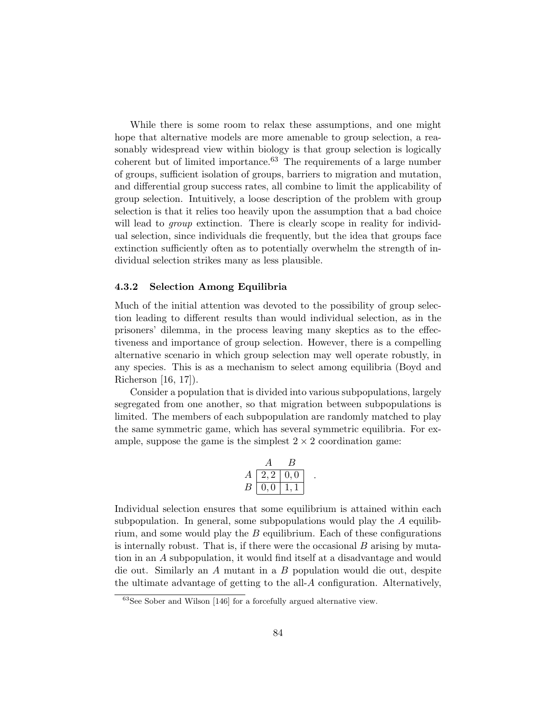While there is some room to relax these assumptions, and one might hope that alternative models are more amenable to group selection, a reasonably widespread view within biology is that group selection is logically coherent but of limited importance. $63$  The requirements of a large number of groups, sufficient isolation of groups, barriers to migration and mutation, and differential group success rates, all combine to limit the applicability of group selection. Intuitively, a loose description of the problem with group selection is that it relies too heavily upon the assumption that a bad choice will lead to *group* extinction. There is clearly scope in reality for individual selection, since individuals die frequently, but the idea that groups face extinction sufficiently often as to potentially overwhelm the strength of individual selection strikes many as less plausible.

#### 4.3.2 Selection Among Equilibria

Much of the initial attention was devoted to the possibility of group selection leading to different results than would individual selection, as in the prisoners' dilemma, in the process leaving many skeptics as to the effectiveness and importance of group selection. However, there is a compelling alternative scenario in which group selection may well operate robustly, in any species. This is as a mechanism to select among equilibria (Boyd and Richerson [16, 17]).

Consider a population that is divided into various subpopulations, largely segregated from one another, so that migration between subpopulations is limited. The members of each subpopulation are randomly matched to play the same symmetric game, which has several symmetric equilibria. For example, suppose the game is the simplest  $2 \times 2$  coordination game:

$$
\begin{array}{c|cc}\n & A & B \\
A & 2,2 & 0,0 \\
B & 0,0 & 1,1\n\end{array}
$$

.

Individual selection ensures that some equilibrium is attained within each subpopulation. In general, some subpopulations would play the  $A$  equilibrium, and some would play the  $B$  equilibrium. Each of these configurations is internally robust. That is, if there were the occasional  $B$  arising by mutation in an A subpopulation, it would find itself at a disadvantage and would die out. Similarly an A mutant in a B population would die out, despite the ultimate advantage of getting to the all- $A$  configuration. Alternatively,

<sup>63</sup>See Sober and Wilson [146] for a forcefully argued alternative view.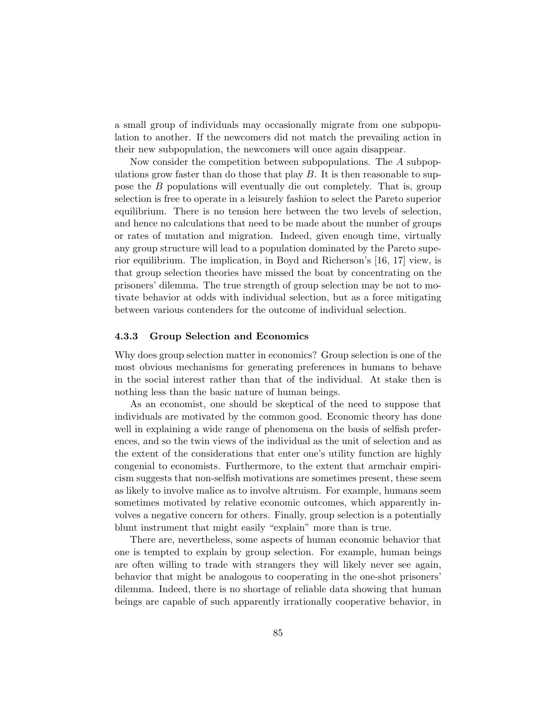a small group of individuals may occasionally migrate from one subpopulation to another. If the newcomers did not match the prevailing action in their new subpopulation, the newcomers will once again disappear.

Now consider the competition between subpopulations. The A subpopulations grow faster than do those that play  $B$ . It is then reasonable to suppose the B populations will eventually die out completely. That is, group selection is free to operate in a leisurely fashion to select the Pareto superior equilibrium. There is no tension here between the two levels of selection, and hence no calculations that need to be made about the number of groups or rates of mutation and migration. Indeed, given enough time, virtually any group structure will lead to a population dominated by the Pareto superior equilibrium. The implication, in Boyd and Richerson's [16, 17] view, is that group selection theories have missed the boat by concentrating on the prisoners' dilemma. The true strength of group selection may be not to motivate behavior at odds with individual selection, but as a force mitigating between various contenders for the outcome of individual selection.

### 4.3.3 Group Selection and Economics

Why does group selection matter in economics? Group selection is one of the most obvious mechanisms for generating preferences in humans to behave in the social interest rather than that of the individual. At stake then is nothing less than the basic nature of human beings.

As an economist, one should be skeptical of the need to suppose that individuals are motivated by the common good. Economic theory has done well in explaining a wide range of phenomena on the basis of selfish preferences, and so the twin views of the individual as the unit of selection and as the extent of the considerations that enter one's utility function are highly congenial to economists. Furthermore, to the extent that armchair empiricism suggests that non-selfish motivations are sometimes present, these seem as likely to involve malice as to involve altruism. For example, humans seem sometimes motivated by relative economic outcomes, which apparently involves a negative concern for others. Finally, group selection is a potentially blunt instrument that might easily "explain" more than is true.

There are, nevertheless, some aspects of human economic behavior that one is tempted to explain by group selection. For example, human beings are often willing to trade with strangers they will likely never see again, behavior that might be analogous to cooperating in the one-shot prisoners' dilemma. Indeed, there is no shortage of reliable data showing that human beings are capable of such apparently irrationally cooperative behavior, in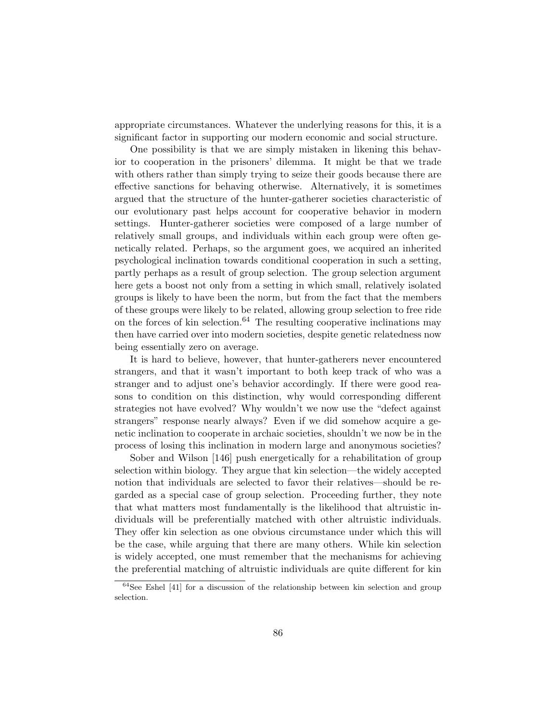appropriate circumstances. Whatever the underlying reasons for this, it is a significant factor in supporting our modern economic and social structure.

One possibility is that we are simply mistaken in likening this behavior to cooperation in the prisoners' dilemma. It might be that we trade with others rather than simply trying to seize their goods because there are effective sanctions for behaving otherwise. Alternatively, it is sometimes argued that the structure of the hunter-gatherer societies characteristic of our evolutionary past helps account for cooperative behavior in modern settings. Hunter-gatherer societies were composed of a large number of relatively small groups, and individuals within each group were often genetically related. Perhaps, so the argument goes, we acquired an inherited psychological inclination towards conditional cooperation in such a setting, partly perhaps as a result of group selection. The group selection argument here gets a boost not only from a setting in which small, relatively isolated groups is likely to have been the norm, but from the fact that the members of these groups were likely to be related, allowing group selection to free ride on the forces of kin selection. $64$  The resulting cooperative inclinations may then have carried over into modern societies, despite genetic relatedness now being essentially zero on average.

It is hard to believe, however, that hunter-gatherers never encountered strangers, and that it wasn't important to both keep track of who was a stranger and to adjust one's behavior accordingly. If there were good reasons to condition on this distinction, why would corresponding different strategies not have evolved? Why wouldn't we now use the "defect against strangers" response nearly always? Even if we did somehow acquire a genetic inclination to cooperate in archaic societies, shouldn't we now be in the process of losing this inclination in modern large and anonymous societies?

Sober and Wilson [146] push energetically for a rehabilitation of group selection within biology. They argue that kin selection—the widely accepted notion that individuals are selected to favor their relatives—should be regarded as a special case of group selection. Proceeding further, they note that what matters most fundamentally is the likelihood that altruistic individuals will be preferentially matched with other altruistic individuals. They offer kin selection as one obvious circumstance under which this will be the case, while arguing that there are many others. While kin selection is widely accepted, one must remember that the mechanisms for achieving the preferential matching of altruistic individuals are quite different for kin

 $64$ See Eshel [41] for a discussion of the relationship between kin selection and group selection.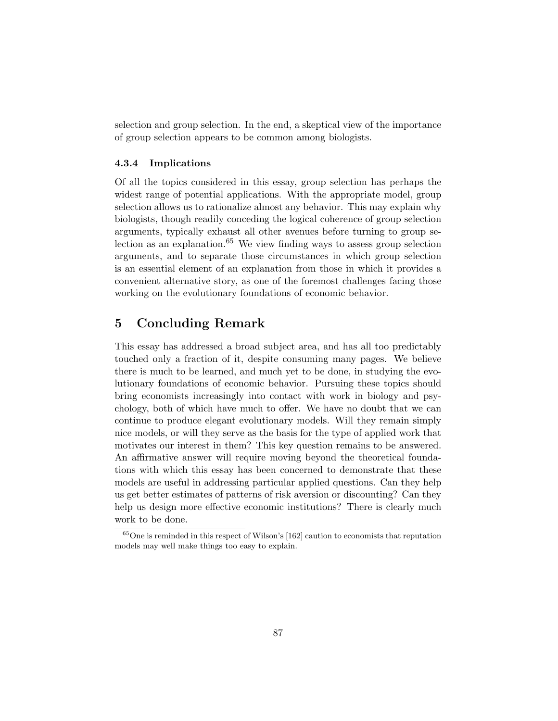selection and group selection. In the end, a skeptical view of the importance of group selection appears to be common among biologists.

#### 4.3.4 Implications

Of all the topics considered in this essay, group selection has perhaps the widest range of potential applications. With the appropriate model, group selection allows us to rationalize almost any behavior. This may explain why biologists, though readily conceding the logical coherence of group selection arguments, typically exhaust all other avenues before turning to group selection as an explanation.<sup>65</sup> We view finding ways to assess group selection arguments, and to separate those circumstances in which group selection is an essential element of an explanation from those in which it provides a convenient alternative story, as one of the foremost challenges facing those working on the evolutionary foundations of economic behavior.

## 5 Concluding Remark

This essay has addressed a broad subject area, and has all too predictably touched only a fraction of it, despite consuming many pages. We believe there is much to be learned, and much yet to be done, in studying the evolutionary foundations of economic behavior. Pursuing these topics should bring economists increasingly into contact with work in biology and psychology, both of which have much to offer. We have no doubt that we can continue to produce elegant evolutionary models. Will they remain simply nice models, or will they serve as the basis for the type of applied work that motivates our interest in them? This key question remains to be answered. An affirmative answer will require moving beyond the theoretical foundations with which this essay has been concerned to demonstrate that these models are useful in addressing particular applied questions. Can they help us get better estimates of patterns of risk aversion or discounting? Can they help us design more effective economic institutions? There is clearly much work to be done.

<sup>65</sup>One is reminded in this respect of Wilson's [162] caution to economists that reputation models may well make things too easy to explain.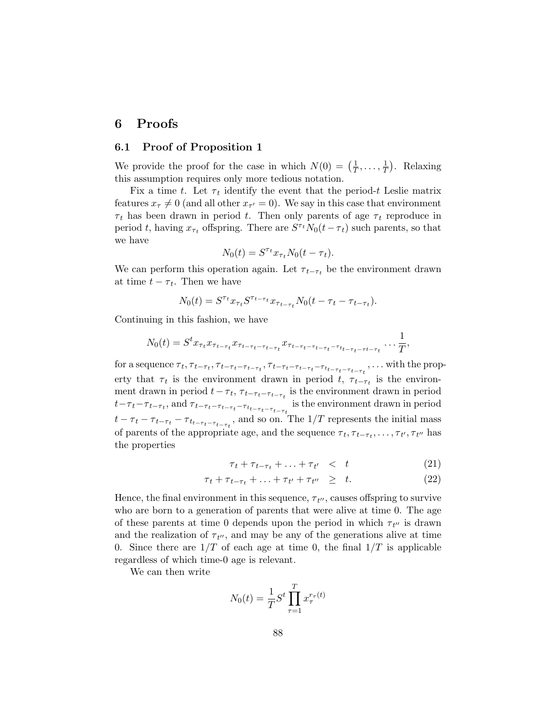## 6 Proofs

## 6.1 Proof of Proposition 1

We provide the proof for the case in which  $N(0) = \left(\frac{1}{T}\right)^{N}$  $\frac{1}{T}, \ldots, \frac{1}{T}$  $(\frac{1}{T})$ . Relaxing this assumption requires only more tedious notation.

Fix a time t. Let  $\tau_t$  identify the event that the period-t Leslie matrix features  $x_{\tau} \neq 0$  (and all other  $x_{\tau'} = 0$ ). We say in this case that environment  $\tau_t$  has been drawn in period t. Then only parents of age  $\tau_t$  reproduce in period t, having  $x_{\tau_t}$  offspring. There are  $S^{\tau_t} N_0(t-\tau_t)$  such parents, so that we have

$$
N_0(t) = S^{\tau_t} x_{\tau_t} N_0(t - \tau_t).
$$

We can perform this operation again. Let  $\tau_{t-\tau_t}$  be the environment drawn at time  $t - \tau_t$ . Then we have

$$
N_0(t) = S^{\tau_t} x_{\tau_t} S^{\tau_{t-\tau_t}} x_{\tau_{t-\tau_t}} N_0(t - \tau_t - \tau_{t-\tau_t}).
$$

Continuing in this fashion, we have

N0(t) = S <sup>t</sup>x<sup>τ</sup> <sup>t</sup>x<sup>τ</sup> <sup>t</sup>−τt <sup>x</sup><sup>τ</sup> <sup>t</sup>−τt−τt−τt <sup>x</sup><sup>τ</sup> <sup>t</sup>−τt−τt−τt <sup>−</sup>τtt<sup>−</sup>τt−τt−τt . . . 1 T ,

for a sequence  $\tau_t, \tau_{t-\tau_t}, \tau_{t-\tau_{t-\tau_t}}, \tau_{t-\tau_t-\tau_{t-\tau_t}-\tau_{t-\tau_{t-\tau_t}-\tau_{t-\tau_t}}}, \dots$  with the property that  $\tau_t$  is the environment drawn in period t,  $\tau_{t-\tau_t}$  is the environment drawn in period  $t - \tau_t$ ,  $\tau_{t-\tau_t-\tau_{t-\tau_t}}$  is the environment drawn in period  $t-\tau_t-\tau_{t-\tau_t}$ , and  $\tau_{t-\tau_t-\tau_{t-\tau_t-\tau_{t-\tau_{t-\tau_t}}}$  is the environment drawn in period  $t - \tau_t - \tau_{t-\tau_t} - \tau_{t_{t-\tau_t-\tau_{t-\tau_t}}}$ , and so on. The  $1/T$  represents the initial mass of parents of the appropriate age, and the sequence  $\tau_t, \tau_{t-\tau_t}, \ldots, \tau_{t'}, \tau_{t''}$  has the properties

$$
\tau_t + \tau_{t-\tau_t} + \ldots + \tau_{t'} < t \tag{21}
$$

$$
\tau_t + \tau_{t-\tau_t} + \ldots + \tau_{t'} + \tau_{t''} \geq t. \tag{22}
$$

Hence, the final environment in this sequence,  $\tau_{t''}$ , causes offspring to survive who are born to a generation of parents that were alive at time 0. The age of these parents at time 0 depends upon the period in which  $\tau_{t''}$  is drawn and the realization of  $\tau_{t}$ , and may be any of the generations alive at time 0. Since there are  $1/T$  of each age at time 0, the final  $1/T$  is applicable regardless of which time-0 age is relevant.

We can then write

$$
N_0(t) = \frac{1}{T} S^t \prod_{\tau=1}^T x_{\tau}^{r_{\tau}(t)}
$$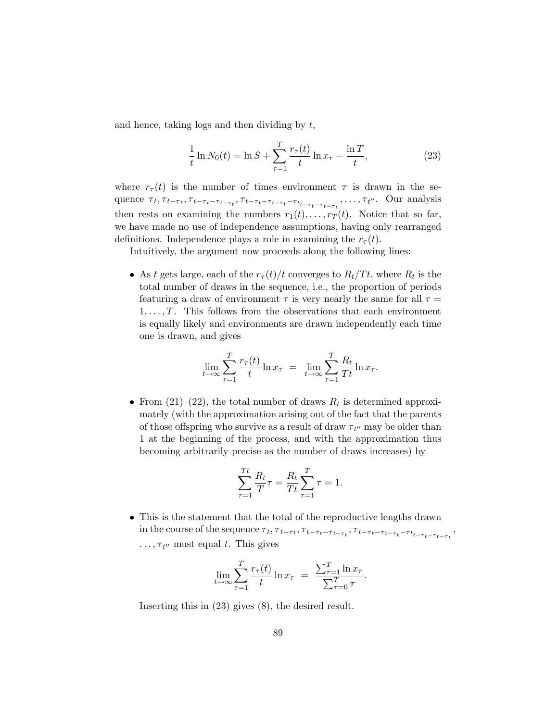and hence, taking logs and then dividing by  $t$ ,

$$
\frac{1}{t}\ln N_0(t) = \ln S + \sum_{\tau=1}^T \frac{r_\tau(t)}{t} \ln x_\tau - \frac{\ln T}{t},\tag{23}
$$

where  $r_{\tau}(t)$  is the number of times environment  $\tau$  is drawn in the sequence  $\tau_t, \tau_{t-\tau_t}, \tau_{t-\tau_t-\tau_{t-\tau_t}}, \tau_{t-\tau_t-\tau_{t-\tau_t}-\tau_{t-\tau_t-\tau_{t-\tau_t}}}, \ldots, \tau_{t''}.$  Our analysis then rests on examining the numbers  $r_1(t), \ldots, r_T(t)$ . Notice that so far, we have made no use of independence assumptions, having only rearranged definitions. Independence plays a role in examining the  $r<sub>\tau</sub>(t)$ .

Intuitively, the argument now proceeds along the following lines:

• As t gets large, each of the  $r_{\tau}(t)/t$  converges to  $R_t/Tt$ , where  $R_t$  is the total number of draws in the sequence, i.e., the proportion of periods featuring a draw of environment  $\tau$  is very nearly the same for all  $\tau =$  $1, \ldots, T$ . This follows from the observations that each environment is equally likely and environments are drawn independently each time one is drawn, and gives

$$
\lim_{t \to \infty} \sum_{\tau=1}^T \frac{r_\tau(t)}{t} \ln x_\tau = \lim_{t \to \infty} \sum_{\tau=1}^T \frac{R_t}{Tt} \ln x_\tau.
$$

• From  $(21)$ – $(22)$ , the total number of draws  $R_t$  is determined approximately (with the approximation arising out of the fact that the parents of those offspring who survive as a result of draw  $\tau_{t''}$  may be older than 1 at the beginning of the process, and with the approximation thus becoming arbitrarily precise as the number of draws increases) by

$$
\sum_{\tau=1}^{Tt} \frac{R_t}{T} \tau = \frac{R_t}{Tt} \sum_{\tau=1}^{T} \tau = 1.
$$

• This is the statement that the total of the reproductive lengths drawn in the course of the sequence  $\tau_t, \tau_{t-\tau_t}, \tau_{t-\tau_t-\tau_{t-\tau_t}}, \tau_{t-\tau_t-\tau_{t-\tau_t}-\tau_{t-\tau_t-\tau_{t-\tau_t}}},$  $\ldots, \tau_{t''}$  must equal t. This gives

$$
\lim_{t \to \infty} \sum_{\tau=1}^T \frac{r_\tau(t)}{t} \ln x_\tau = \frac{\sum_{\tau=1}^T \ln x_\tau}{\sum_{\tau=0}^T \tau}.
$$

Inserting this in (23) gives (8), the desired result.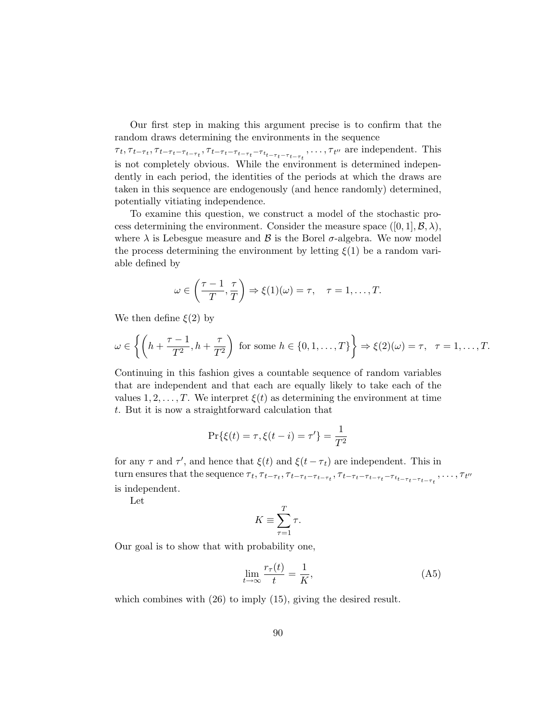Our first step in making this argument precise is to confirm that the random draws determining the environments in the sequence

 $\tau_t, \tau_{t-\tau_t}, \tau_{t-\tau_{t-\tau_t}}, \tau_{t-\tau_t-\tau_{t-\tau_t}-\tau_{t-\tau_t-\tau_{t-\tau_t}}}, \ldots, \tau_{t}$  are independent. This is not completely obvious. While the environment is determined independently in each period, the identities of the periods at which the draws are taken in this sequence are endogenously (and hence randomly) determined, potentially vitiating independence.

To examine this question, we construct a model of the stochastic process determining the environment. Consider the measure space  $([0, 1], \mathcal{B}, \lambda)$ , where  $\lambda$  is Lebesgue measure and  $\beta$  is the Borel  $\sigma$ -algebra. We now model the process determining the environment by letting  $\xi(1)$  be a random variable defined by

$$
\omega \in \left(\frac{\tau-1}{T}, \frac{\tau}{T}\right) \Rightarrow \xi(1)(\omega) = \tau, \quad \tau = 1, \ldots, T.
$$

We then define  $\xi(2)$  by

$$
\omega \in \left\{ \left( h + \frac{\tau - 1}{T^2}, h + \frac{\tau}{T^2} \right) \text{ for some } h \in \{0, 1, \dots, T\} \right\} \Rightarrow \xi(2)(\omega) = \tau, \quad \tau = 1, \dots, T.
$$

Continuing in this fashion gives a countable sequence of random variables that are independent and that each are equally likely to take each of the values  $1, 2, \ldots, T$ . We interpret  $\xi(t)$  as determining the environment at time t. But it is now a straightforward calculation that

$$
\Pr\{\xi(t) = \tau, \xi(t - i) = \tau'\} = \frac{1}{T^2}
$$

for any  $\tau$  and  $\tau'$ , and hence that  $\xi(t)$  and  $\xi(t - \tau_t)$  are independent. This in turn ensures that the sequence  $\tau_t, \tau_{t-\tau_t}, \tau_{t-\tau_t-\tau_{t-\tau_t}}, \tau_{t-\tau_t-\tau_{t-\tau_t}-\tau_{t-\tau_t-\tau_{t-\tau_t}}}, \ldots, \tau_{t''}$ is independent.

Let

$$
K \equiv \sum_{\tau=1}^{T} \tau.
$$

Our goal is to show that with probability one,

$$
\lim_{t \to \infty} \frac{r_\tau(t)}{t} = \frac{1}{K},\tag{A5}
$$

which combines with (26) to imply (15), giving the desired result.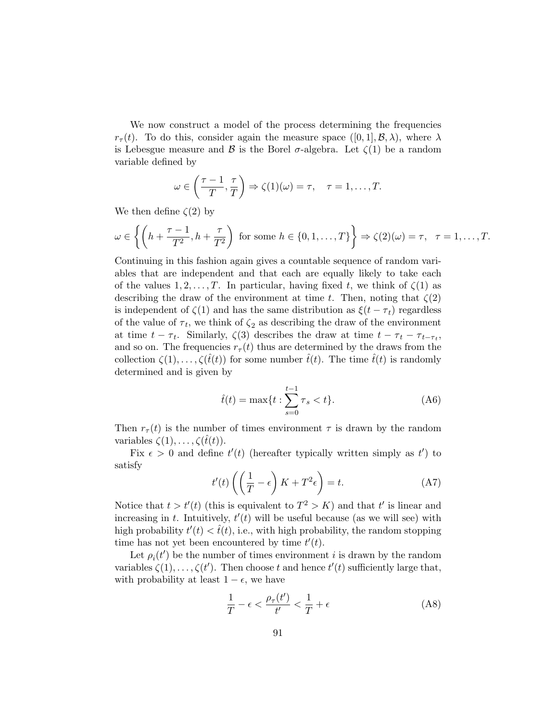We now construct a model of the process determining the frequencies  $r_{\tau}(t)$ . To do this, consider again the measure space  $([0, 1], \mathcal{B}, \lambda)$ , where  $\lambda$ is Lebesgue measure and  $\beta$  is the Borel  $\sigma$ -algebra. Let  $\zeta(1)$  be a random variable defined by

$$
\omega \in \left(\frac{\tau-1}{T}, \frac{\tau}{T}\right) \Rightarrow \zeta(1)(\omega) = \tau, \quad \tau = 1, \dots, T.
$$

We then define  $\zeta(2)$  by

$$
\omega \in \left\{ \left( h + \frac{\tau - 1}{T^2}, h + \frac{\tau}{T^2} \right) \text{ for some } h \in \{0, 1, \dots, T\} \right\} \Rightarrow \zeta(2)(\omega) = \tau, \quad \tau = 1, \dots, T.
$$

Continuing in this fashion again gives a countable sequence of random variables that are independent and that each are equally likely to take each of the values  $1, 2, \ldots, T$ . In particular, having fixed t, we think of  $\zeta(1)$  as describing the draw of the environment at time t. Then, noting that  $\zeta(2)$ is independent of  $\zeta(1)$  and has the same distribution as  $\xi(t - \tau_t)$  regardless of the value of  $\tau_t$ , we think of  $\zeta_2$  as describing the draw of the environment at time  $t - \tau_t$ . Similarly,  $\zeta(3)$  describes the draw at time  $t - \tau_t - \tau_{t-\tau_t}$ , and so on. The frequencies  $r_{\tau}(t)$  thus are determined by the draws from the collection  $\zeta(1), \ldots, \zeta(\hat{t}(t))$  for some number  $\hat{t}(t)$ . The time  $\hat{t}(t)$  is randomly determined and is given by

$$
\hat{t}(t) = \max\{t : \sum_{s=0}^{t-1} \tau_s < t\}.\tag{A6}
$$

Then  $r_{\tau}(t)$  is the number of times environment  $\tau$  is drawn by the random variables  $\zeta(1), \ldots, \zeta(\hat{t}(t)).$ 

Fix  $\epsilon > 0$  and define  $t'(t)$  (hereafter typically written simply as  $t'$ ) to satisfy

$$
t'(t)\left(\left(\frac{1}{T}-\epsilon\right)K+T^2\epsilon\right)=t.
$$
 (A7)

Notice that  $t > t'(t)$  (this is equivalent to  $T^2 > K$ ) and that t' is linear and increasing in t. Intuitively,  $t'(t)$  will be useful because (as we will see) with high probability  $t'(t) < \hat{t}(t)$ , i.e., with high probability, the random stopping time has not yet been encountered by time  $t'(t)$ .

Let  $\rho_i(t')$  be the number of times environment *i* is drawn by the random variables  $\zeta(1), \ldots, \zeta(t')$ . Then choose t and hence  $t'(t)$  sufficiently large that, with probability at least  $1 - \epsilon$ , we have

$$
\frac{1}{T} - \epsilon < \frac{\rho_{\tau}(t')}{t'} < \frac{1}{T} + \epsilon \tag{A8}
$$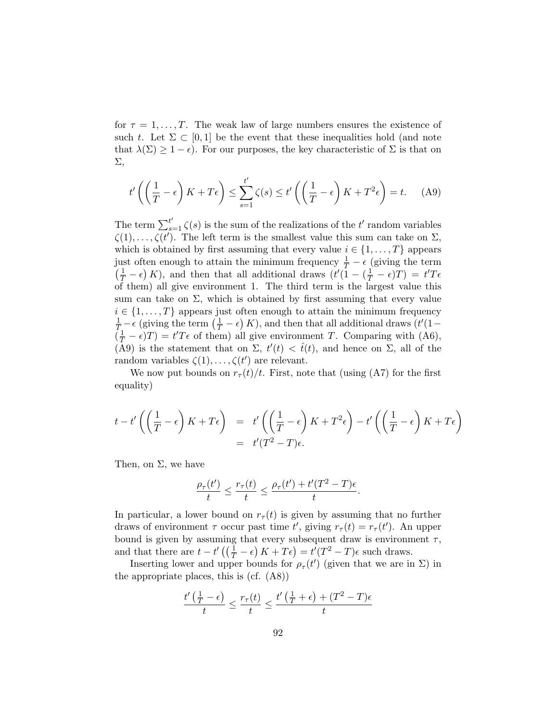for  $\tau = 1, \ldots, T$ . The weak law of large numbers ensures the existence of such t. Let  $\Sigma \subset [0,1]$  be the event that these inequalities hold (and note that  $\lambda(\Sigma) \geq 1 - \epsilon$ ). For our purposes, the key characteristic of  $\Sigma$  is that on Σ,

$$
t'\left(\left(\frac{1}{T}-\epsilon\right)K+T\epsilon\right) \le \sum_{s=1}^{t'} \zeta(s) \le t'\left(\left(\frac{1}{T}-\epsilon\right)K+T^2\epsilon\right) = t. \tag{A9}
$$

The term  $\sum_{s=1}^{t'} \zeta(s)$  is the sum of the realizations of the  $t'$  random variables  $\zeta(1), \ldots, \zeta(t')$ . The left term is the smallest value this sum can take on  $\Sigma$ , which is obtained by first assuming that every value  $i \in \{1, \ldots, T\}$  appears just often enough to attain the minimum frequency  $\frac{1}{T} - \epsilon$  (giving the term  $\left(\frac{1}{T} - \epsilon\right) K$ , and then that all additional draws  $\left(t\right) \left(1 - \left(\frac{1}{T} - \epsilon\right) T\right) = t' T \epsilon$ of them) all give environment 1. The third term is the largest value this sum can take on  $\Sigma$ , which is obtained by first assuming that every value  $i \in \{1, \ldots, T\}$  appears just often enough to attain the minimum frequency  $\frac{1}{T} - \epsilon$  (giving the term  $(\frac{1}{T} - \epsilon) K$ ), and then that all additional draws  $(t'(1 - \epsilon))$  $(\frac{1}{T} - \epsilon)T$  =  $t'T\epsilon$  of them) all give environment T. Comparing with (A6), (A9) is the statement that on  $\Sigma$ ,  $t'(t) < \hat{t}(t)$ , and hence on  $\Sigma$ , all of the random variables  $\zeta(1), \ldots, \zeta(t')$  are relevant.

We now put bounds on  $r_{\tau}(t)/t$ . First, note that (using (A7) for the first equality)

$$
t - t' \left( \left( \frac{1}{T} - \epsilon \right) K + T \epsilon \right) = t' \left( \left( \frac{1}{T} - \epsilon \right) K + T^2 \epsilon \right) - t' \left( \left( \frac{1}{T} - \epsilon \right) K + T \epsilon \right)
$$
  
= t'(T<sup>2</sup> - T)\epsilon.

Then, on  $\Sigma$ , we have

$$
\frac{\rho_\tau(t')}{t} \leq \frac{r_\tau(t)}{t} \leq \frac{\rho_\tau(t') + t'(T^2 - T)\epsilon}{t}.
$$

In particular, a lower bound on  $r<sub>\tau</sub>(t)$  is given by assuming that no further draws of environment  $\tau$  occur past time  $t'$ , giving  $r_{\tau}(t) = r_{\tau}(t')$ . An upper bound is given by assuming that every subsequent draw is environment  $\tau$ , and that there are  $t - t' \left( \left( \frac{1}{T} - \epsilon \right) K + T \epsilon \right) = t'(T^2 - T)\epsilon$  such draws.

Inserting lower and upper bounds for  $\rho_{\tau}(t')$  (given that we are in  $\Sigma$ ) in the appropriate places, this is (cf. (A8))

$$
\frac{t'\left(\frac{1}{T}-\epsilon\right)}{t} \le \frac{r_{\tau}(t)}{t} \le \frac{t'\left(\frac{1}{T}+\epsilon\right) + (T^2-T)\epsilon}{t}
$$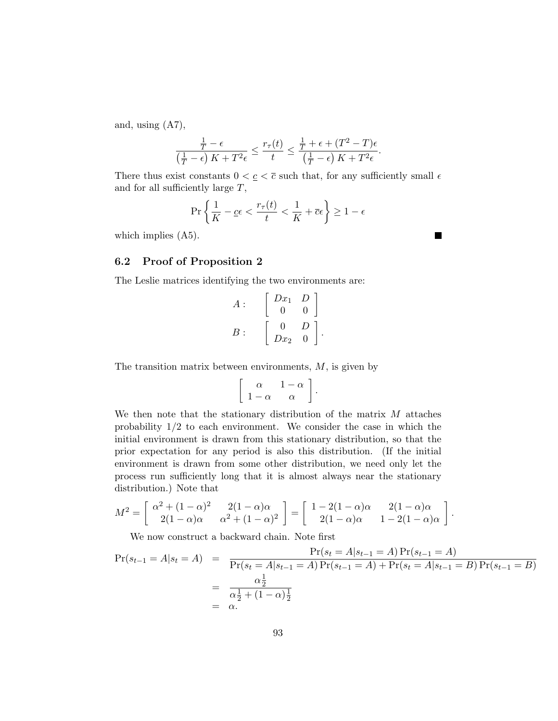and, using (A7),

$$
\frac{\frac{1}{T}-\epsilon}{\left(\frac{1}{T}-\epsilon\right)K+T^2\epsilon} \le \frac{r_\tau(t)}{t} \le \frac{\frac{1}{T}+\epsilon+(T^2-T)\epsilon}{\left(\frac{1}{T}-\epsilon\right)K+T^2\epsilon}.
$$

There thus exist constants  $0 < \underline{c} < \overline{c}$  such that, for any sufficiently small  $\epsilon$ and for all sufficiently large  $T$ ,

$$
\Pr\left\{\frac{1}{K} - \underline{c}\epsilon < \frac{r_{\tau}(t)}{t} < \frac{1}{K} + \overline{c}\epsilon\right\} \ge 1 - \epsilon
$$

which implies  $(A5)$ .

## 6.2 Proof of Proposition 2

The Leslie matrices identifying the two environments are:

$$
A: \begin{bmatrix} Dx_1 & D \\ 0 & 0 \end{bmatrix}
$$

$$
B: \begin{bmatrix} 0 & D \\ Dx_2 & 0 \end{bmatrix}.
$$

The transition matrix between environments,  $M$ , is given by

$$
\left[\begin{array}{cc} \alpha & 1-\alpha \\ 1-\alpha & \alpha \end{array}\right].
$$

We then note that the stationary distribution of the matrix  $M$  attaches probability  $1/2$  to each environment. We consider the case in which the initial environment is drawn from this stationary distribution, so that the prior expectation for any period is also this distribution. (If the initial environment is drawn from some other distribution, we need only let the process run sufficiently long that it is almost always near the stationary distribution.) Note that

$$
M^2 = \begin{bmatrix} \alpha^2 + (1 - \alpha)^2 & 2(1 - \alpha)\alpha \\ 2(1 - \alpha)\alpha & \alpha^2 + (1 - \alpha)^2 \end{bmatrix} = \begin{bmatrix} 1 - 2(1 - \alpha)\alpha & 2(1 - \alpha)\alpha \\ 2(1 - \alpha)\alpha & 1 - 2(1 - \alpha)\alpha \end{bmatrix}.
$$

We now construct a backward chain. Note first

$$
\Pr(s_{t-1} = A | s_t = A) = \frac{\Pr(s_t = A | s_{t-1} = A) \Pr(s_{t-1} = A)}{\Pr(s_t = A | s_{t-1} = A) \Pr(s_{t-1} = A) + \Pr(s_t = A | s_{t-1} = B) \Pr(s_{t-1} = B)} = \frac{\alpha \frac{1}{2}}{\alpha \frac{1}{2} + (1 - \alpha) \frac{1}{2}} = \alpha.
$$

٠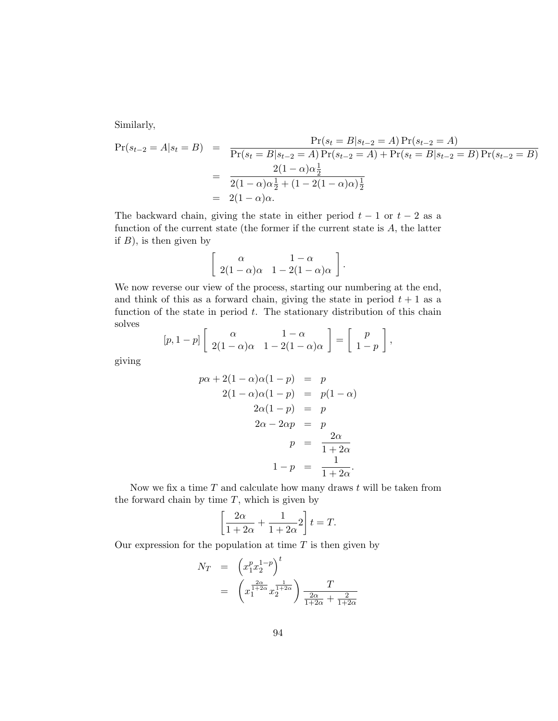Similarly,

$$
\Pr(s_{t-2} = A | s_t = B) = \frac{\Pr(s_t = B | s_{t-2} = A) \Pr(s_{t-2} = A)}{\Pr(s_t = B | s_{t-2} = A) \Pr(s_{t-2} = A) + \Pr(s_t = B | s_{t-2} = B) \Pr(s_{t-2} = B)} \\
= \frac{2(1 - \alpha)\alpha \frac{1}{2}}{2(1 - \alpha)\alpha \frac{1}{2} + (1 - 2(1 - \alpha)\alpha) \frac{1}{2}} \\
= 2(1 - \alpha)\alpha.
$$

The backward chain, giving the state in either period  $t - 1$  or  $t - 2$  as a function of the current state (the former if the current state is  $A$ , the latter if  $B$ ), is then given by

$$
\left[\begin{array}{cc} \alpha & 1-\alpha \\ 2(1-\alpha)\alpha & 1-2(1-\alpha)\alpha \end{array}\right].
$$

We now reverse our view of the process, starting our numbering at the end, and think of this as a forward chain, giving the state in period  $t + 1$  as a function of the state in period  $t$ . The stationary distribution of this chain solves

$$
[p, 1-p] \left[ \begin{array}{cc} \alpha & 1-\alpha \\ 2(1-\alpha)\alpha & 1-2(1-\alpha)\alpha \end{array} \right] = \left[ \begin{array}{cc} p \\ 1-p \end{array} \right],
$$

giving

$$
p\alpha + 2(1 - \alpha)\alpha(1 - p) = p
$$
  
\n
$$
2(1 - \alpha)\alpha(1 - p) = p(1 - \alpha)
$$
  
\n
$$
2\alpha(1 - p) = p
$$
  
\n
$$
2\alpha - 2\alpha p = p
$$
  
\n
$$
p = \frac{2\alpha}{1 + 2\alpha}
$$
  
\n
$$
1 - p = \frac{1}{1 + 2\alpha}.
$$

Now we fix a time  $T$  and calculate how many draws  $t$  will be taken from the forward chain by time  $T$ , which is given by

$$
\left[\frac{2\alpha}{1+2\alpha} + \frac{1}{1+2\alpha}2\right]t = T.
$$

Our expression for the population at time  $T$  is then given by

$$
N_T = \left(x_1^p x_2^{1-p}\right)^t
$$
  
=  $\left(x_1^{\frac{2\alpha}{1+2\alpha}} x_2^{\frac{1}{1+2\alpha}}\right) \frac{T}{\frac{2\alpha}{1+2\alpha} + \frac{2}{1+2\alpha}}$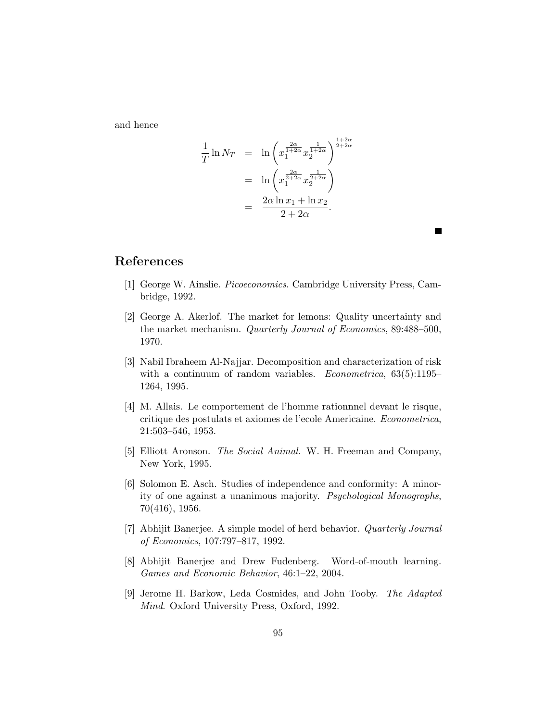and hence

$$
\frac{1}{T} \ln N_T = \ln \left( x_1^{\frac{2\alpha}{1+2\alpha}} x_2^{\frac{1}{1+2\alpha}} \right)^{\frac{1+2\alpha}{2+2\alpha}}
$$
  
= 
$$
\ln \left( x_1^{\frac{2\alpha}{2+2\alpha}} x_2^{\frac{1}{2+2\alpha}} \right)
$$
  
= 
$$
\frac{2\alpha \ln x_1 + \ln x_2}{2 + 2\alpha}.
$$

# References

[1] George W. Ainslie. Picoeconomics. Cambridge University Press, Cambridge, 1992.

 $\overline{\phantom{a}}$ 

- [2] George A. Akerlof. The market for lemons: Quality uncertainty and the market mechanism. Quarterly Journal of Economics, 89:488–500, 1970.
- [3] Nabil Ibraheem Al-Najjar. Decomposition and characterization of risk with a continuum of random variables. *Econometrica*, 63(5):1195– 1264, 1995.
- [4] M. Allais. Le comportement de l'homme rationnnel devant le risque, critique des postulats et axiomes de l'ecole Americaine. Econometrica, 21:503–546, 1953.
- [5] Elliott Aronson. The Social Animal. W. H. Freeman and Company, New York, 1995.
- [6] Solomon E. Asch. Studies of independence and conformity: A minority of one against a unanimous majority. Psychological Monographs, 70(416), 1956.
- [7] Abhijit Banerjee. A simple model of herd behavior. Quarterly Journal of Economics, 107:797–817, 1992.
- [8] Abhijit Banerjee and Drew Fudenberg. Word-of-mouth learning. Games and Economic Behavior, 46:1–22, 2004.
- [9] Jerome H. Barkow, Leda Cosmides, and John Tooby. The Adapted Mind. Oxford University Press, Oxford, 1992.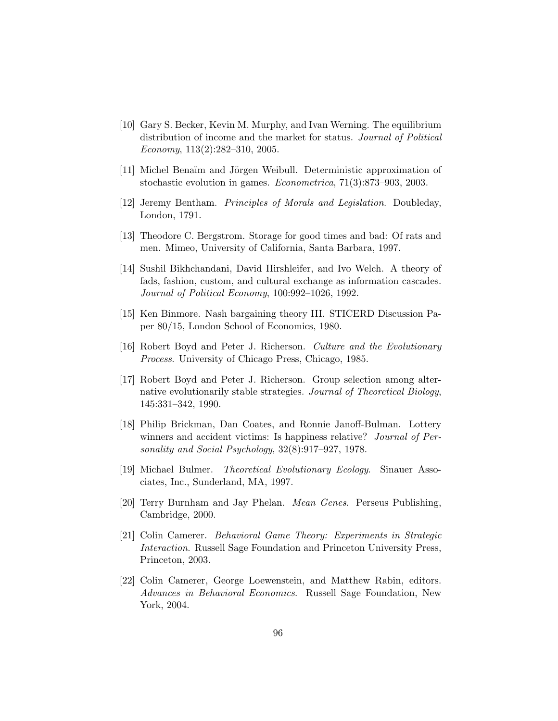- [10] Gary S. Becker, Kevin M. Murphy, and Ivan Werning. The equilibrium distribution of income and the market for status. Journal of Political Economy, 113(2):282–310, 2005.
- [11] Michel Benaïm and Jörgen Weibull. Deterministic approximation of stochastic evolution in games. Econometrica, 71(3):873–903, 2003.
- [12] Jeremy Bentham. Principles of Morals and Legislation. Doubleday, London, 1791.
- [13] Theodore C. Bergstrom. Storage for good times and bad: Of rats and men. Mimeo, University of California, Santa Barbara, 1997.
- [14] Sushil Bikhchandani, David Hirshleifer, and Ivo Welch. A theory of fads, fashion, custom, and cultural exchange as information cascades. Journal of Political Economy, 100:992–1026, 1992.
- [15] Ken Binmore. Nash bargaining theory III. STICERD Discussion Paper 80/15, London School of Economics, 1980.
- [16] Robert Boyd and Peter J. Richerson. Culture and the Evolutionary Process. University of Chicago Press, Chicago, 1985.
- [17] Robert Boyd and Peter J. Richerson. Group selection among alternative evolutionarily stable strategies. Journal of Theoretical Biology, 145:331–342, 1990.
- [18] Philip Brickman, Dan Coates, and Ronnie Janoff-Bulman. Lottery winners and accident victims: Is happiness relative? *Journal of Per*sonality and Social Psychology, 32(8):917–927, 1978.
- [19] Michael Bulmer. Theoretical Evolutionary Ecology. Sinauer Associates, Inc., Sunderland, MA, 1997.
- [20] Terry Burnham and Jay Phelan. Mean Genes. Perseus Publishing, Cambridge, 2000.
- [21] Colin Camerer. Behavioral Game Theory: Experiments in Strategic Interaction. Russell Sage Foundation and Princeton University Press, Princeton, 2003.
- [22] Colin Camerer, George Loewenstein, and Matthew Rabin, editors. Advances in Behavioral Economics. Russell Sage Foundation, New York, 2004.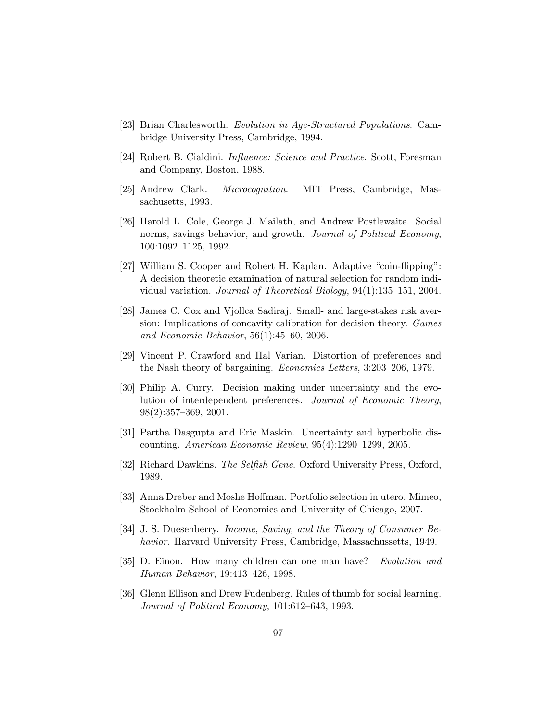- [23] Brian Charlesworth. Evolution in Age-Structured Populations. Cambridge University Press, Cambridge, 1994.
- [24] Robert B. Cialdini. Influence: Science and Practice. Scott, Foresman and Company, Boston, 1988.
- [25] Andrew Clark. Microcognition. MIT Press, Cambridge, Massachusetts, 1993.
- [26] Harold L. Cole, George J. Mailath, and Andrew Postlewaite. Social norms, savings behavior, and growth. Journal of Political Economy, 100:1092–1125, 1992.
- [27] William S. Cooper and Robert H. Kaplan. Adaptive "coin-flipping": A decision theoretic examination of natural selection for random individual variation. Journal of Theoretical Biology, 94(1):135–151, 2004.
- [28] James C. Cox and Vjollca Sadiraj. Small- and large-stakes risk aversion: Implications of concavity calibration for decision theory. Games and Economic Behavior, 56(1):45–60, 2006.
- [29] Vincent P. Crawford and Hal Varian. Distortion of preferences and the Nash theory of bargaining. Economics Letters, 3:203–206, 1979.
- [30] Philip A. Curry. Decision making under uncertainty and the evolution of interdependent preferences. Journal of Economic Theory, 98(2):357–369, 2001.
- [31] Partha Dasgupta and Eric Maskin. Uncertainty and hyperbolic discounting. American Economic Review, 95(4):1290–1299, 2005.
- [32] Richard Dawkins. The Selfish Gene. Oxford University Press, Oxford, 1989.
- [33] Anna Dreber and Moshe Hoffman. Portfolio selection in utero. Mimeo, Stockholm School of Economics and University of Chicago, 2007.
- [34] J. S. Duesenberry. Income, Saving, and the Theory of Consumer Behavior. Harvard University Press, Cambridge, Massachussetts, 1949.
- [35] D. Einon. How many children can one man have? Evolution and Human Behavior, 19:413–426, 1998.
- [36] Glenn Ellison and Drew Fudenberg. Rules of thumb for social learning. Journal of Political Economy, 101:612–643, 1993.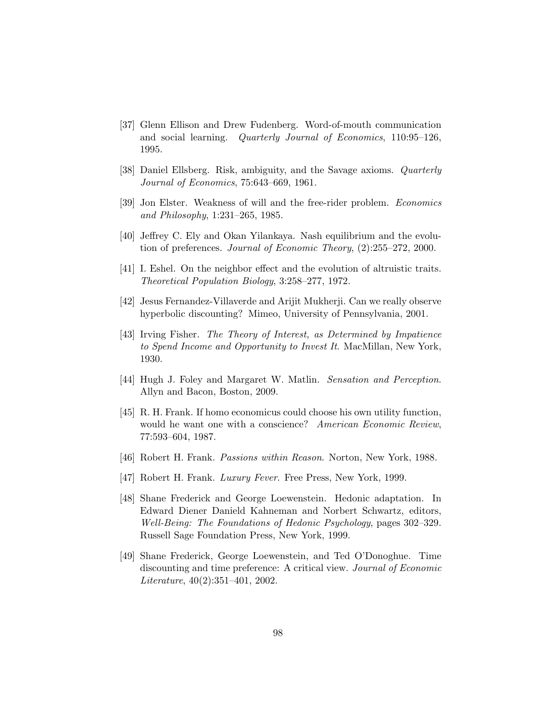- [37] Glenn Ellison and Drew Fudenberg. Word-of-mouth communication and social learning. Quarterly Journal of Economics, 110:95–126, 1995.
- [38] Daniel Ellsberg. Risk, ambiguity, and the Savage axioms. Quarterly Journal of Economics, 75:643–669, 1961.
- [39] Jon Elster. Weakness of will and the free-rider problem. Economics and Philosophy, 1:231–265, 1985.
- [40] Jeffrey C. Ely and Okan Yilankaya. Nash equilibrium and the evolution of preferences. Journal of Economic Theory, (2):255–272, 2000.
- [41] I. Eshel. On the neighbor effect and the evolution of altruistic traits. Theoretical Population Biology, 3:258–277, 1972.
- [42] Jesus Fernandez-Villaverde and Arijit Mukherji. Can we really observe hyperbolic discounting? Mimeo, University of Pennsylvania, 2001.
- [43] Irving Fisher. The Theory of Interest, as Determined by Impatience to Spend Income and Opportunity to Invest It. MacMillan, New York, 1930.
- [44] Hugh J. Foley and Margaret W. Matlin. Sensation and Perception. Allyn and Bacon, Boston, 2009.
- [45] R. H. Frank. If homo economicus could choose his own utility function, would he want one with a conscience? American Economic Review, 77:593–604, 1987.
- [46] Robert H. Frank. Passions within Reason. Norton, New York, 1988.
- [47] Robert H. Frank. *Luxury Fever*. Free Press, New York, 1999.
- [48] Shane Frederick and George Loewenstein. Hedonic adaptation. In Edward Diener Danield Kahneman and Norbert Schwartz, editors, Well-Being: The Foundations of Hedonic Psychology, pages 302–329. Russell Sage Foundation Press, New York, 1999.
- [49] Shane Frederick, George Loewenstein, and Ted O'Donoghue. Time discounting and time preference: A critical view. Journal of Economic Literature, 40(2):351–401, 2002.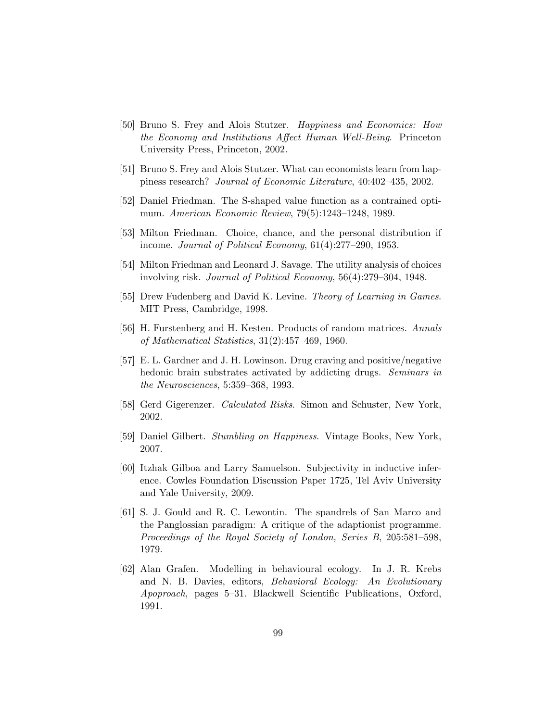- [50] Bruno S. Frey and Alois Stutzer. Happiness and Economics: How the Economy and Institutions Affect Human Well-Being. Princeton University Press, Princeton, 2002.
- [51] Bruno S. Frey and Alois Stutzer. What can economists learn from happiness research? Journal of Economic Literature, 40:402–435, 2002.
- [52] Daniel Friedman. The S-shaped value function as a contrained optimum. American Economic Review, 79(5):1243–1248, 1989.
- [53] Milton Friedman. Choice, chance, and the personal distribution if income. Journal of Political Economy, 61(4):277–290, 1953.
- [54] Milton Friedman and Leonard J. Savage. The utility analysis of choices involving risk. Journal of Political Economy, 56(4):279–304, 1948.
- [55] Drew Fudenberg and David K. Levine. Theory of Learning in Games. MIT Press, Cambridge, 1998.
- [56] H. Furstenberg and H. Kesten. Products of random matrices. Annals of Mathematical Statistics, 31(2):457–469, 1960.
- [57] E. L. Gardner and J. H. Lowinson. Drug craving and positive/negative hedonic brain substrates activated by addicting drugs. Seminars in the Neurosciences, 5:359–368, 1993.
- [58] Gerd Gigerenzer. Calculated Risks. Simon and Schuster, New York, 2002.
- [59] Daniel Gilbert. Stumbling on Happiness. Vintage Books, New York, 2007.
- [60] Itzhak Gilboa and Larry Samuelson. Subjectivity in inductive inference. Cowles Foundation Discussion Paper 1725, Tel Aviv University and Yale University, 2009.
- [61] S. J. Gould and R. C. Lewontin. The spandrels of San Marco and the Panglossian paradigm: A critique of the adaptionist programme. Proceedings of the Royal Society of London, Series B, 205:581–598, 1979.
- [62] Alan Grafen. Modelling in behavioural ecology. In J. R. Krebs and N. B. Davies, editors, Behavioral Ecology: An Evolutionary Apoproach, pages 5–31. Blackwell Scientific Publications, Oxford, 1991.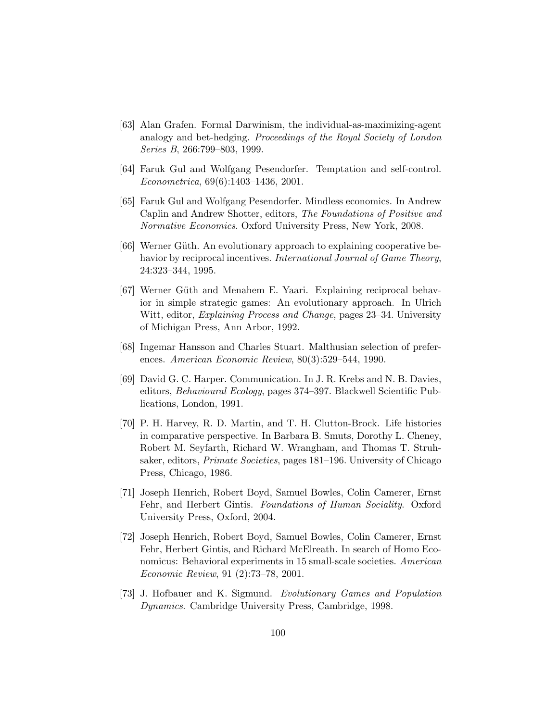- [63] Alan Grafen. Formal Darwinism, the individual-as-maximizing-agent analogy and bet-hedging. Proceedings of the Royal Society of London Series B, 266:799–803, 1999.
- [64] Faruk Gul and Wolfgang Pesendorfer. Temptation and self-control. Econometrica, 69(6):1403–1436, 2001.
- [65] Faruk Gul and Wolfgang Pesendorfer. Mindless economics. In Andrew Caplin and Andrew Shotter, editors, The Foundations of Positive and Normative Economics. Oxford University Press, New York, 2008.
- [66] Werner G¨uth. An evolutionary approach to explaining cooperative behavior by reciprocal incentives. International Journal of Game Theory, 24:323–344, 1995.
- [67] Werner Güth and Menahem E. Yaari. Explaining reciprocal behavior in simple strategic games: An evolutionary approach. In Ulrich Witt, editor, Explaining Process and Change, pages 23–34. University of Michigan Press, Ann Arbor, 1992.
- [68] Ingemar Hansson and Charles Stuart. Malthusian selection of preferences. American Economic Review, 80(3):529–544, 1990.
- [69] David G. C. Harper. Communication. In J. R. Krebs and N. B. Davies, editors, Behavioural Ecology, pages 374–397. Blackwell Scientific Publications, London, 1991.
- [70] P. H. Harvey, R. D. Martin, and T. H. Clutton-Brock. Life histories in comparative perspective. In Barbara B. Smuts, Dorothy L. Cheney, Robert M. Seyfarth, Richard W. Wrangham, and Thomas T. Struhsaker, editors, Primate Societies, pages 181–196. University of Chicago Press, Chicago, 1986.
- [71] Joseph Henrich, Robert Boyd, Samuel Bowles, Colin Camerer, Ernst Fehr, and Herbert Gintis. Foundations of Human Sociality. Oxford University Press, Oxford, 2004.
- [72] Joseph Henrich, Robert Boyd, Samuel Bowles, Colin Camerer, Ernst Fehr, Herbert Gintis, and Richard McElreath. In search of Homo Economicus: Behavioral experiments in 15 small-scale societies. American Economic Review, 91 (2):73–78, 2001.
- [73] J. Hofbauer and K. Sigmund. Evolutionary Games and Population Dynamics. Cambridge University Press, Cambridge, 1998.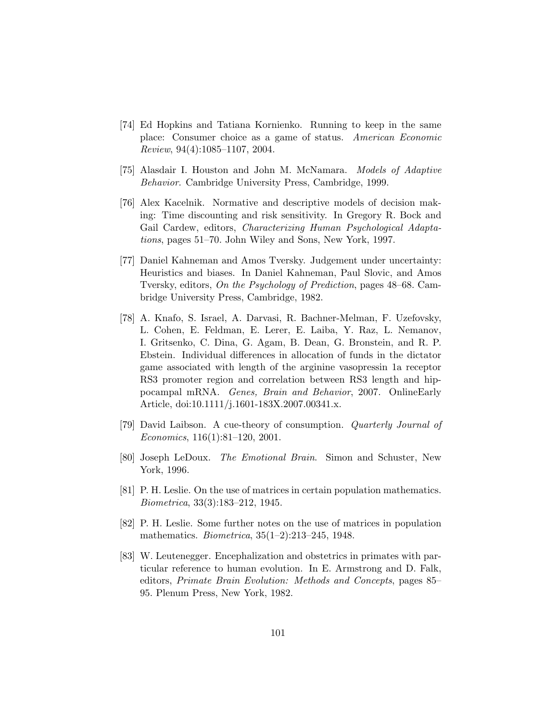- [74] Ed Hopkins and Tatiana Kornienko. Running to keep in the same place: Consumer choice as a game of status. American Economic Review, 94(4):1085–1107, 2004.
- [75] Alasdair I. Houston and John M. McNamara. Models of Adaptive Behavior. Cambridge University Press, Cambridge, 1999.
- [76] Alex Kacelnik. Normative and descriptive models of decision making: Time discounting and risk sensitivity. In Gregory R. Bock and Gail Cardew, editors, Characterizing Human Psychological Adaptations, pages 51–70. John Wiley and Sons, New York, 1997.
- [77] Daniel Kahneman and Amos Tversky. Judgement under uncertainty: Heuristics and biases. In Daniel Kahneman, Paul Slovic, and Amos Tversky, editors, On the Psychology of Prediction, pages 48–68. Cambridge University Press, Cambridge, 1982.
- [78] A. Knafo, S. Israel, A. Darvasi, R. Bachner-Melman, F. Uzefovsky, L. Cohen, E. Feldman, E. Lerer, E. Laiba, Y. Raz, L. Nemanov, I. Gritsenko, C. Dina, G. Agam, B. Dean, G. Bronstein, and R. P. Ebstein. Individual differences in allocation of funds in the dictator game associated with length of the arginine vasopressin 1a receptor RS3 promoter region and correlation between RS3 length and hippocampal mRNA. Genes, Brain and Behavior, 2007. OnlineEarly Article, doi:10.1111/j.1601-183X.2007.00341.x.
- [79] David Laibson. A cue-theory of consumption. Quarterly Journal of Economics, 116(1):81–120, 2001.
- [80] Joseph LeDoux. The Emotional Brain. Simon and Schuster, New York, 1996.
- [81] P. H. Leslie. On the use of matrices in certain population mathematics. Biometrica, 33(3):183–212, 1945.
- [82] P. H. Leslie. Some further notes on the use of matrices in population mathematics. Biometrica, 35(1–2):213–245, 1948.
- [83] W. Leutenegger. Encephalization and obstetrics in primates with particular reference to human evolution. In E. Armstrong and D. Falk, editors, Primate Brain Evolution: Methods and Concepts, pages 85– 95. Plenum Press, New York, 1982.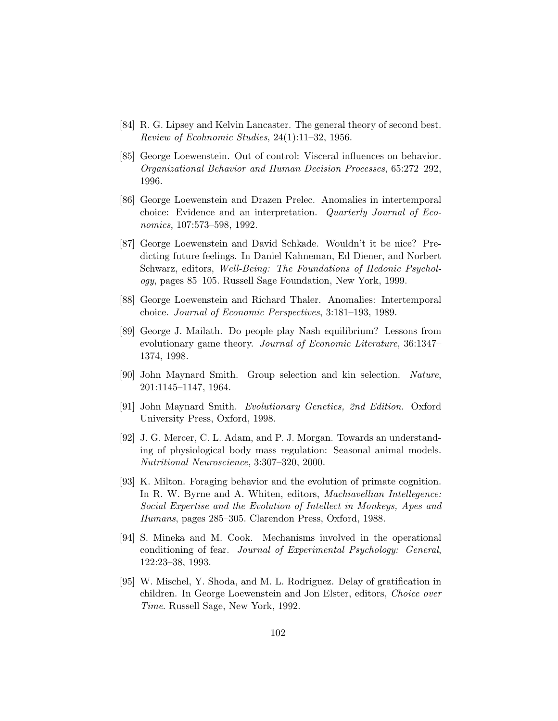- [84] R. G. Lipsey and Kelvin Lancaster. The general theory of second best. Review of Ecohnomic Studies, 24(1):11–32, 1956.
- [85] George Loewenstein. Out of control: Visceral influences on behavior. Organizational Behavior and Human Decision Processes, 65:272–292, 1996.
- [86] George Loewenstein and Drazen Prelec. Anomalies in intertemporal choice: Evidence and an interpretation. Quarterly Journal of Economics, 107:573–598, 1992.
- [87] George Loewenstein and David Schkade. Wouldn't it be nice? Predicting future feelings. In Daniel Kahneman, Ed Diener, and Norbert Schwarz, editors, Well-Being: The Foundations of Hedonic Psychology, pages 85–105. Russell Sage Foundation, New York, 1999.
- [88] George Loewenstein and Richard Thaler. Anomalies: Intertemporal choice. Journal of Economic Perspectives, 3:181–193, 1989.
- [89] George J. Mailath. Do people play Nash equilibrium? Lessons from evolutionary game theory. Journal of Economic Literature, 36:1347– 1374, 1998.
- [90] John Maynard Smith. Group selection and kin selection. Nature, 201:1145–1147, 1964.
- [91] John Maynard Smith. Evolutionary Genetics, 2nd Edition. Oxford University Press, Oxford, 1998.
- [92] J. G. Mercer, C. L. Adam, and P. J. Morgan. Towards an understanding of physiological body mass regulation: Seasonal animal models. Nutritional Neuroscience, 3:307–320, 2000.
- [93] K. Milton. Foraging behavior and the evolution of primate cognition. In R. W. Byrne and A. Whiten, editors, Machiavellian Intellegence: Social Expertise and the Evolution of Intellect in Monkeys, Apes and Humans, pages 285–305. Clarendon Press, Oxford, 1988.
- [94] S. Mineka and M. Cook. Mechanisms involved in the operational conditioning of fear. Journal of Experimental Psychology: General, 122:23–38, 1993.
- [95] W. Mischel, Y. Shoda, and M. L. Rodriguez. Delay of gratification in children. In George Loewenstein and Jon Elster, editors, Choice over Time. Russell Sage, New York, 1992.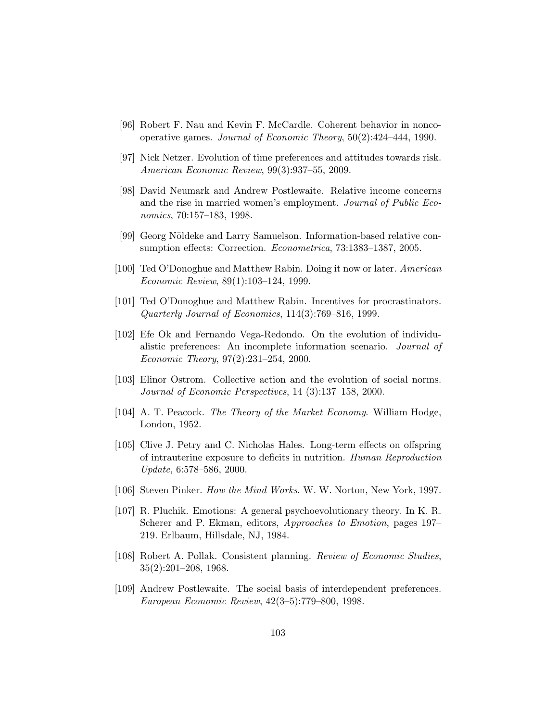- [96] Robert F. Nau and Kevin F. McCardle. Coherent behavior in noncooperative games. Journal of Economic Theory, 50(2):424–444, 1990.
- [97] Nick Netzer. Evolution of time preferences and attitudes towards risk. American Economic Review, 99(3):937–55, 2009.
- [98] David Neumark and Andrew Postlewaite. Relative income concerns and the rise in married women's employment. Journal of Public Economics, 70:157–183, 1998.
- [99] Georg Nöldeke and Larry Samuelson. Information-based relative consumption effects: Correction. Econometrica, 73:1383–1387, 2005.
- [100] Ted O'Donoghue and Matthew Rabin. Doing it now or later. American Economic Review, 89(1):103–124, 1999.
- [101] Ted O'Donoghue and Matthew Rabin. Incentives for procrastinators. Quarterly Journal of Economics, 114(3):769–816, 1999.
- [102] Efe Ok and Fernando Vega-Redondo. On the evolution of individualistic preferences: An incomplete information scenario. Journal of Economic Theory, 97(2):231–254, 2000.
- [103] Elinor Ostrom. Collective action and the evolution of social norms. Journal of Economic Perspectives, 14 (3):137–158, 2000.
- [104] A. T. Peacock. The Theory of the Market Economy. William Hodge, London, 1952.
- [105] Clive J. Petry and C. Nicholas Hales. Long-term effects on offspring of intrauterine exposure to deficits in nutrition. Human Reproduction Update, 6:578–586, 2000.
- [106] Steven Pinker. How the Mind Works. W. W. Norton, New York, 1997.
- [107] R. Pluchik. Emotions: A general psychoevolutionary theory. In K. R. Scherer and P. Ekman, editors, Approaches to Emotion, pages 197– 219. Erlbaum, Hillsdale, NJ, 1984.
- [108] Robert A. Pollak. Consistent planning. Review of Economic Studies, 35(2):201–208, 1968.
- [109] Andrew Postlewaite. The social basis of interdependent preferences. European Economic Review, 42(3–5):779–800, 1998.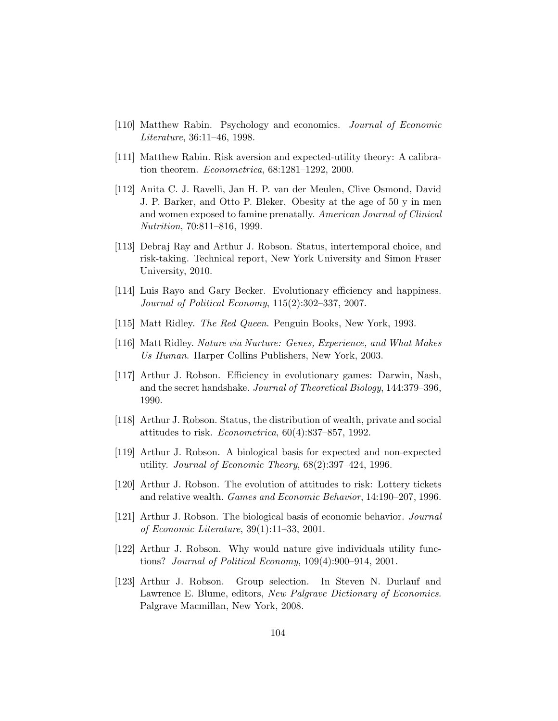- [110] Matthew Rabin. Psychology and economics. Journal of Economic Literature, 36:11–46, 1998.
- [111] Matthew Rabin. Risk aversion and expected-utility theory: A calibration theorem. Econometrica, 68:1281–1292, 2000.
- [112] Anita C. J. Ravelli, Jan H. P. van der Meulen, Clive Osmond, David J. P. Barker, and Otto P. Bleker. Obesity at the age of 50 y in men and women exposed to famine prenatally. American Journal of Clinical Nutrition, 70:811–816, 1999.
- [113] Debraj Ray and Arthur J. Robson. Status, intertemporal choice, and risk-taking. Technical report, New York University and Simon Fraser University, 2010.
- [114] Luis Rayo and Gary Becker. Evolutionary efficiency and happiness. Journal of Political Economy, 115(2):302–337, 2007.
- [115] Matt Ridley. The Red Queen. Penguin Books, New York, 1993.
- [116] Matt Ridley. Nature via Nurture: Genes, Experience, and What Makes Us Human. Harper Collins Publishers, New York, 2003.
- [117] Arthur J. Robson. Efficiency in evolutionary games: Darwin, Nash, and the secret handshake. Journal of Theoretical Biology, 144:379–396, 1990.
- [118] Arthur J. Robson. Status, the distribution of wealth, private and social attitudes to risk. Econometrica, 60(4):837–857, 1992.
- [119] Arthur J. Robson. A biological basis for expected and non-expected utility. Journal of Economic Theory, 68(2):397–424, 1996.
- [120] Arthur J. Robson. The evolution of attitudes to risk: Lottery tickets and relative wealth. Games and Economic Behavior, 14:190–207, 1996.
- [121] Arthur J. Robson. The biological basis of economic behavior. Journal of Economic Literature, 39(1):11–33, 2001.
- [122] Arthur J. Robson. Why would nature give individuals utility functions? Journal of Political Economy, 109(4):900–914, 2001.
- [123] Arthur J. Robson. Group selection. In Steven N. Durlauf and Lawrence E. Blume, editors, New Palgrave Dictionary of Economics. Palgrave Macmillan, New York, 2008.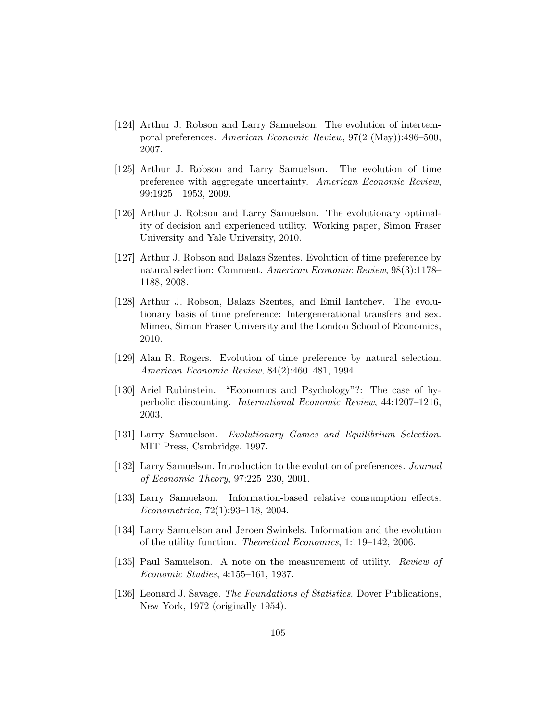- [124] Arthur J. Robson and Larry Samuelson. The evolution of intertemporal preferences. American Economic Review, 97(2 (May)):496–500, 2007.
- [125] Arthur J. Robson and Larry Samuelson. The evolution of time preference with aggregate uncertainty. American Economic Review, 99:1925—1953, 2009.
- [126] Arthur J. Robson and Larry Samuelson. The evolutionary optimality of decision and experienced utility. Working paper, Simon Fraser University and Yale University, 2010.
- [127] Arthur J. Robson and Balazs Szentes. Evolution of time preference by natural selection: Comment. American Economic Review, 98(3):1178– 1188, 2008.
- [128] Arthur J. Robson, Balazs Szentes, and Emil Iantchev. The evolutionary basis of time preference: Intergenerational transfers and sex. Mimeo, Simon Fraser University and the London School of Economics, 2010.
- [129] Alan R. Rogers. Evolution of time preference by natural selection. American Economic Review, 84(2):460–481, 1994.
- [130] Ariel Rubinstein. "Economics and Psychology"?: The case of hyperbolic discounting. International Economic Review, 44:1207–1216, 2003.
- [131] Larry Samuelson. Evolutionary Games and Equilibrium Selection. MIT Press, Cambridge, 1997.
- [132] Larry Samuelson. Introduction to the evolution of preferences. Journal of Economic Theory, 97:225–230, 2001.
- [133] Larry Samuelson. Information-based relative consumption effects. Econometrica, 72(1):93–118, 2004.
- [134] Larry Samuelson and Jeroen Swinkels. Information and the evolution of the utility function. Theoretical Economics, 1:119–142, 2006.
- [135] Paul Samuelson. A note on the measurement of utility. Review of Economic Studies, 4:155–161, 1937.
- [136] Leonard J. Savage. The Foundations of Statistics. Dover Publications, New York, 1972 (originally 1954).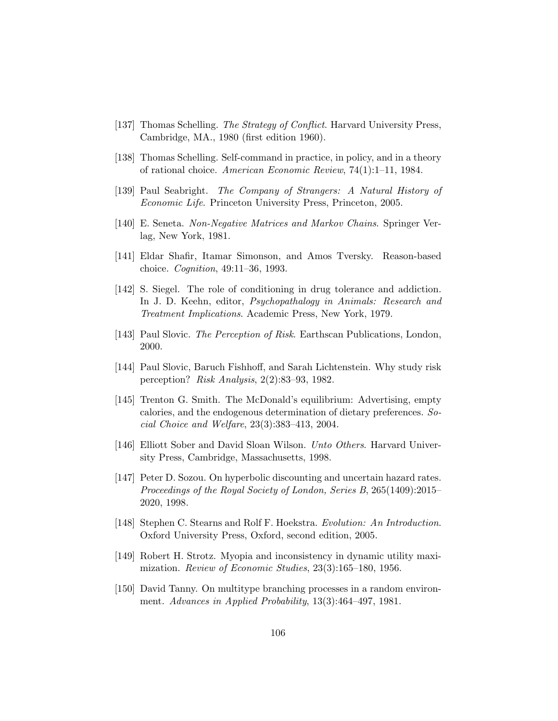- [137] Thomas Schelling. The Strategy of Conflict. Harvard University Press, Cambridge, MA., 1980 (first edition 1960).
- [138] Thomas Schelling. Self-command in practice, in policy, and in a theory of rational choice. American Economic Review, 74(1):1–11, 1984.
- [139] Paul Seabright. The Company of Strangers: A Natural History of Economic Life. Princeton University Press, Princeton, 2005.
- [140] E. Seneta. Non-Negative Matrices and Markov Chains. Springer Verlag, New York, 1981.
- [141] Eldar Shafir, Itamar Simonson, and Amos Tversky. Reason-based choice. Cognition, 49:11–36, 1993.
- [142] S. Siegel. The role of conditioning in drug tolerance and addiction. In J. D. Keehn, editor, Psychopathalogy in Animals: Research and Treatment Implications. Academic Press, New York, 1979.
- [143] Paul Slovic. The Perception of Risk. Earthscan Publications, London, 2000.
- [144] Paul Slovic, Baruch Fishhoff, and Sarah Lichtenstein. Why study risk perception? Risk Analysis, 2(2):83–93, 1982.
- [145] Trenton G. Smith. The McDonald's equilibrium: Advertising, empty calories, and the endogenous determination of dietary preferences. Social Choice and Welfare, 23(3):383–413, 2004.
- [146] Elliott Sober and David Sloan Wilson. Unto Others. Harvard University Press, Cambridge, Massachusetts, 1998.
- [147] Peter D. Sozou. On hyperbolic discounting and uncertain hazard rates. Proceedings of the Royal Society of London, Series B, 265(1409):2015– 2020, 1998.
- [148] Stephen C. Stearns and Rolf F. Hoekstra. Evolution: An Introduction. Oxford University Press, Oxford, second edition, 2005.
- [149] Robert H. Strotz. Myopia and inconsistency in dynamic utility maximization. Review of Economic Studies, 23(3):165–180, 1956.
- [150] David Tanny. On multitype branching processes in a random environment. Advances in Applied Probability, 13(3):464–497, 1981.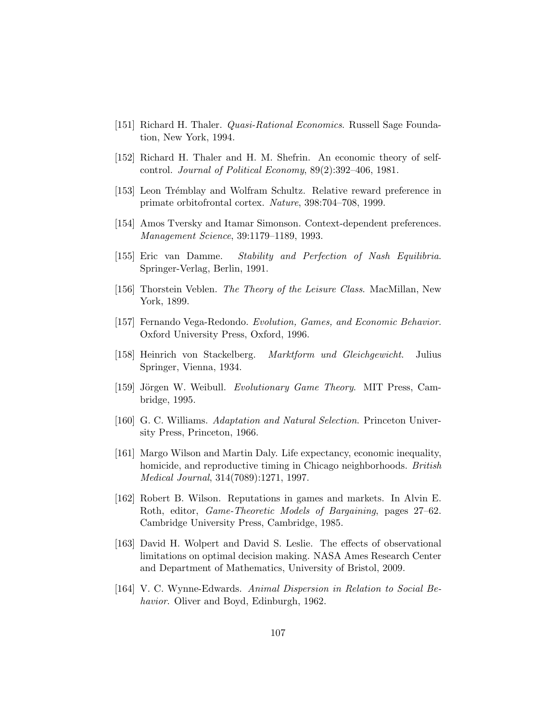- [151] Richard H. Thaler. *Quasi-Rational Economics*. Russell Sage Foundation, New York, 1994.
- [152] Richard H. Thaler and H. M. Shefrin. An economic theory of selfcontrol. Journal of Political Economy, 89(2):392–406, 1981.
- [153] Leon Trémblay and Wolfram Schultz. Relative reward preference in primate orbitofrontal cortex. Nature, 398:704–708, 1999.
- [154] Amos Tversky and Itamar Simonson. Context-dependent preferences. Management Science, 39:1179–1189, 1993.
- [155] Eric van Damme. Stability and Perfection of Nash Equilibria. Springer-Verlag, Berlin, 1991.
- [156] Thorstein Veblen. The Theory of the Leisure Class. MacMillan, New York, 1899.
- [157] Fernando Vega-Redondo. Evolution, Games, and Economic Behavior. Oxford University Press, Oxford, 1996.
- [158] Heinrich von Stackelberg. Marktform und Gleichgewicht. Julius Springer, Vienna, 1934.
- [159] Jörgen W. Weibull. Evolutionary Game Theory. MIT Press, Cambridge, 1995.
- [160] G. C. Williams. Adaptation and Natural Selection. Princeton University Press, Princeton, 1966.
- [161] Margo Wilson and Martin Daly. Life expectancy, economic inequality, homicide, and reproductive timing in Chicago neighborhoods. British Medical Journal, 314(7089):1271, 1997.
- [162] Robert B. Wilson. Reputations in games and markets. In Alvin E. Roth, editor, Game-Theoretic Models of Bargaining, pages 27–62. Cambridge University Press, Cambridge, 1985.
- [163] David H. Wolpert and David S. Leslie. The effects of observational limitations on optimal decision making. NASA Ames Research Center and Department of Mathematics, University of Bristol, 2009.
- [164] V. C. Wynne-Edwards. Animal Dispersion in Relation to Social Behavior. Oliver and Boyd, Edinburgh, 1962.